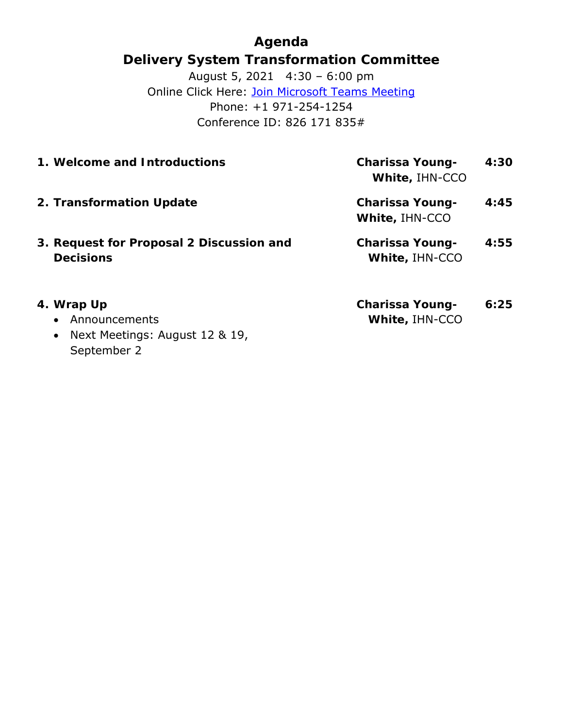**Agenda Delivery System Transformation Committee** August 5, 2021 4:30 – 6:00 pm Online Click Here: [Join Microsoft Teams Meeting](https://teams.microsoft.com/l/meetup-join/19%3ameeting_MzljOTZiYjgtYmI4MC00YThhLThkYzQtMGQxMjM3ZWE4NDU3%40thread.v2/0?context=%7b%22Tid%22%3a%228ffc5ea6-dcec-4754-95d8-337958ecb2fc%22%2c%22Oid%22%3a%22a561cadd-8219-424a-92f8-7ba2a46ab139%22%7d) Phone: +1 971-254-1254 Conference ID: 826 171 835#

| 1. Welcome and Introductions                          | Charissa Young-<br>White, IHN-CCO | 4:30 |
|-------------------------------------------------------|-----------------------------------|------|
| 2. Transformation Update                              | Charissa Young-<br>White, IHN-CCO | 4:45 |
| 3. Request for Proposal 2 Discussion and<br>Decisions | Charissa Young-<br>White, IHN-CCO | 4:55 |
|                                                       |                                   |      |

- **4. Wrap Up**
	- Announcements
	- Next Meetings: August 12 & 19, September 2

**Charissa Young-White,** IHN-CCO **6:25**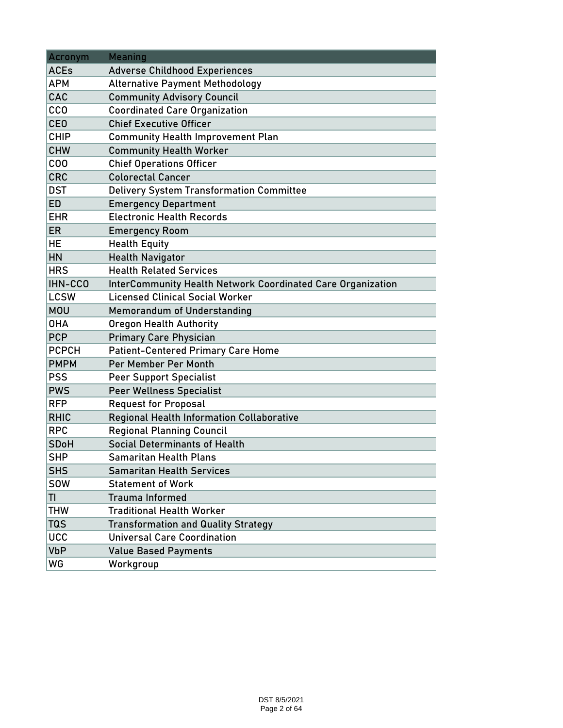| Acronym      | <b>Meaning</b>                                                     |  |  |  |
|--------------|--------------------------------------------------------------------|--|--|--|
| <b>ACEs</b>  | <b>Adverse Childhood Experiences</b>                               |  |  |  |
| <b>APM</b>   | <b>Alternative Payment Methodology</b>                             |  |  |  |
| CAC          | <b>Community Advisory Council</b>                                  |  |  |  |
| <b>CCO</b>   | <b>Coordinated Care Organization</b>                               |  |  |  |
| <b>CEO</b>   | <b>Chief Executive Officer</b>                                     |  |  |  |
| <b>CHIP</b>  | <b>Community Health Improvement Plan</b>                           |  |  |  |
| <b>CHW</b>   | <b>Community Health Worker</b>                                     |  |  |  |
| COO          | <b>Chief Operations Officer</b>                                    |  |  |  |
| <b>CRC</b>   | <b>Colorectal Cancer</b>                                           |  |  |  |
| <b>DST</b>   | <b>Delivery System Transformation Committee</b>                    |  |  |  |
| <b>ED</b>    | <b>Emergency Department</b>                                        |  |  |  |
| <b>EHR</b>   | <b>Electronic Health Records</b>                                   |  |  |  |
| <b>ER</b>    | <b>Emergency Room</b>                                              |  |  |  |
| HE           | <b>Health Equity</b>                                               |  |  |  |
| HN           | <b>Health Navigator</b>                                            |  |  |  |
| <b>HRS</b>   | <b>Health Related Services</b>                                     |  |  |  |
| IHN-CCO      | <b>InterCommunity Health Network Coordinated Care Organization</b> |  |  |  |
| <b>LCSW</b>  | <b>Licensed Clinical Social Worker</b>                             |  |  |  |
| <b>MOU</b>   | <b>Memorandum of Understanding</b>                                 |  |  |  |
| <b>OHA</b>   | <b>Oregon Health Authority</b>                                     |  |  |  |
| <b>PCP</b>   | <b>Primary Care Physician</b>                                      |  |  |  |
| <b>PCPCH</b> | <b>Patient-Centered Primary Care Home</b>                          |  |  |  |
| <b>PMPM</b>  | Per Member Per Month                                               |  |  |  |
| <b>PSS</b>   | <b>Peer Support Specialist</b>                                     |  |  |  |
| <b>PWS</b>   | <b>Peer Wellness Specialist</b>                                    |  |  |  |
| <b>RFP</b>   | <b>Request for Proposal</b>                                        |  |  |  |
| <b>RHIC</b>  | <b>Regional Health Information Collaborative</b>                   |  |  |  |
| <b>RPC</b>   | <b>Regional Planning Council</b>                                   |  |  |  |
| <b>SDoH</b>  | <b>Social Determinants of Health</b>                               |  |  |  |
| <b>SHP</b>   | <b>Samaritan Health Plans</b>                                      |  |  |  |
| <b>SHS</b>   | <b>Samaritan Health Services</b>                                   |  |  |  |
| <b>SOW</b>   | <b>Statement of Work</b>                                           |  |  |  |
| TI           | <b>Trauma Informed</b>                                             |  |  |  |
| <b>THW</b>   | <b>Traditional Health Worker</b>                                   |  |  |  |
| <b>TQS</b>   | <b>Transformation and Quality Strategy</b>                         |  |  |  |
| <b>UCC</b>   | <b>Universal Care Coordination</b>                                 |  |  |  |
| <b>VbP</b>   | <b>Value Based Payments</b>                                        |  |  |  |
| WG           | Workgroup                                                          |  |  |  |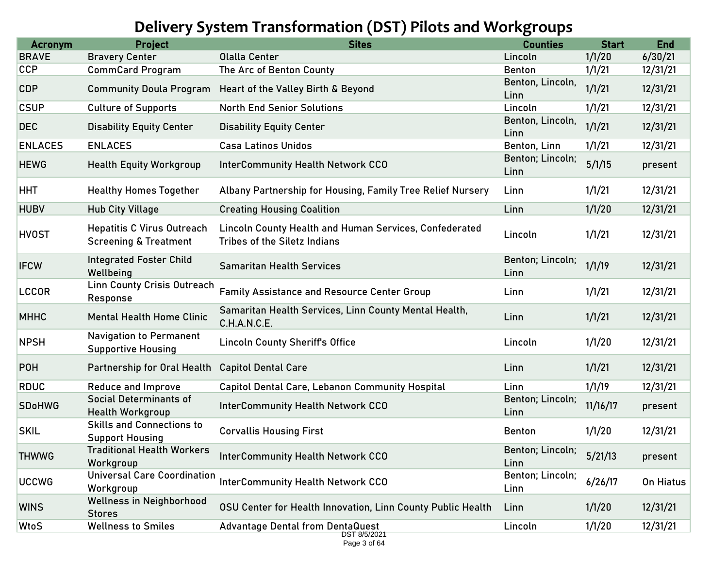# **Delivery System Transformation (DST) Pilots and Workgroups**

| <b>Acronym</b> | <b>Project</b>                                                        | <b>Sites</b>                                                                                  | <b>Counties</b>          | <b>Start</b> | <b>End</b> |
|----------------|-----------------------------------------------------------------------|-----------------------------------------------------------------------------------------------|--------------------------|--------------|------------|
| <b>BRAVE</b>   | <b>Bravery Center</b>                                                 | <b>Olalla Center</b>                                                                          | Lincoln                  | 1/1/20       | 6/30/21    |
| <b>CCP</b>     | <b>CommCard Program</b>                                               | The Arc of Benton County                                                                      | <b>Benton</b>            | 1/1/21       | 12/31/21   |
| <b>CDP</b>     | <b>Community Doula Program</b>                                        | Heart of the Valley Birth & Beyond                                                            | Benton, Lincoln,<br>Linn | 1/1/21       | 12/31/21   |
| <b>CSUP</b>    | <b>Culture of Supports</b>                                            | <b>North End Senior Solutions</b>                                                             | Lincoln                  | 1/1/21       | 12/31/21   |
| <b>DEC</b>     | <b>Disability Equity Center</b>                                       | <b>Disability Equity Center</b>                                                               | Benton, Lincoln,<br>Linn | 1/1/21       | 12/31/21   |
| <b>ENLACES</b> | <b>ENLACES</b>                                                        | <b>Casa Latinos Unidos</b>                                                                    | Benton, Linn             | 1/1/21       | 12/31/21   |
| <b>HEWG</b>    | <b>Health Equity Workgroup</b>                                        | <b>InterCommunity Health Network CCO</b>                                                      | Benton; Lincoln;<br>Linn | 5/1/15       | present    |
| <b>HHT</b>     | <b>Healthy Homes Together</b>                                         | Albany Partnership for Housing, Family Tree Relief Nursery                                    | Linn                     | 1/1/21       | 12/31/21   |
| <b>HUBV</b>    | <b>Hub City Village</b>                                               | <b>Creating Housing Coalition</b>                                                             | Linn                     | 1/1/20       | 12/31/21   |
| <b>HVOST</b>   | <b>Hepatitis C Virus Outreach</b><br><b>Screening &amp; Treatment</b> | Lincoln County Health and Human Services, Confederated<br><b>Tribes of the Siletz Indians</b> | Lincoln                  | 1/1/21       | 12/31/21   |
| <b>IFCW</b>    | <b>Integrated Foster Child</b><br>Wellbeing                           | <b>Samaritan Health Services</b>                                                              | Benton; Lincoln;<br>Linn | 1/1/19       | 12/31/21   |
| <b>LCCOR</b>   | <b>Linn County Crisis Outreach</b><br>Response                        | <b>Family Assistance and Resource Center Group</b>                                            | Linn                     | 1/1/21       | 12/31/21   |
| <b>MHHC</b>    | <b>Mental Health Home Clinic</b>                                      | Samaritan Health Services, Linn County Mental Health,<br>C.H.A.N.C.E.                         | Linn                     | 1/1/21       | 12/31/21   |
| <b>NPSH</b>    | <b>Navigation to Permanent</b><br><b>Supportive Housing</b>           | <b>Lincoln County Sheriff's Office</b>                                                        | Lincoln                  | 1/1/20       | 12/31/21   |
| <b>POH</b>     | Partnership for Oral Health                                           | <b>Capitol Dental Care</b>                                                                    | Linn                     | 1/1/21       | 12/31/21   |
| <b>RDUC</b>    | <b>Reduce and Improve</b>                                             | <b>Capitol Dental Care, Lebanon Community Hospital</b>                                        | Linn                     | 1/1/19       | 12/31/21   |
| <b>SDoHWG</b>  | <b>Social Determinants of</b><br><b>Health Workgroup</b>              | <b>InterCommunity Health Network CCO</b>                                                      | Benton; Lincoln;<br>Linn | 11/16/17     | present    |
| <b>SKIL</b>    | <b>Skills and Connections to</b><br><b>Support Housing</b>            | <b>Corvallis Housing First</b>                                                                | <b>Benton</b>            | 1/1/20       | 12/31/21   |
| <b>THWWG</b>   | <b>Traditional Health Workers</b><br>Workgroup                        | <b>InterCommunity Health Network CCO</b>                                                      | Benton; Lincoln;<br>Linn | 5/21/13      | present    |
| <b>UCCWG</b>   | <b>Universal Care Coordination</b><br>Workgroup                       | <b>InterCommunity Health Network CCO</b>                                                      | Benton; Lincoln;<br>Linn | 6/26/17      | On Hiatus  |
| <b>WINS</b>    | <b>Wellness in Neighborhood</b><br><b>Stores</b>                      | OSU Center for Health Innovation, Linn County Public Health                                   | Linn                     | 1/1/20       | 12/31/21   |
| WtoS           | <b>Wellness to Smiles</b>                                             | <b>Advantage Dental from DentaQuest</b>                                                       | Lincoln                  | 1/1/20       | 12/31/21   |
|                |                                                                       | DST 8/5/2021<br>Page 3 of 64                                                                  |                          |              |            |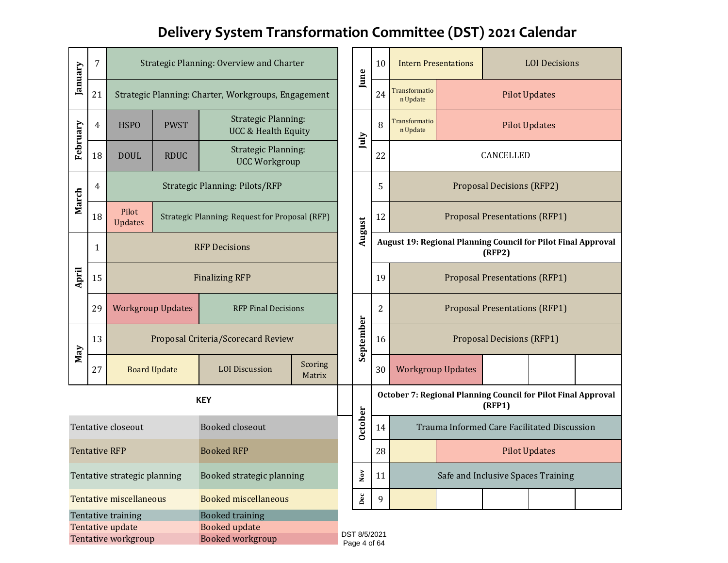# **Delivery System Transformation Committee (DST) 2021 Calendar**

| January                                                                                                                             | 7                    |                                                                           |                     | Strategic Planning: Overview and Charter                     |                   |        | June           | 10                                                            | <b>Intern Presentations</b>                                   |                                      |                                      | <b>LOI</b> Decisions                        |  |
|-------------------------------------------------------------------------------------------------------------------------------------|----------------------|---------------------------------------------------------------------------|---------------------|--------------------------------------------------------------|-------------------|--------|----------------|---------------------------------------------------------------|---------------------------------------------------------------|--------------------------------------|--------------------------------------|---------------------------------------------|--|
|                                                                                                                                     | 21                   |                                                                           |                     | Strategic Planning: Charter, Workgroups, Engagement          |                   |        |                | 24                                                            | <b>Transformatio</b><br>n Update                              |                                      | <b>Pilot Updates</b>                 |                                             |  |
| February                                                                                                                            | 4                    | <b>HSPO</b>                                                               | <b>PWST</b>         | <b>Strategic Planning:</b><br><b>UCC &amp; Health Equity</b> |                   |        | July           | 8                                                             | Transformatio<br>n Update                                     |                                      | <b>Pilot Updates</b>                 |                                             |  |
|                                                                                                                                     | 18                   | <b>DOUL</b>                                                               | <b>RDUC</b>         | <b>Strategic Planning:</b><br><b>UCC Workgroup</b>           |                   |        |                | 22                                                            |                                                               |                                      | CANCELLED                            |                                             |  |
| March                                                                                                                               | 4                    |                                                                           |                     | <b>Strategic Planning: Pilots/RFP</b>                        |                   |        |                | 5                                                             |                                                               |                                      | <b>Proposal Decisions (RFP2)</b>     |                                             |  |
|                                                                                                                                     | 18                   | Pilot<br>Strategic Planning: Request for Proposal (RFP)<br><b>Updates</b> |                     |                                                              |                   | August | 12             |                                                               |                                                               | <b>Proposal Presentations (RFP1)</b> |                                      |                                             |  |
|                                                                                                                                     | 1                    | <b>RFP Decisions</b>                                                      |                     |                                                              |                   |        |                | August 19: Regional Planning Council for Pilot Final Approval |                                                               | (RFP2)                               |                                      |                                             |  |
| April                                                                                                                               | 15                   | <b>Finalizing RFP</b>                                                     |                     | <b>RFP Final Decisions</b>                                   |                   |        |                | 19                                                            |                                                               | <b>Proposal Presentations (RFP1)</b> |                                      |                                             |  |
|                                                                                                                                     | 29                   | <b>Workgroup Updates</b>                                                  |                     |                                                              |                   |        |                | 2                                                             |                                                               |                                      | <b>Proposal Presentations (RFP1)</b> |                                             |  |
| May                                                                                                                                 | 13                   |                                                                           |                     | Proposal Criteria/Scorecard Review                           |                   |        | September      | 16                                                            | <b>Proposal Decisions (RFP1)</b>                              |                                      |                                      |                                             |  |
|                                                                                                                                     | 27                   |                                                                           | <b>Board Update</b> | <b>LOI</b> Discussion                                        | Scoring<br>Matrix |        |                | 30                                                            | <b>Workgroup Updates</b>                                      |                                      |                                      |                                             |  |
|                                                                                                                                     |                      |                                                                           |                     | <b>KEY</b>                                                   |                   |        |                |                                                               | October 7: Regional Planning Council for Pilot Final Approval |                                      | (RFP1)                               |                                             |  |
|                                                                                                                                     |                      | Tentative closeout                                                        |                     | <b>Booked closeout</b>                                       |                   |        | <b>October</b> | 14                                                            |                                                               |                                      |                                      | Trauma Informed Care Facilitated Discussion |  |
|                                                                                                                                     | <b>Tentative RFP</b> |                                                                           |                     | <b>Booked RFP</b>                                            |                   |        |                | 28                                                            |                                                               |                                      |                                      | <b>Pilot Updates</b>                        |  |
|                                                                                                                                     |                      | Tentative strategic planning                                              |                     | Booked strategic planning                                    |                   |        | $_{\rm Nov}$   | 11                                                            |                                                               |                                      |                                      | Safe and Inclusive Spaces Training          |  |
|                                                                                                                                     |                      | <b>Tentative miscellaneous</b>                                            |                     | <b>Booked miscellaneous</b>                                  |                   |        | $_{\rm Dec}$   | 9                                                             |                                                               |                                      |                                      |                                             |  |
| <b>Booked training</b><br>Tentative training<br>Tentative update<br><b>Booked update</b><br>Tentative workgroup<br>Booked workgroup |                      |                                                                           |                     | DST 8/5/2021<br>Page 4 of 64                                 |                   |        |                |                                                               |                                                               |                                      |                                      |                                             |  |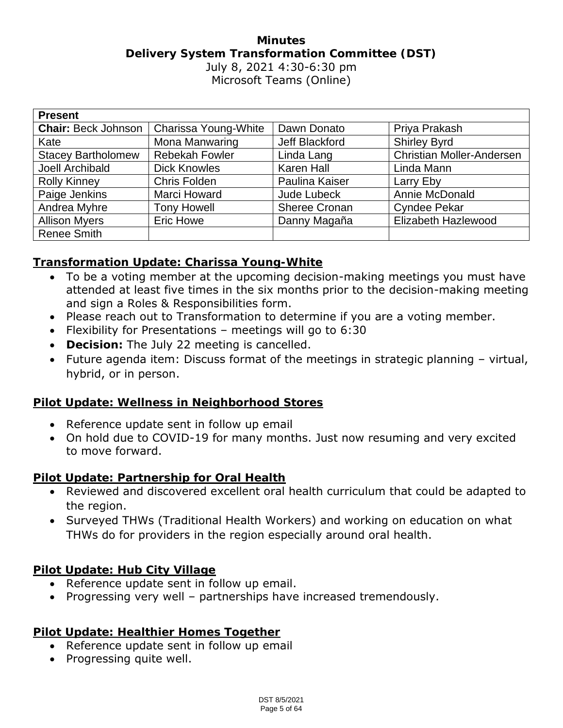## **Minutes Delivery System Transformation Committee (DST)** July 8, 2021 4:30-6:30 pm Microsoft Teams (Online)

| <b>Present</b>             |                       |                      |                                  |
|----------------------------|-----------------------|----------------------|----------------------------------|
| <b>Chair: Beck Johnson</b> | Charissa Young-White  | Dawn Donato          | Priya Prakash                    |
| Kate                       | Mona Manwaring        | Jeff Blackford       | <b>Shirley Byrd</b>              |
| <b>Stacey Bartholomew</b>  | <b>Rebekah Fowler</b> | Linda Lang           | <b>Christian Moller-Andersen</b> |
| Joell Archibald            | <b>Dick Knowles</b>   | Karen Hall           | Linda Mann                       |
| <b>Rolly Kinney</b>        | Chris Folden          | Paulina Kaiser       | Larry Eby                        |
| Paige Jenkins              | Marci Howard          | <b>Jude Lubeck</b>   | Annie McDonald                   |
| Andrea Myhre               | <b>Tony Howell</b>    | <b>Sheree Cronan</b> | <b>Cyndee Pekar</b>              |
| <b>Allison Myers</b>       | <b>Eric Howe</b>      | Danny Magaña         | Elizabeth Hazlewood              |
| <b>Renee Smith</b>         |                       |                      |                                  |

#### **Transformation Update: Charissa Young-White**

- To be a voting member at the upcoming decision-making meetings you must have attended at least five times in the six months prior to the decision-making meeting and sign a Roles & Responsibilities form.
- Please reach out to Transformation to determine if you are a voting member.
- Flexibility for Presentations meetings will go to 6:30
- **Decision:** The July 22 meeting is cancelled.
- Future agenda item: Discuss format of the meetings in strategic planning virtual, hybrid, or in person.

#### **Pilot Update: Wellness in Neighborhood Stores**

- Reference update sent in follow up email
- On hold due to COVID-19 for many months. Just now resuming and very excited to move forward.

**Pilot Update: Partnership for Oral Health**

- Reviewed and discovered excellent oral health curriculum that could be adapted to the region.
- Surveyed THWs (Traditional Health Workers) and working on education on what THWs do for providers in the region especially around oral health.

**Pilot Update: Hub City Village**

- Reference update sent in follow up email.
- Progressing very well partnerships have increased tremendously.

**Pilot Update: Healthier Homes Together**

- Reference update sent in follow up email
- Progressing quite well.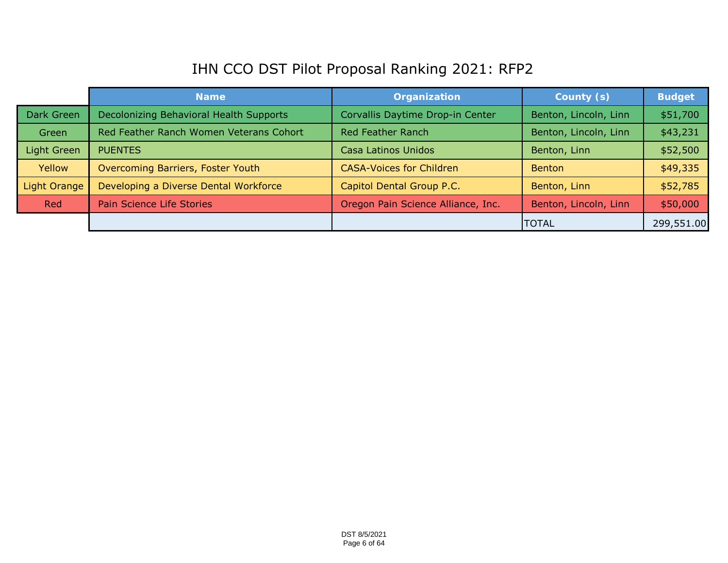# IHN CCO DST Pilot Proposal Ranking 2021: RFP2

|              | <b>Name</b>                             | Organization                       | County (s)            | <b>Budget</b> |
|--------------|-----------------------------------------|------------------------------------|-----------------------|---------------|
| Dark Green   | Decolonizing Behavioral Health Supports | Corvallis Daytime Drop-in Center   | Benton, Lincoln, Linn | \$51,700      |
| Green        | Red Feather Ranch Women Veterans Cohort | Red Feather Ranch                  | Benton, Lincoln, Linn | \$43,231      |
| Light Green  | <b>PUENTES</b>                          | Casa Latinos Unidos                | Benton, Linn          | \$52,500      |
| Yellow       | Overcoming Barriers, Foster Youth       | <b>CASA-Voices for Children</b>    | <b>Benton</b>         | \$49,335      |
| Light Orange | Developing a Diverse Dental Workforce   | Capitol Dental Group P.C.          | Benton, Linn          | \$52,785      |
| Red          | Pain Science Life Stories               | Oregon Pain Science Alliance, Inc. | Benton, Lincoln, Linn | \$50,000      |
|              |                                         |                                    | <b>TOTAL</b>          | 299,551.00    |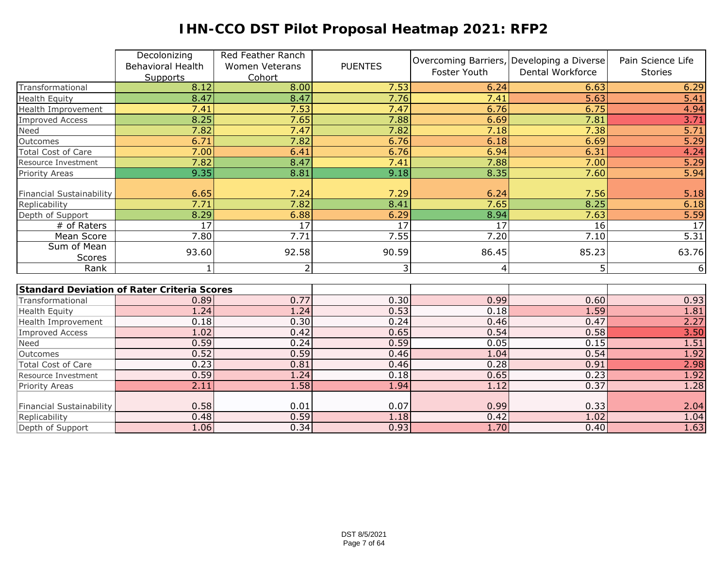# **IHN-CCO DST Pilot Proposal Heatmap 2021: RFP2**

|                                             | Decolonizing             | Red Feather Ranch     |                 |                 | Overcoming Barriers, Developing a Diverse | Pain Science Life |
|---------------------------------------------|--------------------------|-----------------------|-----------------|-----------------|-------------------------------------------|-------------------|
|                                             | <b>Behavioral Health</b> | <b>Women Veterans</b> | <b>PUENTES</b>  | Foster Youth    | Dental Workforce                          | <b>Stories</b>    |
|                                             | Supports                 | Cohort                |                 |                 |                                           |                   |
| Transformational                            | 8.12                     | 8.00                  | 7.53            | 6.24            | 6.63                                      | 6.29              |
| <b>Health Equity</b>                        | 8.47                     | 8.47                  | 7.76            | 7.41            | 5.63                                      | 5.41              |
| Health Improvement                          | 7.41                     | 7.53                  | 7.47            | 6.76            | 6.75                                      | 4.94              |
| <b>Improved Access</b>                      | 8.25                     | 7.65                  | 7.88            | 6.69            | 7.81                                      | 3.71              |
| Need                                        | 7.82                     | 7.47                  | 7.82            | 7.18            | 7.38                                      | 5.71              |
| Outcomes                                    | 6.71                     | 7.82                  | 6.76            | 6.18            | 6.69                                      | 5.29              |
| Total Cost of Care                          | 7.00                     | 6.41                  | 6.76            | 6.94            | 6.31                                      | 4.24              |
| Resource Investment                         | 7.82                     | 8.47                  | 7.41            | 7.88            | 7.00                                      | 5.29              |
| <b>Priority Areas</b>                       | 9.35                     | 8.81                  | 9.18            | 8.35            | 7.60                                      | 5.94              |
| <b>Financial Sustainability</b>             | 6.65                     | 7.24                  | 7.29            | 6.24            | 7.56                                      | 5.18              |
| Replicability                               | 7.71                     | 7.82                  | 8.41            | 7.65            | 8.25                                      | 6.18              |
| Depth of Support                            | 8.29                     | 6.88                  | 6.29            | 8.94            | 7.63                                      |                   |
| # of Raters                                 | 17                       | $\overline{17}$       | $\overline{17}$ | $\overline{17}$ | 16                                        | $\frac{5.59}{17}$ |
| Mean Score                                  | 7.80                     | 7.71                  | 7.55            | 7.20            | 7.10                                      | 5.31              |
| Sum of Mean                                 |                          |                       |                 |                 |                                           |                   |
| Scores                                      | 93.60                    | 92.58                 | 90.59           | 86.45           | 85.23                                     | 63.76             |
| Rank                                        | 1                        | $\overline{2}$        | 3               | 4               | 5 <sub>5</sub>                            | $6 \overline{6}$  |
|                                             |                          |                       |                 |                 |                                           |                   |
| Standard Deviation of Rater Criteria Scores |                          |                       |                 |                 |                                           |                   |
| Transformational                            | 0.89                     | 0.77                  | 0.30            | 0.99            | 0.60                                      | 0.93              |
| <b>Health Equity</b>                        | 1.24                     | 1.24                  | 0.53            | 0.18            | 1.59                                      | 1.81              |
| Health Improvement                          | 0.18                     | 0.30                  | 0.24            | 0.46            | 0.47                                      | 2.27              |
| <b>Improved Access</b>                      | 1.02                     | 0.42                  | 0.65            | 0.54            | 0.58                                      | 3.50              |
| Need                                        | 0.59                     | 0.24                  | 0.59            | 0.05            | 0.15                                      | 1.51              |
| Outcomes                                    | 0.52                     | 0.59                  | 0.46            | 1.04            | 0.54                                      | 1.92              |
| <b>Total Cost of Care</b>                   | 0.23                     | 0.81                  | 0.46            | 0.28            | 0.91                                      | 2.98              |
| Resource Investment                         | 0.59                     | 1.24                  | 0.18            | 0.65            | 0.23                                      | 1.92              |
| Priority Areas                              | 2.11                     | 1.58                  | 1.94            | 1.12            | 0.37                                      | 1.28              |
|                                             |                          |                       |                 |                 |                                           |                   |
| <b>Financial Sustainability</b>             | 0.58                     | 0.01                  | 0.07            | 0.99            | 0.33                                      | 2.04              |
| Replicability                               | 0.48                     | 0.59                  | 1.18            | 0.42            | 1.02                                      | 1.04              |
| Depth of Support                            | 1.06                     | 0.34                  | 0.93            | 1.70            | 0.40                                      | 1.63              |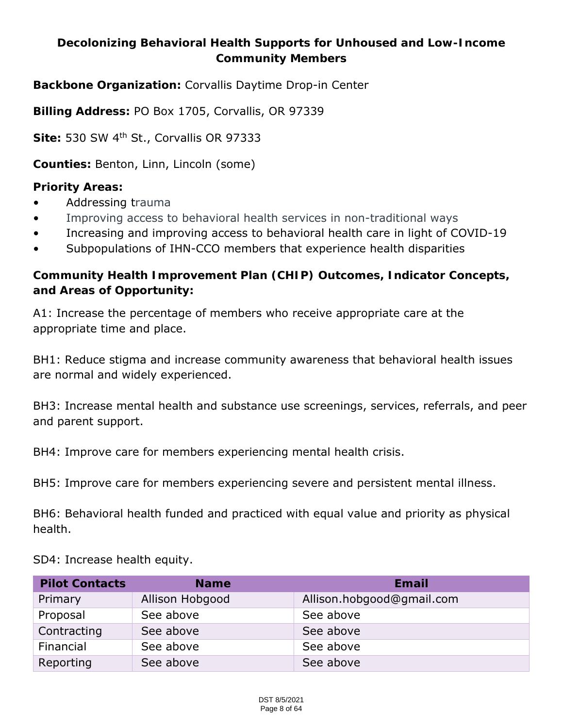**Decolonizing Behavioral Health Supports for Unhoused and Low-Income Community Members**

**Backbone Organization:** Corvallis Daytime Drop-in Center

**Billing Address:** PO Box 1705, Corvallis, OR 97339

**Site:** 530 SW 4th St., Corvallis OR 97333

**Counties:** Benton, Linn, Lincoln (some)

**Priority Areas:**

- Addressing trauma
- Improving access to behavioral health services in non-traditional ways
- Increasing and improving access to behavioral health care in light of COVID-19
- Subpopulations of IHN-CCO members that experience health disparities

**Community Health Improvement Plan (CHIP) Outcomes, Indicator Concepts, and Areas of Opportunity:**

A1: Increase the percentage of members who receive appropriate care at the appropriate time and place.

BH1: Reduce stigma and increase community awareness that behavioral health issues are normal and widely experienced.

BH3: Increase mental health and substance use screenings, services, referrals, and peer and parent support.

BH4: Improve care for members experiencing mental health crisis.

BH5: Improve care for members experiencing severe and persistent mental illness.

BH6: Behavioral health funded and practiced with equal value and priority as physical health.

SD4: Increase health equity.

| <b>Pilot Contacts</b> | <b>Name</b>     | Email                     |
|-----------------------|-----------------|---------------------------|
| Primary               | Allison Hobgood | Allison.hobgood@gmail.com |
| Proposal              | See above       | See above                 |
| Contracting           | See above       | See above                 |
| Financial             | See above       | See above                 |
| Reporting             | See above       | See above                 |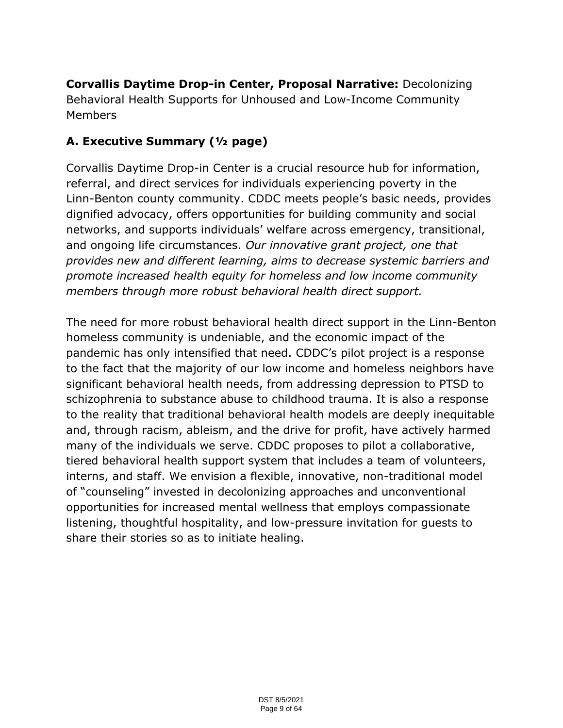**Corvallis Daytime Drop-in Center, Proposal Narrative:** Decolonizing Behavioral Health Supports for Unhoused and Low-Income Community Members

# **A. Executive Summary (½ page)**

Corvallis Daytime Drop-in Center is a crucial resource hub for information, referral, and direct services for individuals experiencing poverty in the Linn-Benton county community. CDDC meets people's basic needs, provides dignified advocacy, offers opportunities for building community and social networks, and supports individuals' welfare across emergency, transitional, and ongoing life circumstances. *Our innovative grant project, one that provides new and different learning, aims to decrease systemic barriers and promote increased health equity for homeless and low income community members through more robust behavioral health direct support.*

The need for more robust behavioral health direct support in the Linn-Benton homeless community is undeniable, and the economic impact of the pandemic has only intensified that need. CDDC's pilot project is a response to the fact that the majority of our low income and homeless neighbors have significant behavioral health needs, from addressing depression to PTSD to schizophrenia to substance abuse to childhood trauma. It is also a response to the reality that traditional behavioral health models are deeply inequitable and, through racism, ableism, and the drive for profit, have actively harmed many of the individuals we serve. CDDC proposes to pilot a collaborative, tiered behavioral health support system that includes a team of volunteers, interns, and staff. We envision a flexible, innovative, non-traditional model of "counseling" invested in decolonizing approaches and unconventional opportunities for increased mental wellness that employs compassionate listening, thoughtful hospitality, and low-pressure invitation for guests to share their stories so as to initiate healing.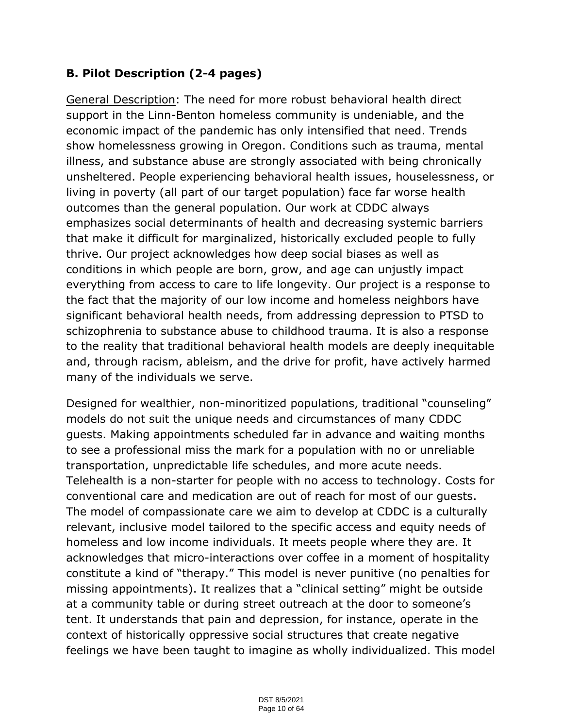# **B. Pilot Description (2-4 pages)**

General Description: The need for more robust behavioral health direct support in the Linn-Benton homeless community is undeniable, and the economic impact of the pandemic has only intensified that need. Trends show homelessness growing in Oregon. Conditions such as trauma, mental illness, and substance abuse are strongly associated with being chronically unsheltered. People experiencing behavioral health issues, houselessness, or living in poverty (all part of our target population) face far worse health outcomes than the general population. Our work at CDDC always emphasizes social determinants of health and decreasing systemic barriers that make it difficult for marginalized, historically excluded people to fully thrive. Our project acknowledges how deep social biases as well as conditions in which people are born, grow, and age can unjustly impact everything from access to care to life longevity. Our project is a response to the fact that the majority of our low income and homeless neighbors have significant behavioral health needs, from addressing depression to PTSD to schizophrenia to substance abuse to childhood trauma. It is also a response to the reality that traditional behavioral health models are deeply inequitable and, through racism, ableism, and the drive for profit, have actively harmed many of the individuals we serve.

Designed for wealthier, non-minoritized populations, traditional "counseling" models do not suit the unique needs and circumstances of many CDDC guests. Making appointments scheduled far in advance and waiting months to see a professional miss the mark for a population with no or unreliable transportation, unpredictable life schedules, and more acute needs. Telehealth is a non-starter for people with no access to technology. Costs for conventional care and medication are out of reach for most of our guests. The model of compassionate care we aim to develop at CDDC is a culturally relevant, inclusive model tailored to the specific access and equity needs of homeless and low income individuals. It meets people where they are. It acknowledges that micro-interactions over coffee in a moment of hospitality constitute a kind of "therapy." This model is never punitive (no penalties for missing appointments). It realizes that a "clinical setting" might be outside at a community table or during street outreach at the door to someone's tent. It understands that pain and depression, for instance, operate in the context of historically oppressive social structures that create negative feelings we have been taught to imagine as wholly individualized. This model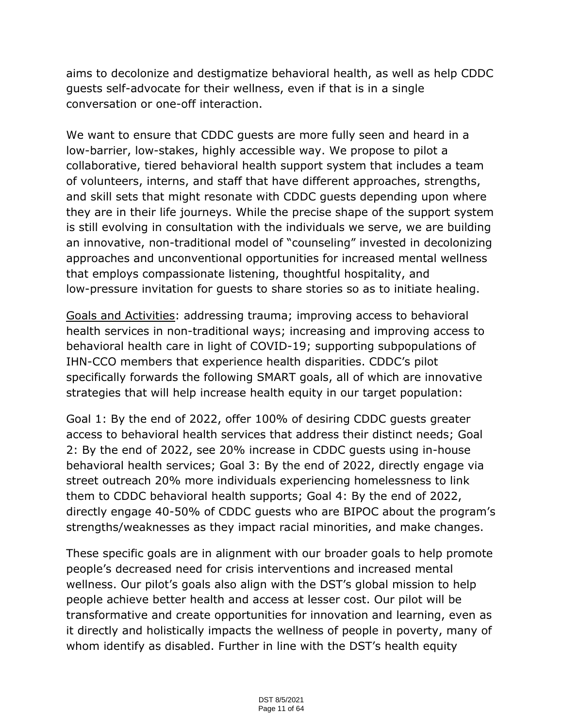aims to decolonize and destigmatize behavioral health, as well as help CDDC guests self-advocate for their wellness, even if that is in a single conversation or one-off interaction.

We want to ensure that CDDC guests are more fully seen and heard in a low-barrier, low-stakes, highly accessible way. We propose to pilot a collaborative, tiered behavioral health support system that includes a team of volunteers, interns, and staff that have different approaches, strengths, and skill sets that might resonate with CDDC guests depending upon where they are in their life journeys. While the precise shape of the support system is still evolving in consultation with the individuals we serve, we are building an innovative, non-traditional model of "counseling" invested in decolonizing approaches and unconventional opportunities for increased mental wellness that employs compassionate listening, thoughtful hospitality, and low-pressure invitation for guests to share stories so as to initiate healing.

Goals and Activities: addressing trauma; improving access to behavioral health services in non-traditional ways; increasing and improving access to behavioral health care in light of COVID-19; supporting subpopulations of IHN-CCO members that experience health disparities. CDDC's pilot specifically forwards the following SMART goals, all of which are innovative strategies that will help increase health equity in our target population:

Goal 1: By the end of 2022, offer 100% of desiring CDDC guests greater access to behavioral health services that address their distinct needs; Goal 2: By the end of 2022, see 20% increase in CDDC guests using in-house behavioral health services; Goal 3: By the end of 2022, directly engage via street outreach 20% more individuals experiencing homelessness to link them to CDDC behavioral health supports; Goal 4: By the end of 2022, directly engage 40-50% of CDDC guests who are BIPOC about the program's strengths/weaknesses as they impact racial minorities, and make changes.

These specific goals are in alignment with our broader goals to help promote people's decreased need for crisis interventions and increased mental wellness. Our pilot's goals also align with the DST's global mission to help people achieve better health and access at lesser cost. Our pilot will be transformative and create opportunities for innovation and learning, even as it directly and holistically impacts the wellness of people in poverty, many of whom identify as disabled. Further in line with the DST's health equity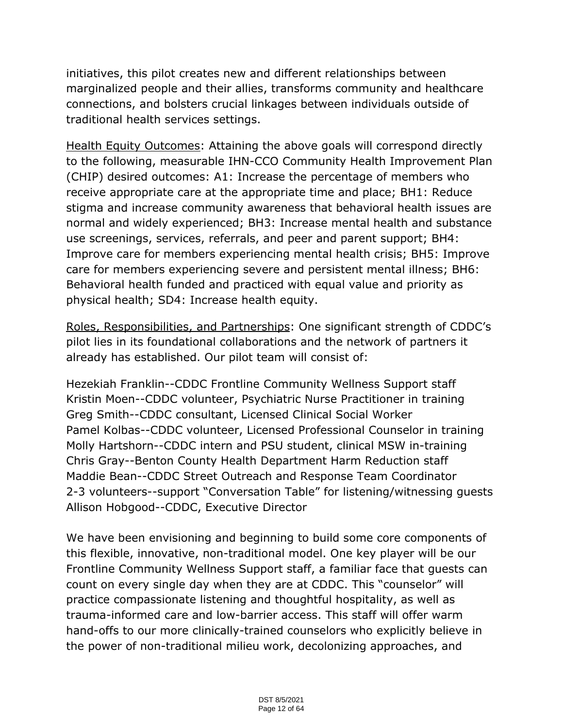initiatives, this pilot creates new and different relationships between marginalized people and their allies, transforms community and healthcare connections, and bolsters crucial linkages between individuals outside of traditional health services settings.

Health Equity Outcomes: Attaining the above goals will correspond directly to the following, measurable IHN-CCO Community Health Improvement Plan (CHIP) desired outcomes: A1: Increase the percentage of members who receive appropriate care at the appropriate time and place; BH1: Reduce stigma and increase community awareness that behavioral health issues are normal and widely experienced; BH3: Increase mental health and substance use screenings, services, referrals, and peer and parent support; BH4: Improve care for members experiencing mental health crisis; BH5: Improve care for members experiencing severe and persistent mental illness; BH6: Behavioral health funded and practiced with equal value and priority as physical health; SD4: Increase health equity.

Roles, Responsibilities, and Partnerships: One significant strength of CDDC's pilot lies in its foundational collaborations and the network of partners it already has established. Our pilot team will consist of:

Hezekiah Franklin--CDDC Frontline Community Wellness Support staff Kristin Moen--CDDC volunteer, Psychiatric Nurse Practitioner in training Greg Smith--CDDC consultant, Licensed Clinical Social Worker Pamel Kolbas--CDDC volunteer, Licensed Professional Counselor in training Molly Hartshorn--CDDC intern and PSU student, clinical MSW in-training Chris Gray--Benton County Health Department Harm Reduction staff Maddie Bean--CDDC Street Outreach and Response Team Coordinator 2-3 volunteers--support "Conversation Table" for listening/witnessing guests Allison Hobgood--CDDC, Executive Director

We have been envisioning and beginning to build some core components of this flexible, innovative, non-traditional model. One key player will be our Frontline Community Wellness Support staff, a familiar face that guests can count on every single day when they are at CDDC. This "counselor" will practice compassionate listening and thoughtful hospitality, as well as trauma-informed care and low-barrier access. This staff will offer warm hand-offs to our more clinically-trained counselors who explicitly believe in the power of non-traditional milieu work, decolonizing approaches, and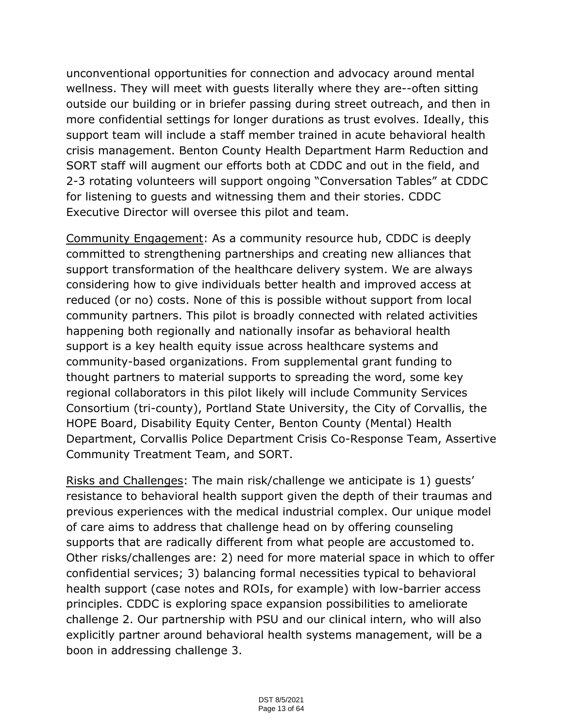unconventional opportunities for connection and advocacy around mental wellness. They will meet with guests literally where they are--often sitting outside our building or in briefer passing during street outreach, and then in more confidential settings for longer durations as trust evolves. Ideally, this support team will include a staff member trained in acute behavioral health crisis management. Benton County Health Department Harm Reduction and SORT staff will augment our efforts both at CDDC and out in the field, and 2-3 rotating volunteers will support ongoing "Conversation Tables" at CDDC for listening to guests and witnessing them and their stories. CDDC Executive Director will oversee this pilot and team.

Community Engagement: As a community resource hub, CDDC is deeply committed to strengthening partnerships and creating new alliances that support transformation of the healthcare delivery system. We are always considering how to give individuals better health and improved access at reduced (or no) costs. None of this is possible without support from local community partners. This pilot is broadly connected with related activities happening both regionally and nationally insofar as behavioral health support is a key health equity issue across healthcare systems and community-based organizations. From supplemental grant funding to thought partners to material supports to spreading the word, some key regional collaborators in this pilot likely will include Community Services Consortium (tri-county), Portland State University, the City of Corvallis, the HOPE Board, Disability Equity Center, Benton County (Mental) Health Department, Corvallis Police Department Crisis Co-Response Team, Assertive Community Treatment Team, and SORT.

Risks and Challenges: The main risk/challenge we anticipate is 1) guests' resistance to behavioral health support given the depth of their traumas and previous experiences with the medical industrial complex. Our unique model of care aims to address that challenge head on by offering counseling supports that are radically different from what people are accustomed to. Other risks/challenges are: 2) need for more material space in which to offer confidential services; 3) balancing formal necessities typical to behavioral health support (case notes and ROIs, for example) with low-barrier access principles. CDDC is exploring space expansion possibilities to ameliorate challenge 2. Our partnership with PSU and our clinical intern, who will also explicitly partner around behavioral health systems management, will be a boon in addressing challenge 3.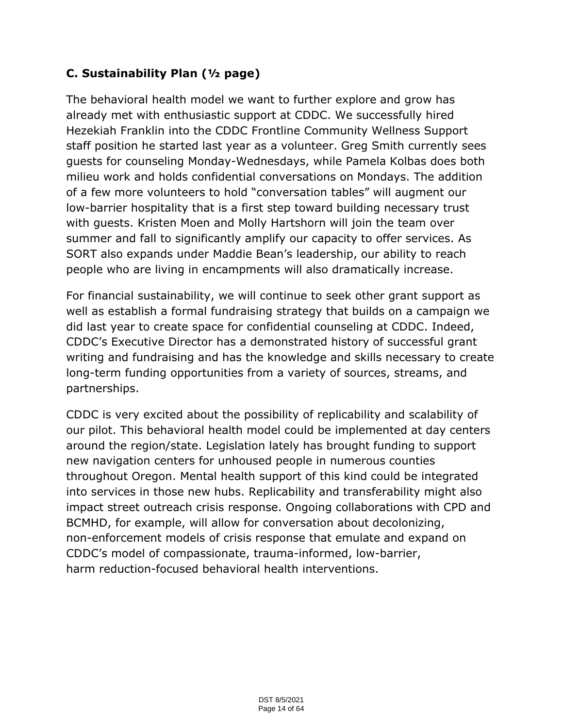# **C. Sustainability Plan (½ page)**

The behavioral health model we want to further explore and grow has already met with enthusiastic support at CDDC. We successfully hired Hezekiah Franklin into the CDDC Frontline Community Wellness Support staff position he started last year as a volunteer. Greg Smith currently sees guests for counseling Monday-Wednesdays, while Pamela Kolbas does both milieu work and holds confidential conversations on Mondays. The addition of a few more volunteers to hold "conversation tables" will augment our low-barrier hospitality that is a first step toward building necessary trust with guests. Kristen Moen and Molly Hartshorn will join the team over summer and fall to significantly amplify our capacity to offer services. As SORT also expands under Maddie Bean's leadership, our ability to reach people who are living in encampments will also dramatically increase.

For financial sustainability, we will continue to seek other grant support as well as establish a formal fundraising strategy that builds on a campaign we did last year to create space for confidential counseling at CDDC. Indeed, CDDC's Executive Director has a demonstrated history of successful grant writing and fundraising and has the knowledge and skills necessary to create long-term funding opportunities from a variety of sources, streams, and partnerships.

CDDC is very excited about the possibility of replicability and scalability of our pilot. This behavioral health model could be implemented at day centers around the region/state. Legislation lately has brought funding to support new navigation centers for unhoused people in numerous counties throughout Oregon. Mental health support of this kind could be integrated into services in those new hubs. Replicability and transferability might also impact street outreach crisis response. Ongoing collaborations with CPD and BCMHD, for example, will allow for conversation about decolonizing, non-enforcement models of crisis response that emulate and expand on CDDC's model of compassionate, trauma-informed, low-barrier, harm reduction-focused behavioral health interventions.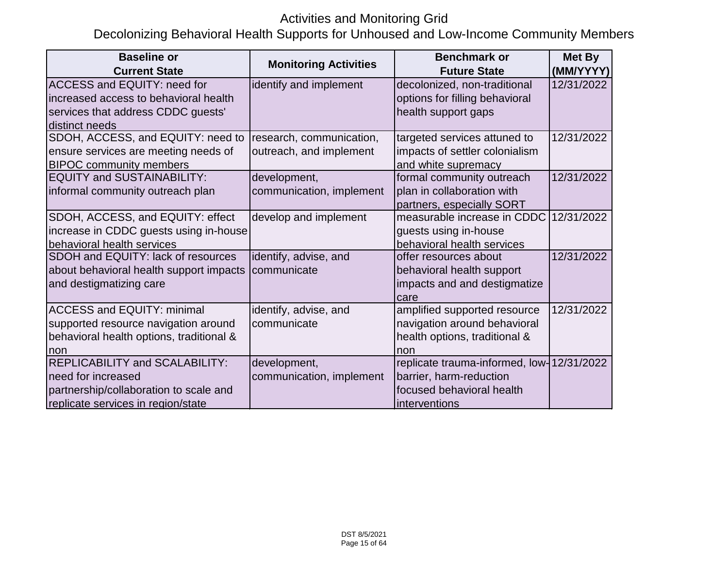# Activities and Monitoring Grid

# Decolonizing Behavioral Health Supports for Unhoused and Low-Income Community Members

| <b>Baseline or</b>                       |                              | <b>Benchmark or</b>                       | Met By     |
|------------------------------------------|------------------------------|-------------------------------------------|------------|
| <b>Current State</b>                     | <b>Monitoring Activities</b> | <b>Future State</b>                       | (MM/YYYY)  |
| <b>ACCESS and EQUITY: need for</b>       | identify and implement       | decolonized, non-traditional              | 12/31/2022 |
| increased access to behavioral health    |                              | options for filling behavioral            |            |
| services that address CDDC guests'       |                              | health support gaps                       |            |
| distinct needs                           |                              |                                           |            |
| SDOH, ACCESS, and EQUITY: need to        | research, communication,     | targeted services attuned to              | 12/31/2022 |
| ensure services are meeting needs of     | outreach, and implement      | impacts of settler colonialism            |            |
| <b>BIPOC community members</b>           |                              | and white supremacy                       |            |
| <b>EQUITY and SUSTAINABILITY:</b>        | development,                 | formal community outreach                 | 12/31/2022 |
| informal community outreach plan         | communication, implement     | plan in collaboration with                |            |
|                                          |                              | partners, especially SORT                 |            |
| SDOH, ACCESS, and EQUITY: effect         | develop and implement        | measurable increase in CDDC               | 12/31/2022 |
| increase in CDDC guests using in-house   |                              | guests using in-house                     |            |
| behavioral health services               |                              | behavioral health services                |            |
| SDOH and EQUITY: lack of resources       | identify, advise, and        | offer resources about                     | 12/31/2022 |
| about behavioral health support impacts  | communicate                  | behavioral health support                 |            |
| and destigmatizing care                  |                              | impacts and and destigmatize              |            |
|                                          |                              | care                                      |            |
| <b>ACCESS and EQUITY: minimal</b>        | identify, advise, and        | amplified supported resource              | 12/31/2022 |
| supported resource navigation around     | communicate                  | navigation around behavioral              |            |
| behavioral health options, traditional & |                              | health options, traditional &             |            |
| non                                      |                              | non                                       |            |
| <b>REPLICABILITY and SCALABILITY:</b>    | development,                 | replicate trauma-informed, low-12/31/2022 |            |
| Ineed for increased                      | communication, implement     | barrier, harm-reduction                   |            |
| partnership/collaboration to scale and   |                              | focused behavioral health                 |            |
| replicate services in region/state       |                              | interventions                             |            |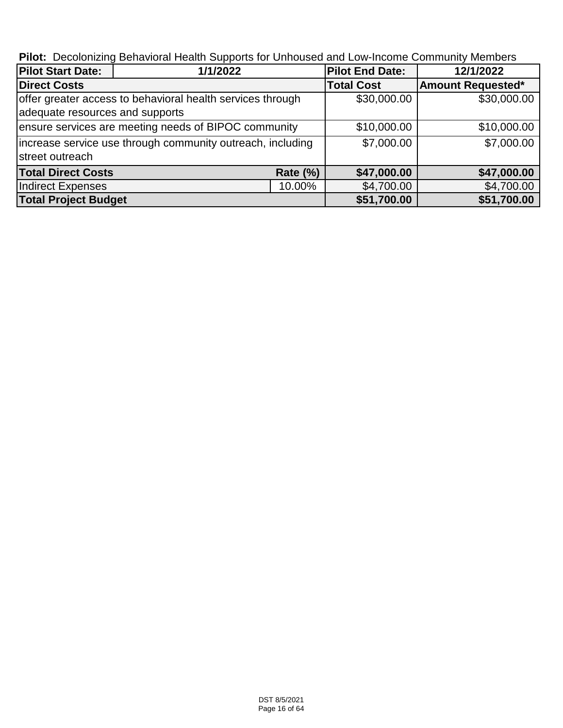**Pilot:** Decolonizing Behavioral Health Supports for Unhoused and Low-Income Community Members

| <b>Pilot Start Date:</b>        | 1/1/2022                                                   |                   | <b>Pilot End Date:</b>   | 12/1/2022   |  |
|---------------------------------|------------------------------------------------------------|-------------------|--------------------------|-------------|--|
| <b>Direct Costs</b>             |                                                            | <b>Total Cost</b> | <b>Amount Requested*</b> |             |  |
|                                 | offer greater access to behavioral health services through | \$30,000.00       | \$30,000.00              |             |  |
| adequate resources and supports |                                                            |                   |                          |             |  |
|                                 | ensure services are meeting needs of BIPOC community       |                   | \$10,000.00              | \$10,000.00 |  |
|                                 | increase service use through community outreach, including |                   | \$7,000.00               | \$7,000.00  |  |
| street outreach                 |                                                            |                   |                          |             |  |
| <b>Total Direct Costs</b>       |                                                            | <b>Rate (%)</b>   | \$47,000.00              | \$47,000.00 |  |
| Indirect Expenses<br>10.00%     |                                                            |                   | \$4,700.00               | \$4,700.00  |  |
| <b>Total Project Budget</b>     |                                                            | \$51,700.00       | \$51,700.00              |             |  |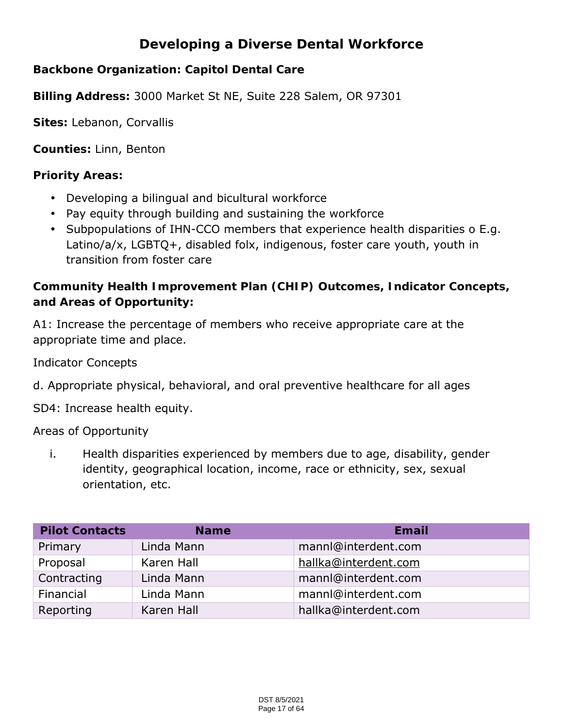# **Developing a Diverse Dental Workforce**

**Backbone Organization: Capitol Dental Care**

**Billing Address:** 3000 Market St NE, Suite 228 Salem, OR 97301

**Sites:** Lebanon, Corvallis

**Counties:** Linn, Benton

**Priority Areas:**

- Developing a bilingual and bicultural workforce
- Pay equity through building and sustaining the workforce
- Subpopulations of IHN-CCO members that experience health disparities o E.g. Latino/a/x, LGBTQ+, disabled folx, indigenous, foster care youth, youth in transition from foster care

**Community Health Improvement Plan (CHIP) Outcomes, Indicator Concepts, and Areas of Opportunity:**

A1: Increase the percentage of members who receive appropriate care at the appropriate time and place.

Indicator Concepts

d. Appropriate physical, behavioral, and oral preventive healthcare for all ages

SD4: Increase health equity.

Areas of Opportunity

i. Health disparities experienced by members due to age, disability, gender identity, geographical location, income, race or ethnicity, sex, sexual orientation, etc.

| <b>Pilot Contacts</b> | <b>Name</b> | Email                |
|-----------------------|-------------|----------------------|
| Primary               | Linda Mann  | mannl@interdent.com  |
| Proposal              | Karen Hall  | hallka@interdent.com |
| Contracting           | Linda Mann  | mannl@interdent.com  |
| Financial             | Linda Mann  | mannl@interdent.com  |
| Reporting             | Karen Hall  | hallka@interdent.com |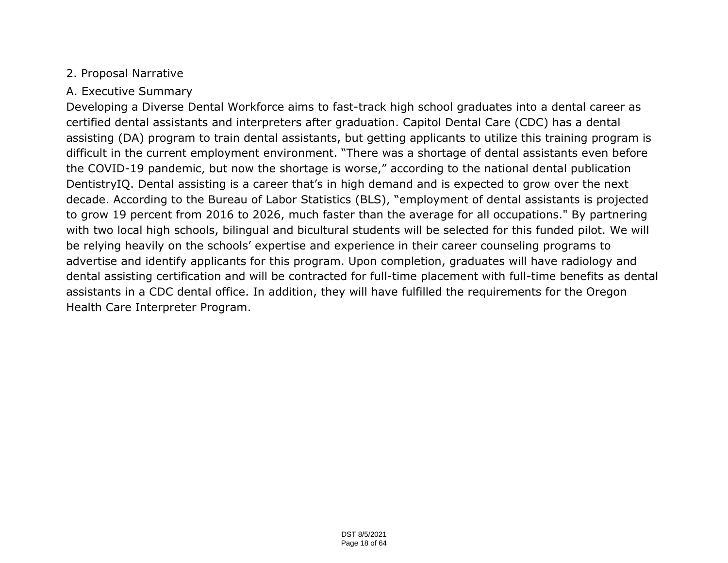# 2. Proposal Narrative

# A. Executive Summary

Developing a Diverse Dental Workforce aims to fast-track high school graduates into a dental career as certified dental assistants and interpreters after graduation. Capitol Dental Care (CDC) has a dental assisting (DA) program to train dental assistants, but getting applicants to utilize this training program is difficult in the current employment environment. "There was a shortage of dental assistants even before the COVID-19 pandemic, but now the shortage is worse," according to the national dental publication DentistryIQ. Dental assisting is a career that's in high demand and is expected to grow over the next decade. According to the Bureau of Labor Statistics (BLS), "employment of dental assistants is projected to grow 19 percent from 2016 to 2026, much faster than the average for all occupations." By partnering with two local high schools, bilingual and bicultural students will be selected for this funded pilot. We will be relying heavily on the schools' expertise and experience in their career counseling programs to advertise and identify applicants for this program. Upon completion, graduates will have radiology and dental assisting certification and will be contracted for full-time placement with full-time benefits as dental assistants in a CDC dental office. In addition, they will have fulfilled the requirements for the Oregon Health Care Interpreter Program.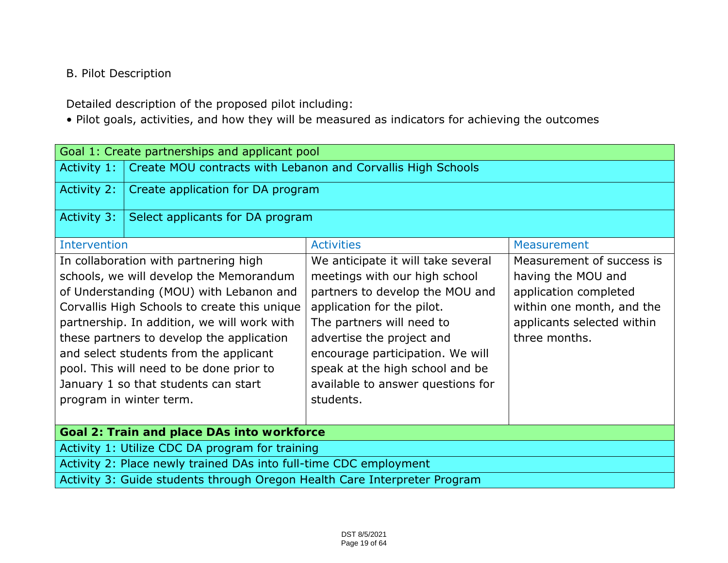# B. Pilot Description

Detailed description of the proposed pilot including:

• Pilot goals, activities, and how they will be measured as indicators for achieving the outcomes

|                                                                           | Goal 1: Create partnerships and applicant pool                                                                                                                                                                                                                                                                                                                                                                                   |                                                                                                                                                                                                                                                                                                                         |                                                                                                                                                      |  |  |
|---------------------------------------------------------------------------|----------------------------------------------------------------------------------------------------------------------------------------------------------------------------------------------------------------------------------------------------------------------------------------------------------------------------------------------------------------------------------------------------------------------------------|-------------------------------------------------------------------------------------------------------------------------------------------------------------------------------------------------------------------------------------------------------------------------------------------------------------------------|------------------------------------------------------------------------------------------------------------------------------------------------------|--|--|
| Activity 1:                                                               | Create MOU contracts with Lebanon and Corvallis High Schools                                                                                                                                                                                                                                                                                                                                                                     |                                                                                                                                                                                                                                                                                                                         |                                                                                                                                                      |  |  |
| Activity 2:                                                               | Create application for DA program                                                                                                                                                                                                                                                                                                                                                                                                |                                                                                                                                                                                                                                                                                                                         |                                                                                                                                                      |  |  |
| Activity 3:                                                               | Select applicants for DA program                                                                                                                                                                                                                                                                                                                                                                                                 |                                                                                                                                                                                                                                                                                                                         |                                                                                                                                                      |  |  |
| <b>Intervention</b>                                                       |                                                                                                                                                                                                                                                                                                                                                                                                                                  | <b>Activities</b>                                                                                                                                                                                                                                                                                                       | Measurement                                                                                                                                          |  |  |
|                                                                           | In collaboration with partnering high<br>schools, we will develop the Memorandum<br>of Understanding (MOU) with Lebanon and<br>Corvallis High Schools to create this unique<br>partnership. In addition, we will work with<br>these partners to develop the application<br>and select students from the applicant<br>pool. This will need to be done prior to<br>January 1 so that students can start<br>program in winter term. | We anticipate it will take several<br>meetings with our high school<br>partners to develop the MOU and<br>application for the pilot.<br>The partners will need to<br>advertise the project and<br>encourage participation. We will<br>speak at the high school and be<br>available to answer questions for<br>students. | Measurement of success is<br>having the MOU and<br>application completed<br>within one month, and the<br>applicants selected within<br>three months. |  |  |
| Goal 2: Train and place DAs into workforce                                |                                                                                                                                                                                                                                                                                                                                                                                                                                  |                                                                                                                                                                                                                                                                                                                         |                                                                                                                                                      |  |  |
| Activity 1: Utilize CDC DA program for training                           |                                                                                                                                                                                                                                                                                                                                                                                                                                  |                                                                                                                                                                                                                                                                                                                         |                                                                                                                                                      |  |  |
| Activity 2: Place newly trained DAs into full-time CDC employment         |                                                                                                                                                                                                                                                                                                                                                                                                                                  |                                                                                                                                                                                                                                                                                                                         |                                                                                                                                                      |  |  |
| Activity 3: Guide students through Oregon Health Care Interpreter Program |                                                                                                                                                                                                                                                                                                                                                                                                                                  |                                                                                                                                                                                                                                                                                                                         |                                                                                                                                                      |  |  |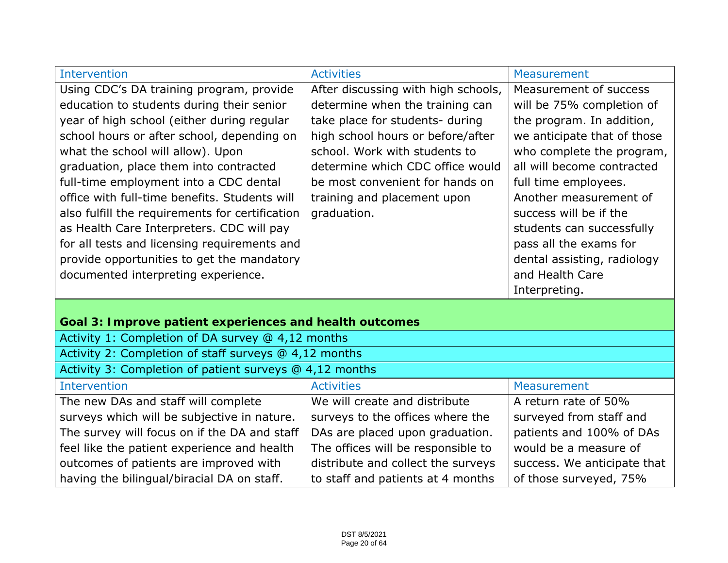| <b>Intervention</b>                                     | <b>Activities</b>                   | Measurement                 |
|---------------------------------------------------------|-------------------------------------|-----------------------------|
| Using CDC's DA training program, provide                | After discussing with high schools, | Measurement of success      |
| education to students during their senior               | determine when the training can     | will be 75% completion of   |
| year of high school (either during regular              | take place for students- during     | the program. In addition,   |
| school hours or after school, depending on              | high school hours or before/after   | we anticipate that of those |
| what the school will allow). Upon                       | school. Work with students to       | who complete the program,   |
| graduation, place them into contracted                  | determine which CDC office would    | all will become contracted  |
| full-time employment into a CDC dental                  | be most convenient for hands on     | full time employees.        |
| office with full-time benefits. Students will           | training and placement upon         | Another measurement of      |
| also fulfill the requirements for certification         | graduation.                         | success will be if the      |
| as Health Care Interpreters. CDC will pay               |                                     | students can successfully   |
| for all tests and licensing requirements and            |                                     | pass all the exams for      |
| provide opportunities to get the mandatory              |                                     | dental assisting, radiology |
| documented interpreting experience.                     |                                     | and Health Care             |
|                                                         |                                     | Interpreting.               |
|                                                         |                                     |                             |
| Goal 3: Improve patient experiences and health outcomes |                                     |                             |
| Activity 1: Completion of DA survey @ 4,12 months       |                                     |                             |
| Activity 2: Completion of staff surveys @ 4,12 months   |                                     |                             |
| Activity 3: Completion of patient surveys @ 4,12 months |                                     |                             |
| <b>Intervention</b>                                     | <b>Activities</b>                   | Measurement                 |
| The new DAs and staff will complete                     | We will create and distribute       | A return rate of 50%        |
| surveys which will be subjective in nature.             | surveys to the offices where the    | surveyed from staff and     |
| The survey will focus on if the DA and staff            | DAs are placed upon graduation.     | patients and 100% of DAs    |
| feel like the patient experience and health             | The offices will be responsible to  | would be a measure of       |
| outcomes of patients are improved with                  | distribute and collect the surveys  | success. We anticipate that |
| having the bilingual/biracial DA on staff.              | to staff and patients at 4 months   | of those surveyed, 75%      |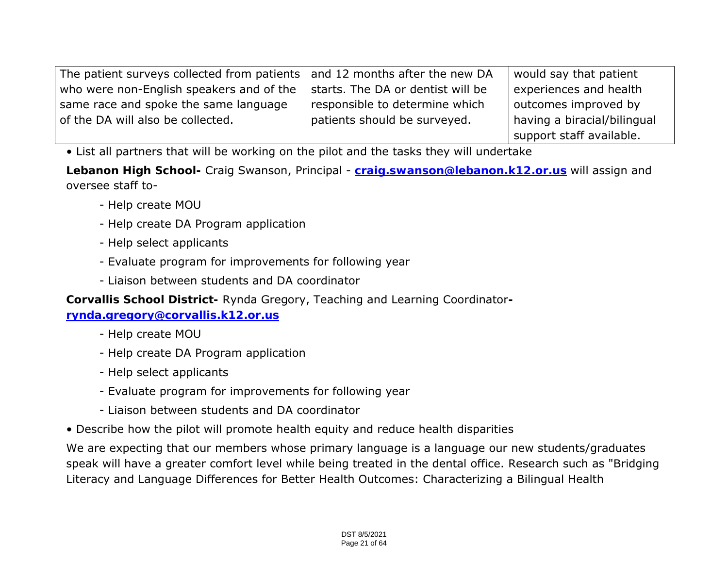| The patient surveys collected from patients $\vert$ and 12 months after the new DA |                                   | would say that patient      |
|------------------------------------------------------------------------------------|-----------------------------------|-----------------------------|
| who were non-English speakers and of the                                           | starts. The DA or dentist will be | experiences and health      |
| same race and spoke the same language                                              | responsible to determine which    | outcomes improved by        |
| of the DA will also be collected.                                                  | patients should be surveyed.      | having a biracial/bilingual |
|                                                                                    |                                   | support staff available.    |

• List all partners that will be working on the pilot and the tasks they will undertake

**Lebanon High School-** Craig Swanson, Principal - **craig.swanson@lebanon.k12.or.us** will assign and oversee staff to-

- Help create MOU
- Help create DA Program application
- Help select applicants
- Evaluate program for improvements for following year
- Liaison between students and DA coordinator

**Corvallis School District-** Rynda Gregory, Teaching and Learning Coordinator**-**

**rynda.gregory@corvallis.k12.or.us**

- Help create MOU
- Help create DA Program application
- Help select applicants
- Evaluate program for improvements for following year
- Liaison between students and DA coordinator
- Describe how the pilot will promote health equity and reduce health disparities

We are expecting that our members whose primary language is a language our new students/graduates speak will have a greater comfort level while being treated in the dental office. Research such as "Bridging Literacy and Language Differences for Better Health Outcomes: Characterizing a Bilingual Health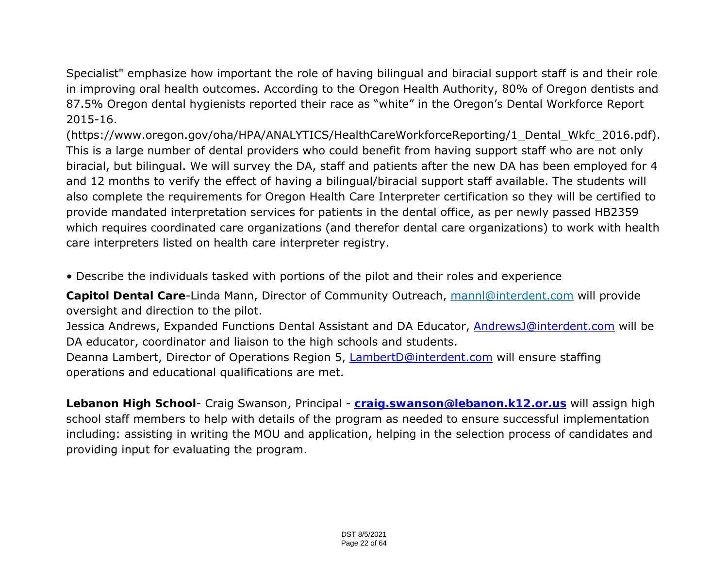Specialist" emphasize how important the role of having bilingual and biracial support staff is and their role in improving oral health outcomes. According to the Oregon Health Authority, 80% of Oregon dentists and 87.5% Oregon dental hygienists reported their race as "white" in the Oregon's Dental Workforce Report 2015-16.

(https://www.oregon.gov/oha/HPA/ANALYTICS/HealthCareWorkforceReporting/1\_Dental\_Wkfc\_2016.pdf). This is a large number of dental providers who could benefit from having support staff who are not only biracial, but bilingual. We will survey the DA, staff and patients after the new DA has been employed for 4 and 12 months to verify the effect of having a bilingual/biracial support staff available. The students will also complete the requirements for Oregon Health Care Interpreter certification so they will be certified to provide mandated interpretation services for patients in the dental office, as per newly passed HB2359 which requires coordinated care organizations (and therefor dental care organizations) to work with health care interpreters listed on health care interpreter registry.

• Describe the individuals tasked with portions of the pilot and their roles and experience

**Capitol Dental Care**-Linda Mann, Director of Community Outreach, mannl@interdent.com will provide oversight and direction to the pilot.

Jessica Andrews, Expanded Functions Dental Assistant and DA Educator, AndrewsJ@interdent.com will be DA educator, coordinator and liaison to the high schools and students.

Deanna Lambert, Director of Operations Region 5, LambertD@interdent.com will ensure staffing operations and educational qualifications are met.

**Lebanon High School**- Craig Swanson, Principal - **craig.swanson@lebanon.k12.or.us** will assign high school staff members to help with details of the program as needed to ensure successful implementation including: assisting in writing the MOU and application, helping in the selection process of candidates and providing input for evaluating the program.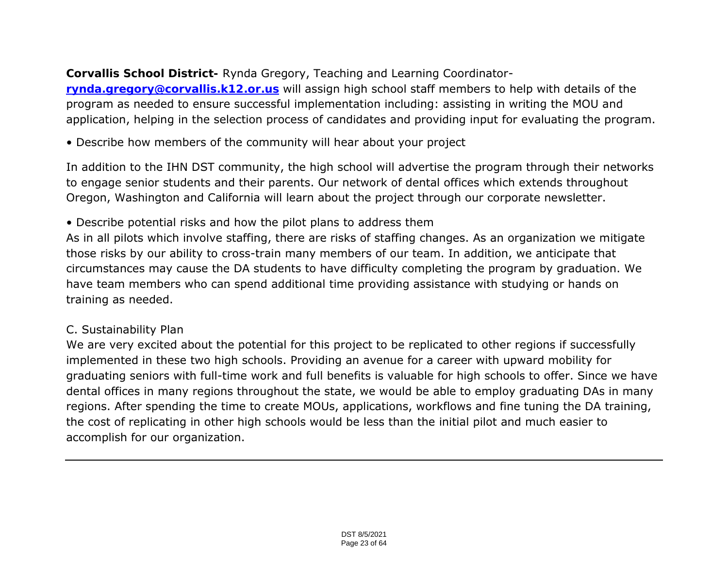**Corvallis School District-** Rynda Gregory, Teaching and Learning Coordinator**rynda.gregory@corvallis.k12.or.us** will assign high school staff members to help with details of the program as needed to ensure successful implementation including: assisting in writing the MOU and application, helping in the selection process of candidates and providing input for evaluating the program.

• Describe how members of the community will hear about your project

In addition to the IHN DST community, the high school will advertise the program through their networks to engage senior students and their parents. Our network of dental offices which extends throughout Oregon, Washington and California will learn about the project through our corporate newsletter.

• Describe potential risks and how the pilot plans to address them

As in all pilots which involve staffing, there are risks of staffing changes. As an organization we mitigate those risks by our ability to cross-train many members of our team. In addition, we anticipate that circumstances may cause the DA students to have difficulty completing the program by graduation. We have team members who can spend additional time providing assistance with studying or hands on training as needed.

# C. Sustainability Plan

We are very excited about the potential for this project to be replicated to other regions if successfully implemented in these two high schools. Providing an avenue for a career with upward mobility for graduating seniors with full-time work and full benefits is valuable for high schools to offer. Since we have dental offices in many regions throughout the state, we would be able to employ graduating DAs in many regions. After spending the time to create MOUs, applications, workflows and fine tuning the DA training, the cost of replicating in other high schools would be less than the initial pilot and much easier to accomplish for our organization.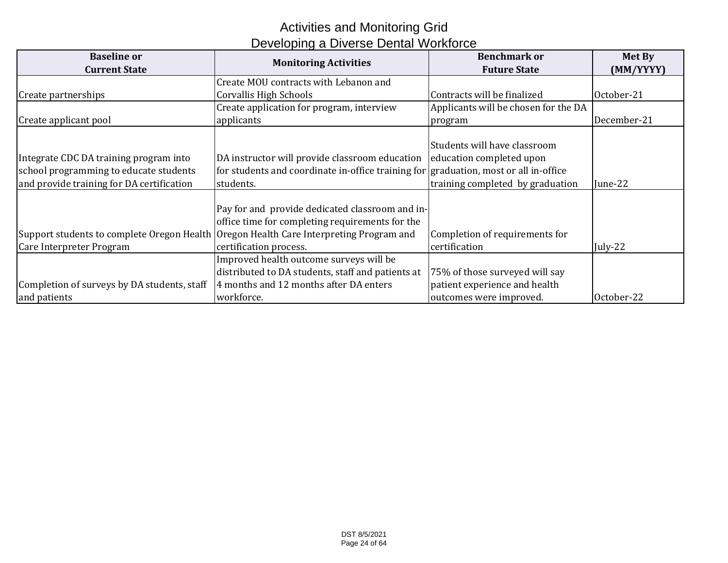# Activities and Monitoring Grid Developing a Diverse Dental Workforce

| <b>Baseline or</b><br><b>Current State</b>                                                                                    | <b>Monitoring Activities</b>                                                                                                                                                                                           | <b>Benchmark or</b><br><b>Future State</b>                                                 | Met By<br>(MM/YYYY) |
|-------------------------------------------------------------------------------------------------------------------------------|------------------------------------------------------------------------------------------------------------------------------------------------------------------------------------------------------------------------|--------------------------------------------------------------------------------------------|---------------------|
|                                                                                                                               | Create MOU contracts with Lebanon and                                                                                                                                                                                  |                                                                                            |                     |
| Create partnerships                                                                                                           | Corvallis High Schools                                                                                                                                                                                                 | Contracts will be finalized                                                                | October-21          |
|                                                                                                                               | Create application for program, interview                                                                                                                                                                              | Applicants will be chosen for the DA                                                       |                     |
| Create applicant pool                                                                                                         | applicants                                                                                                                                                                                                             | program                                                                                    | December-21         |
| Integrate CDC DA training program into<br>school programming to educate students<br>and provide training for DA certification | DA instructor will provide classroom education leducation completed upon<br>for students and coordinate in-office training for graduation, most or all in-office<br>students.                                          | Students will have classroom<br>training completed by graduation                           | June-22             |
| Care Interpreter Program                                                                                                      | Pay for and provide dedicated classroom and in-<br>office time for completing requirements for the<br>Support students to complete Oregon Health Oregon Health Care Interpreting Program and<br>certification process. | Completion of requirements for<br>certification                                            | July-22             |
| Completion of surveys by DA students, staff<br>and patients                                                                   | Improved health outcome surveys will be<br>distributed to DA students, staff and patients at<br>4 months and 12 months after DA enters<br>workforce.                                                                   | 75% of those surveyed will say<br>patient experience and health<br>outcomes were improved. | October-22          |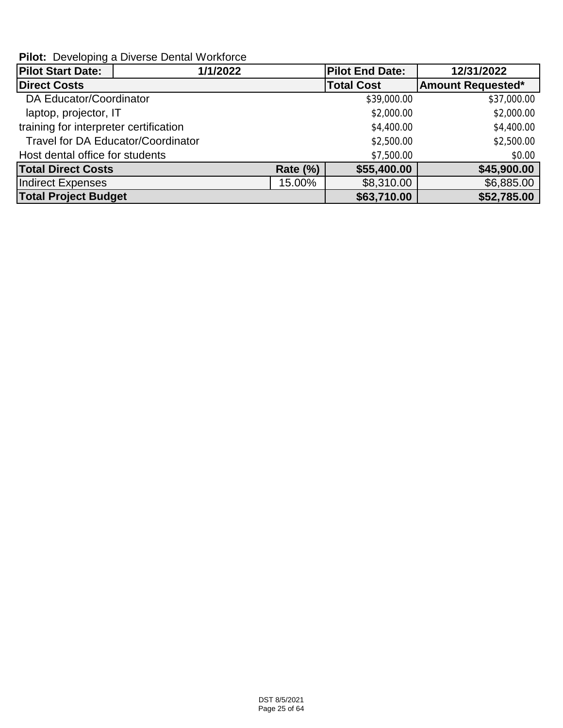**Pilot:** Developing a Diverse Dental Workforce

| <b>Pilot Start Date:</b>               | 1/1/2022                                  |                 | <b>Pilot End Date:</b> | 12/31/2022               |
|----------------------------------------|-------------------------------------------|-----------------|------------------------|--------------------------|
| <b>Direct Costs</b>                    |                                           |                 | <b>Total Cost</b>      | <b>Amount Requested*</b> |
| DA Educator/Coordinator                |                                           |                 | \$39,000.00            | \$37,000.00              |
| laptop, projector, IT                  |                                           |                 | \$2,000.00             | \$2,000.00               |
| training for interpreter certification |                                           |                 | \$4,400.00             | \$4,400.00               |
|                                        | <b>Travel for DA Educator/Coordinator</b> |                 | \$2,500.00             | \$2,500.00               |
| Host dental office for students        |                                           |                 | \$7,500.00             | \$0.00                   |
| <b>Total Direct Costs</b>              |                                           | <b>Rate (%)</b> | \$55,400.00            | \$45,900.00              |
| Indirect Expenses                      |                                           | 15.00%          | \$8,310.00             | \$6,885.00               |
| <b>Total Project Budget</b>            |                                           |                 | \$63,710.00            | \$52,785.00              |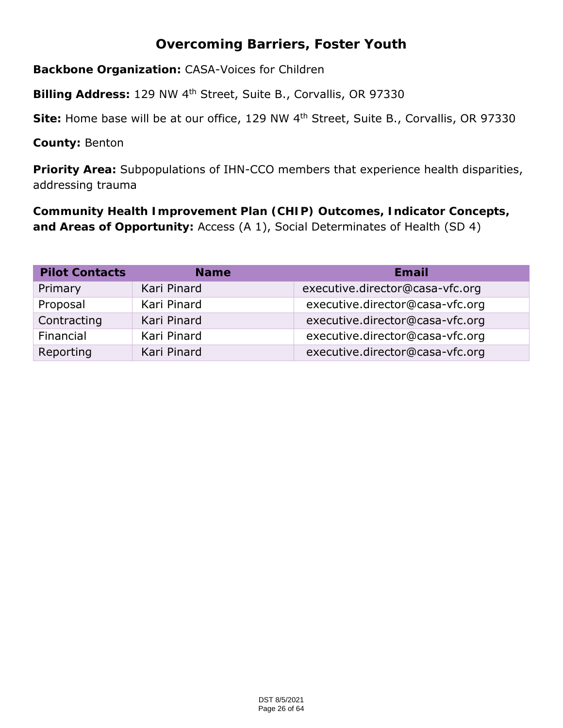# **Overcoming Barriers, Foster Youth**

**Backbone Organization:** CASA-Voices for Children

**Billing Address:** 129 NW 4th Street, Suite B., Corvallis, OR 97330

**Site:** Home base will be at our office, 129 NW 4th Street, Suite B., Corvallis, OR 97330

**County:** Benton

**Priority Area:** Subpopulations of IHN-CCO members that experience health disparities, addressing trauma

**Community Health Improvement Plan (CHIP) Outcomes, Indicator Concepts, and Areas of Opportunity:** Access (A 1), Social Determinates of Health (SD 4)

| <b>Pilot Contacts</b> | <b>Name</b> | Email                           |
|-----------------------|-------------|---------------------------------|
| Primary               | Kari Pinard | executive.director@casa-vfc.org |
| Proposal              | Kari Pinard | executive.director@casa-vfc.org |
| Contracting           | Kari Pinard | executive.director@casa-vfc.org |
| Financial             | Kari Pinard | executive.director@casa-vfc.org |
| Reporting             | Kari Pinard | executive.director@casa-vfc.org |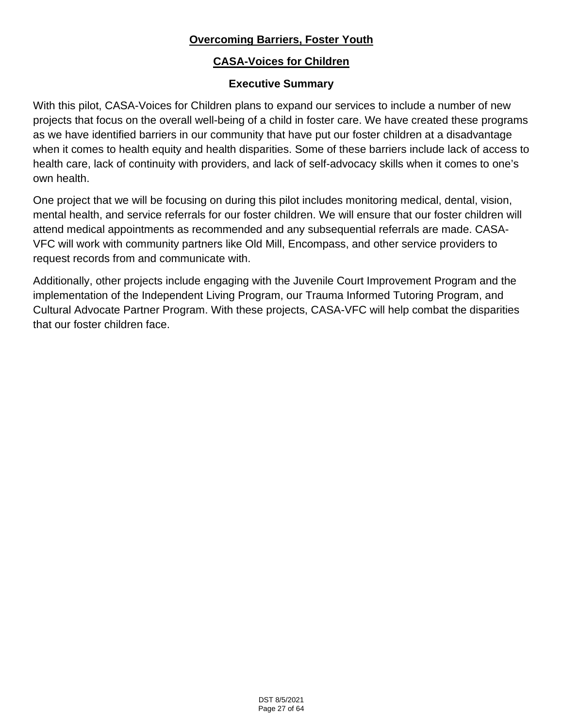# **Overcoming Barriers, Foster Youth**

# **CASA-Voices for Children**

# **Executive Summary**

With this pilot, CASA-Voices for Children plans to expand our services to include a number of new projects that focus on the overall well-being of a child in foster care. We have created these programs as we have identified barriers in our community that have put our foster children at a disadvantage when it comes to health equity and health disparities. Some of these barriers include lack of access to health care, lack of continuity with providers, and lack of self-advocacy skills when it comes to one's own health.

One project that we will be focusing on during this pilot includes monitoring medical, dental, vision, mental health, and service referrals for our foster children. We will ensure that our foster children will attend medical appointments as recommended and any subsequential referrals are made. CASA-VFC will work with community partners like Old Mill, Encompass, and other service providers to request records from and communicate with.

Additionally, other projects include engaging with the Juvenile Court Improvement Program and the implementation of the Independent Living Program, our Trauma Informed Tutoring Program, and Cultural Advocate Partner Program. With these projects, CASA-VFC will help combat the disparities that our foster children face.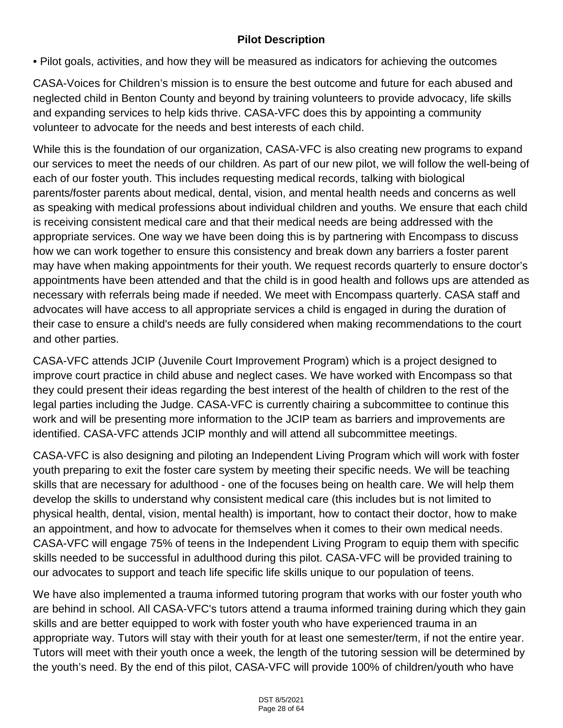# **Pilot Description**

• Pilot goals, activities, and how they will be measured as indicators for achieving the outcomes

CASA-Voices for Children's mission is to ensure the best outcome and future for each abused and neglected child in Benton County and beyond by training volunteers to provide advocacy, life skills and expanding services to help kids thrive. CASA-VFC does this by appointing a community volunteer to advocate for the needs and best interests of each child.

While this is the foundation of our organization, CASA-VFC is also creating new programs to expand our services to meet the needs of our children. As part of our new pilot, we will follow the well-being of each of our foster youth. This includes requesting medical records, talking with biological parents/foster parents about medical, dental, vision, and mental health needs and concerns as well as speaking with medical professions about individual children and youths. We ensure that each child is receiving consistent medical care and that their medical needs are being addressed with the appropriate services. One way we have been doing this is by partnering with Encompass to discuss how we can work together to ensure this consistency and break down any barriers a foster parent may have when making appointments for their youth. We request records quarterly to ensure doctor's appointments have been attended and that the child is in good health and follows ups are attended as necessary with referrals being made if needed. We meet with Encompass quarterly. CASA staff and advocates will have access to all appropriate services a child is engaged in during the duration of their case to ensure a child's needs are fully considered when making recommendations to the court and other parties.

CASA-VFC attends JCIP (Juvenile Court Improvement Program) which is a project designed to improve court practice in child abuse and neglect cases. We have worked with Encompass so that they could present their ideas regarding the best interest of the health of children to the rest of the legal parties including the Judge. CASA-VFC is currently chairing a subcommittee to continue this work and will be presenting more information to the JCIP team as barriers and improvements are identified. CASA-VFC attends JCIP monthly and will attend all subcommittee meetings.

CASA-VFC is also designing and piloting an Independent Living Program which will work with foster youth preparing to exit the foster care system by meeting their specific needs. We will be teaching skills that are necessary for adulthood - one of the focuses being on health care. We will help them develop the skills to understand why consistent medical care (this includes but is not limited to physical health, dental, vision, mental health) is important, how to contact their doctor, how to make an appointment, and how to advocate for themselves when it comes to their own medical needs. CASA-VFC will engage 75% of teens in the Independent Living Program to equip them with specific skills needed to be successful in adulthood during this pilot. CASA-VFC will be provided training to our advocates to support and teach life specific life skills unique to our population of teens.

We have also implemented a trauma informed tutoring program that works with our foster youth who are behind in school. All CASA-VFC's tutors attend a trauma informed training during which they gain skills and are better equipped to work with foster youth who have experienced trauma in an appropriate way. Tutors will stay with their youth for at least one semester/term, if not the entire year. Tutors will meet with their youth once a week, the length of the tutoring session will be determined by the youth's need. By the end of this pilot, CASA-VFC will provide 100% of children/youth who have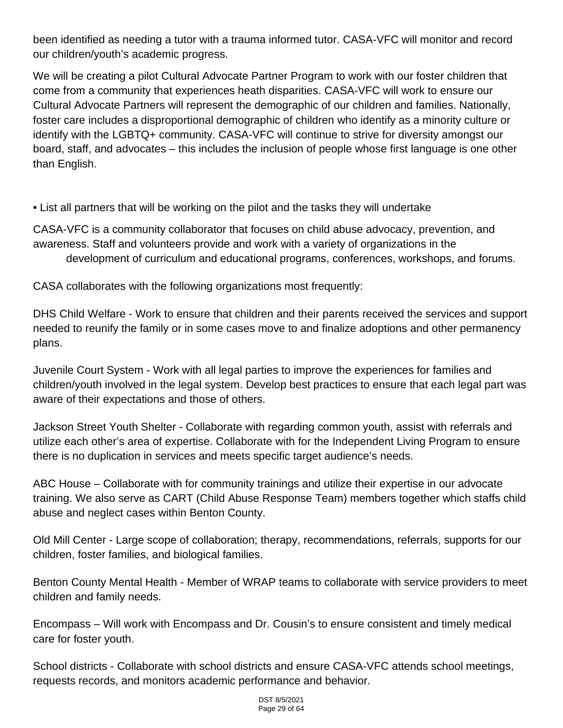been identified as needing a tutor with a trauma informed tutor. CASA-VFC will monitor and record our children/youth's academic progress.

We will be creating a pilot Cultural Advocate Partner Program to work with our foster children that come from a community that experiences heath disparities. CASA-VFC will work to ensure our Cultural Advocate Partners will represent the demographic of our children and families. Nationally, foster care includes a disproportional demographic of children who identify as a minority culture or identify with the LGBTQ+ community. CASA-VFC will continue to strive for diversity amongst our board, staff, and advocates – this includes the inclusion of people whose first language is one other than English.

• List all partners that will be working on the pilot and the tasks they will undertake

CASA-VFC is a community collaborator that focuses on child abuse advocacy, prevention, and awareness. Staff and volunteers provide and work with a variety of organizations in the development of curriculum and educational programs, conferences, workshops, and forums.

CASA collaborates with the following organizations most frequently:

DHS Child Welfare - Work to ensure that children and their parents received the services and support needed to reunify the family or in some cases move to and finalize adoptions and other permanency plans.

Juvenile Court System - Work with all legal parties to improve the experiences for families and children/youth involved in the legal system. Develop best practices to ensure that each legal part was aware of their expectations and those of others.

Jackson Street Youth Shelter - Collaborate with regarding common youth, assist with referrals and utilize each other's area of expertise. Collaborate with for the Independent Living Program to ensure there is no duplication in services and meets specific target audience's needs.

ABC House – Collaborate with for community trainings and utilize their expertise in our advocate training. We also serve as CART (Child Abuse Response Team) members together which staffs child abuse and neglect cases within Benton County.

Old Mill Center - Large scope of collaboration; therapy, recommendations, referrals, supports for our children, foster families, and biological families.

Benton County Mental Health - Member of WRAP teams to collaborate with service providers to meet children and family needs.

Encompass – Will work with Encompass and Dr. Cousin's to ensure consistent and timely medical care for foster youth.

School districts - Collaborate with school districts and ensure CASA-VFC attends school meetings, requests records, and monitors academic performance and behavior.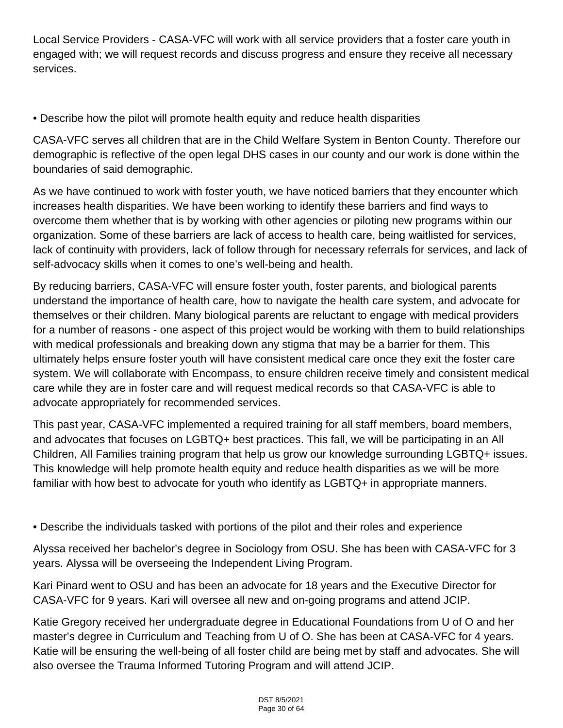Local Service Providers - CASA-VFC will work with all service providers that a foster care youth in engaged with; we will request records and discuss progress and ensure they receive all necessary services.

• Describe how the pilot will promote health equity and reduce health disparities

CASA-VFC serves all children that are in the Child Welfare System in Benton County. Therefore our demographic is reflective of the open legal DHS cases in our county and our work is done within the boundaries of said demographic.

As we have continued to work with foster youth, we have noticed barriers that they encounter which increases health disparities. We have been working to identify these barriers and find ways to overcome them whether that is by working with other agencies or piloting new programs within our organization. Some of these barriers are lack of access to health care, being waitlisted for services, lack of continuity with providers, lack of follow through for necessary referrals for services, and lack of self-advocacy skills when it comes to one's well-being and health.

By reducing barriers, CASA-VFC will ensure foster youth, foster parents, and biological parents understand the importance of health care, how to navigate the health care system, and advocate for themselves or their children. Many biological parents are reluctant to engage with medical providers for a number of reasons - one aspect of this project would be working with them to build relationships with medical professionals and breaking down any stigma that may be a barrier for them. This ultimately helps ensure foster youth will have consistent medical care once they exit the foster care system. We will collaborate with Encompass, to ensure children receive timely and consistent medical care while they are in foster care and will request medical records so that CASA-VFC is able to advocate appropriately for recommended services.

This past year, CASA-VFC implemented a required training for all staff members, board members, and advocates that focuses on LGBTQ+ best practices. This fall, we will be participating in an All Children, All Families training program that help us grow our knowledge surrounding LGBTQ+ issues. This knowledge will help promote health equity and reduce health disparities as we will be more familiar with how best to advocate for youth who identify as LGBTQ+ in appropriate manners.

• Describe the individuals tasked with portions of the pilot and their roles and experience

Alyssa received her bachelor's degree in Sociology from OSU. She has been with CASA-VFC for 3 years. Alyssa will be overseeing the Independent Living Program.

Kari Pinard went to OSU and has been an advocate for 18 years and the Executive Director for CASA-VFC for 9 years. Kari will oversee all new and on-going programs and attend JCIP.

Katie Gregory received her undergraduate degree in Educational Foundations from U of O and her master's degree in Curriculum and Teaching from U of O. She has been at CASA-VFC for 4 years. Katie will be ensuring the well-being of all foster child are being met by staff and advocates. She will also oversee the Trauma Informed Tutoring Program and will attend JCIP.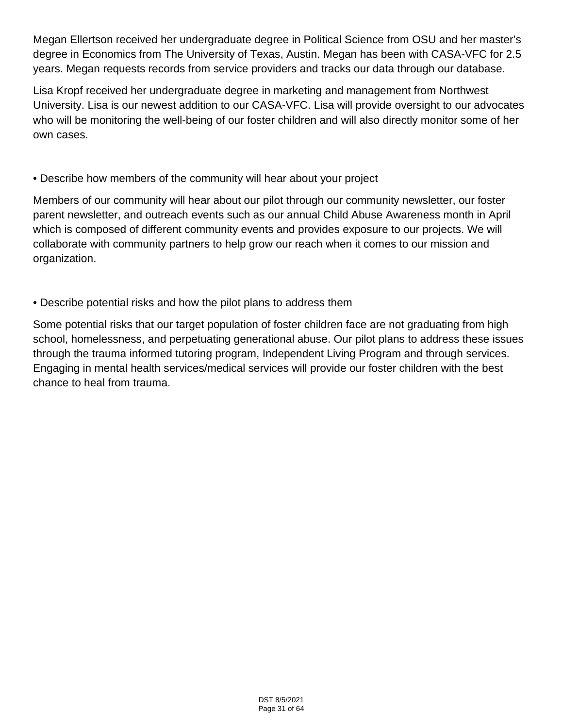Megan Ellertson received her undergraduate degree in Political Science from OSU and her master's degree in Economics from The University of Texas, Austin. Megan has been with CASA-VFC for 2.5 years. Megan requests records from service providers and tracks our data through our database.

Lisa Kropf received her undergraduate degree in marketing and management from Northwest University. Lisa is our newest addition to our CASA-VFC. Lisa will provide oversight to our advocates who will be monitoring the well-being of our foster children and will also directly monitor some of her own cases.

# • Describe how members of the community will hear about your project

Members of our community will hear about our pilot through our community newsletter, our foster parent newsletter, and outreach events such as our annual Child Abuse Awareness month in April which is composed of different community events and provides exposure to our projects. We will collaborate with community partners to help grow our reach when it comes to our mission and organization.

# • Describe potential risks and how the pilot plans to address them

Some potential risks that our target population of foster children face are not graduating from high school, homelessness, and perpetuating generational abuse. Our pilot plans to address these issues through the trauma informed tutoring program, Independent Living Program and through services. Engaging in mental health services/medical services will provide our foster children with the best chance to heal from trauma.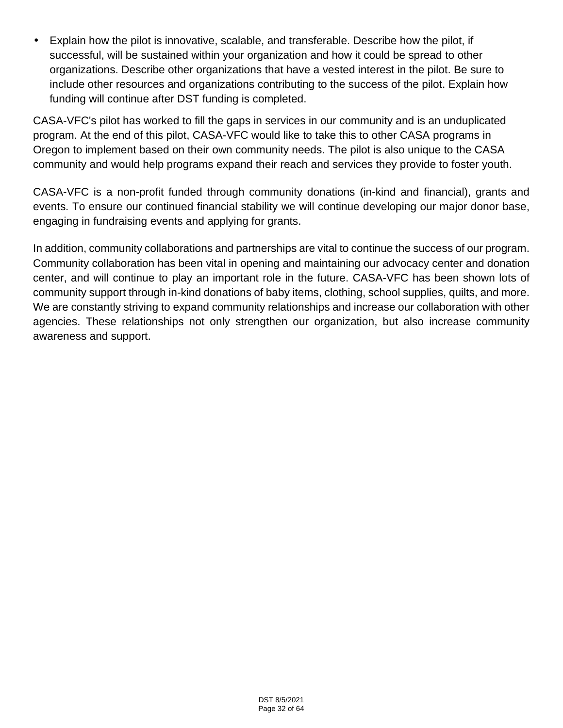Explain how the pilot is innovative, scalable, and transferable. Describe how the pilot, if successful, will be sustained within your organization and how it could be spread to other organizations. Describe other organizations that have a vested interest in the pilot. Be sure to include other resources and organizations contributing to the success of the pilot. Explain how funding will continue after DST funding is completed.

CASA-VFC's pilot has worked to fill the gaps in services in our community and is an unduplicated program. At the end of this pilot, CASA-VFC would like to take this to other CASA programs in Oregon to implement based on their own community needs. The pilot is also unique to the CASA community and would help programs expand their reach and services they provide to foster youth.

CASA-VFC is a non-profit funded through community donations (in-kind and financial), grants and events. To ensure our continued financial stability we will continue developing our major donor base, engaging in fundraising events and applying for grants.

In addition, community collaborations and partnerships are vital to continue the success of our program. Community collaboration has been vital in opening and maintaining our advocacy center and donation center, and will continue to play an important role in the future. CASA-VFC has been shown lots of community support through in-kind donations of baby items, clothing, school supplies, quilts, and more. We are constantly striving to expand community relationships and increase our collaboration with other agencies. These relationships not only strengthen our organization, but also increase community awareness and support.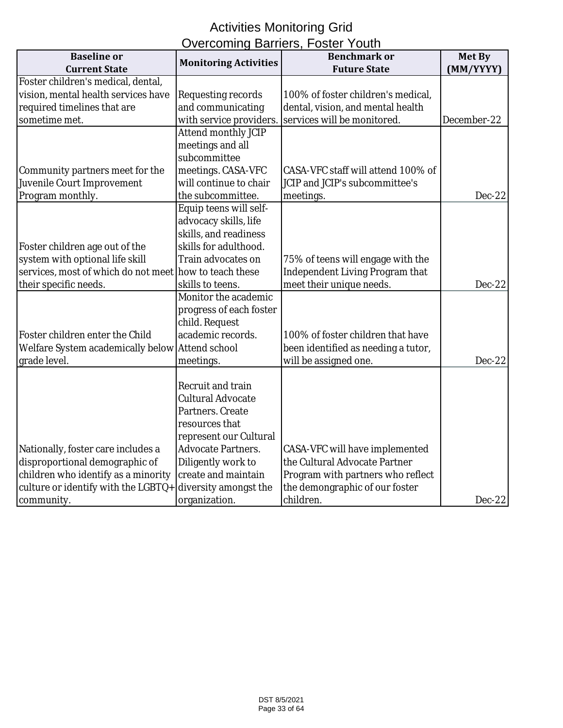# Activities Monitoring Grid Overcoming Barriers, Foster Youth

| Overcommig Daniers, i Oster Todul<br><b>Baseline</b> or<br><b>Benchmark or</b> |                              |                                        | <b>Met By</b> |
|--------------------------------------------------------------------------------|------------------------------|----------------------------------------|---------------|
| <b>Current State</b>                                                           | <b>Monitoring Activities</b> | <b>Future State</b>                    | (MM/YYYY)     |
| Foster children's medical, dental,                                             |                              |                                        |               |
| vision, mental health services have                                            |                              |                                        |               |
|                                                                                | Requesting records           | 100% of foster children's medical,     |               |
| required timelines that are                                                    | and communicating            | dental, vision, and mental health      |               |
| sometime met.                                                                  | with service providers.      | services will be monitored.            | December-22   |
|                                                                                | <b>Attend monthly JCIP</b>   |                                        |               |
|                                                                                | meetings and all             |                                        |               |
|                                                                                | subcommittee                 |                                        |               |
| Community partners meet for the                                                | meetings. CASA-VFC           | CASA-VFC staff will attend 100% of     |               |
| Juvenile Court Improvement                                                     | will continue to chair       | JCIP and JCIP's subcommittee's         |               |
| Program monthly.                                                               | the subcommittee.            | meetings.                              | $Dec-22$      |
|                                                                                | Equip teens will self-       |                                        |               |
|                                                                                | advocacy skills, life        |                                        |               |
|                                                                                | skills, and readiness        |                                        |               |
| Foster children age out of the                                                 | skills for adulthood.        |                                        |               |
| system with optional life skill                                                | Train advocates on           | 75% of teens will engage with the      |               |
| services, most of which do not meet how to teach these                         |                              | <b>Independent Living Program that</b> |               |
| their specific needs.                                                          | skills to teens.             | meet their unique needs.               | $Dec-22$      |
|                                                                                | Monitor the academic         |                                        |               |
|                                                                                | progress of each foster      |                                        |               |
|                                                                                | child. Request               |                                        |               |
| Foster children enter the Child                                                | academic records.            | 100% of foster children that have      |               |
| Welfare System academically below                                              | <b>Attend school</b>         | been identified as needing a tutor,    |               |
| grade level.                                                                   | meetings.                    | will be assigned one.                  | $Dec-22$      |
|                                                                                |                              |                                        |               |
|                                                                                | <b>Recruit and train</b>     |                                        |               |
|                                                                                | <b>Cultural Advocate</b>     |                                        |               |
|                                                                                | Partners. Create             |                                        |               |
|                                                                                | resources that               |                                        |               |
|                                                                                | represent our Cultural       |                                        |               |
| Nationally, foster care includes a                                             | <b>Advocate Partners.</b>    | CASA-VFC will have implemented         |               |
| disproportional demographic of                                                 | Diligently work to           | the Cultural Advocate Partner          |               |
| children who identify as a minority                                            | create and maintain          | Program with partners who reflect      |               |
| culture or identify with the LGBTQ+                                            | diversity amongst the        | the demongraphic of our foster         |               |
| community.                                                                     | organization.                | children.                              | $Dec-22$      |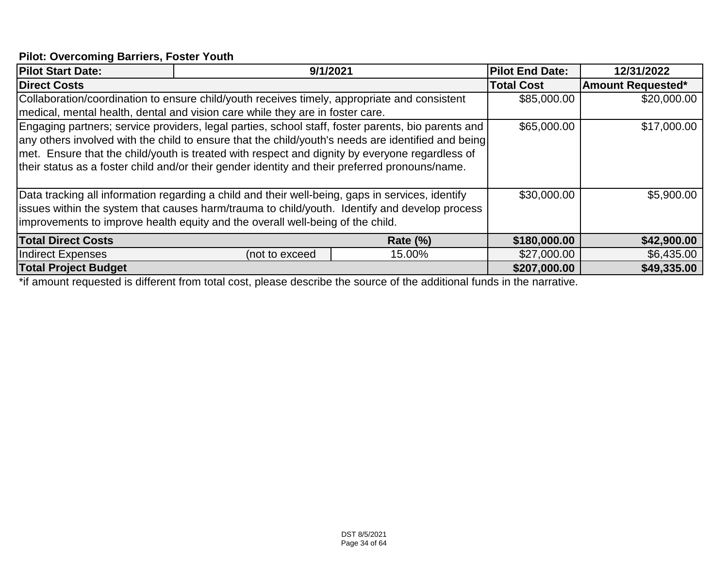### **Pilot: Overcoming Barriers, Foster Youth**

|                     |                                                                                                                  |                                                                                                                                                                                                                                                                                                                                                                                                                                                                                                                                                                                                                                                                                                                                                                                                                                                           | 12/31/2022                                                                                                                                                                                                                                   |
|---------------------|------------------------------------------------------------------------------------------------------------------|-----------------------------------------------------------------------------------------------------------------------------------------------------------------------------------------------------------------------------------------------------------------------------------------------------------------------------------------------------------------------------------------------------------------------------------------------------------------------------------------------------------------------------------------------------------------------------------------------------------------------------------------------------------------------------------------------------------------------------------------------------------------------------------------------------------------------------------------------------------|----------------------------------------------------------------------------------------------------------------------------------------------------------------------------------------------------------------------------------------------|
| <b>Direct Costs</b> |                                                                                                                  |                                                                                                                                                                                                                                                                                                                                                                                                                                                                                                                                                                                                                                                                                                                                                                                                                                                           | <b>Amount Requested*</b>                                                                                                                                                                                                                     |
|                     |                                                                                                                  | \$85,000.00                                                                                                                                                                                                                                                                                                                                                                                                                                                                                                                                                                                                                                                                                                                                                                                                                                               | \$20,000.00                                                                                                                                                                                                                                  |
|                     |                                                                                                                  |                                                                                                                                                                                                                                                                                                                                                                                                                                                                                                                                                                                                                                                                                                                                                                                                                                                           |                                                                                                                                                                                                                                              |
|                     |                                                                                                                  | \$65,000.00                                                                                                                                                                                                                                                                                                                                                                                                                                                                                                                                                                                                                                                                                                                                                                                                                                               | \$17,000.00                                                                                                                                                                                                                                  |
|                     |                                                                                                                  |                                                                                                                                                                                                                                                                                                                                                                                                                                                                                                                                                                                                                                                                                                                                                                                                                                                           |                                                                                                                                                                                                                                              |
|                     |                                                                                                                  |                                                                                                                                                                                                                                                                                                                                                                                                                                                                                                                                                                                                                                                                                                                                                                                                                                                           |                                                                                                                                                                                                                                              |
|                     |                                                                                                                  |                                                                                                                                                                                                                                                                                                                                                                                                                                                                                                                                                                                                                                                                                                                                                                                                                                                           |                                                                                                                                                                                                                                              |
|                     |                                                                                                                  |                                                                                                                                                                                                                                                                                                                                                                                                                                                                                                                                                                                                                                                                                                                                                                                                                                                           |                                                                                                                                                                                                                                              |
|                     |                                                                                                                  | \$30,000.00                                                                                                                                                                                                                                                                                                                                                                                                                                                                                                                                                                                                                                                                                                                                                                                                                                               | \$5,900.00                                                                                                                                                                                                                                   |
|                     |                                                                                                                  |                                                                                                                                                                                                                                                                                                                                                                                                                                                                                                                                                                                                                                                                                                                                                                                                                                                           |                                                                                                                                                                                                                                              |
|                     |                                                                                                                  |                                                                                                                                                                                                                                                                                                                                                                                                                                                                                                                                                                                                                                                                                                                                                                                                                                                           |                                                                                                                                                                                                                                              |
|                     | <b>Rate (%)</b>                                                                                                  | \$180,000.00                                                                                                                                                                                                                                                                                                                                                                                                                                                                                                                                                                                                                                                                                                                                                                                                                                              | \$42,900.00                                                                                                                                                                                                                                  |
| (not to exceed      | 15.00%                                                                                                           | \$27,000.00                                                                                                                                                                                                                                                                                                                                                                                                                                                                                                                                                                                                                                                                                                                                                                                                                                               | \$6,435.00                                                                                                                                                                                                                                   |
|                     |                                                                                                                  | \$207,000.00                                                                                                                                                                                                                                                                                                                                                                                                                                                                                                                                                                                                                                                                                                                                                                                                                                              | \$49,335.00                                                                                                                                                                                                                                  |
|                     | recommendate the contract of the contract of the contract of the contract of the contract of the contract of the | 9/1/2021<br>Collaboration/coordination to ensure child/youth receives timely, appropriate and consistent<br>medical, mental health, dental and vision care while they are in foster care.<br>Engaging partners; service providers, legal parties, school staff, foster parents, bio parents and<br>met. Ensure that the child/youth is treated with respect and dignity by everyone regardless of<br>their status as a foster child and/or their gender identity and their preferred pronouns/name.<br>Data tracking all information regarding a child and their well-being, gaps in services, identify<br>issues within the system that causes harm/trauma to child/youth. Identify and develop process<br>improvements to improve health equity and the overall well-being of the child.<br>$\sim$ $\sim$ $\sim$<br>and the property of the contract of | <b>Pilot End Date:</b><br><b>Total Cost</b><br>any others involved with the child to ensure that the child/youth's needs are identified and being<br>$\mathbf{r}$ , $\mathbf{r}$ , $\mathbf{r}$ , $\mathbf{r}$ , $\mathbf{r}$ , $\mathbf{r}$ |

\*if amount requested is different from total cost, please describe the source of the additional funds in the narrative.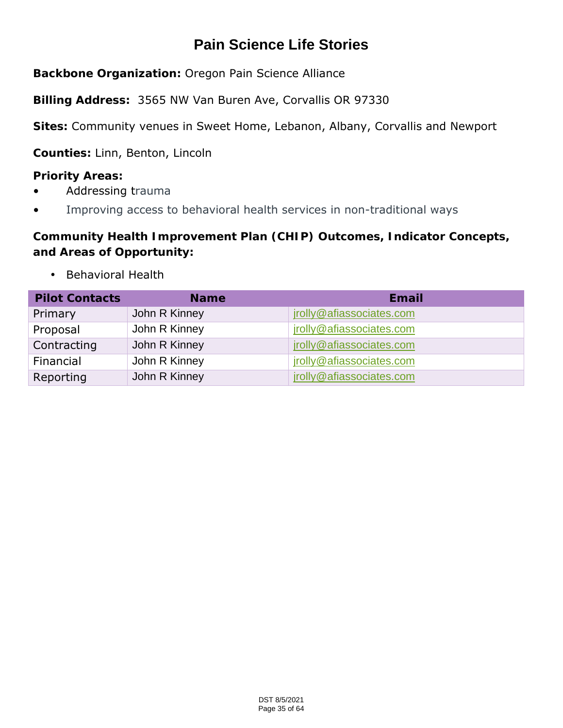# **Pain Science Life Stories**

**Backbone Organization:** Oregon Pain Science Alliance

**Billing Address:** 3565 NW Van Buren Ave, Corvallis OR 97330

**Sites:** Community venues in Sweet Home, Lebanon, Albany, Corvallis and Newport

**Counties:** Linn, Benton, Lincoln

**Priority Areas:**

- Addressing trauma
- Improving access to behavioral health services in non-traditional ways

**Community Health Improvement Plan (CHIP) Outcomes, Indicator Concepts, and Areas of Opportunity:** 

Behavioral Health  $\mathbf{L}^{(1)}$  .

| <b>Pilot Contacts</b> | <b>Name</b>   | Email                    |
|-----------------------|---------------|--------------------------|
| Primary               | John R Kinney | jrolly@afiassociates.com |
| Proposal              | John R Kinney | jrolly@afiassociates.com |
| Contracting           | John R Kinney | jrolly@afiassociates.com |
| Financial             | John R Kinney | jrolly@afiassociates.com |
| Reporting             | John R Kinney | jrolly@afiassociates.com |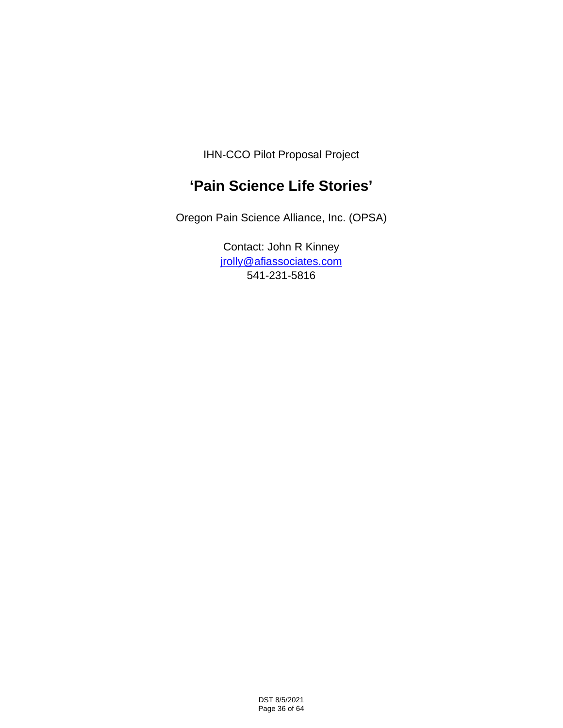IHN-CCO Pilot Proposal Project

# **'Pain Science Life Stories'**

Oregon Pain Science Alliance, Inc. (OPSA)

Contact: John R Kinney jrolly@afiassociates.com 541-231-5816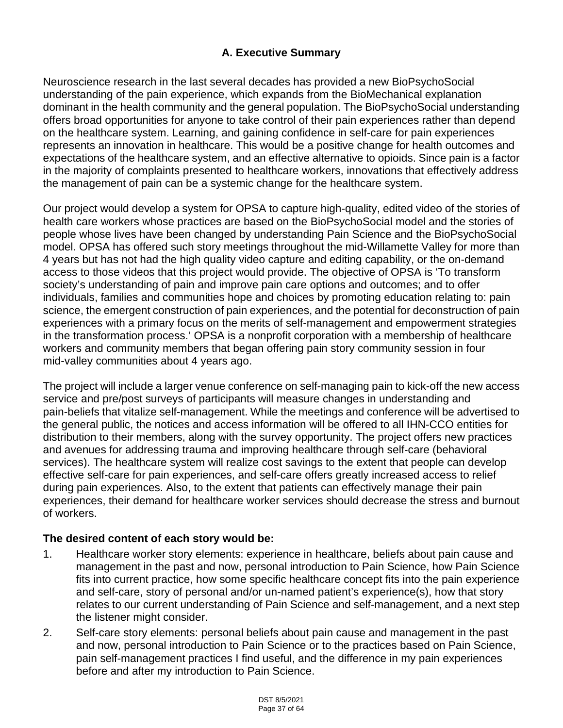# **A. Executive Summary**

Neuroscience research in the last several decades has provided a new BioPsychoSocial understanding of the pain experience, which expands from the BioMechanical explanation dominant in the health community and the general population. The BioPsychoSocial understanding offers broad opportunities for anyone to take control of their pain experiences rather than depend on the healthcare system. Learning, and gaining confidence in self-care for pain experiences represents an innovation in healthcare. This would be a positive change for health outcomes and expectations of the healthcare system, and an effective alternative to opioids. Since pain is a factor in the majority of complaints presented to healthcare workers, innovations that effectively address the management of pain can be a systemic change for the healthcare system.

Our project would develop a system for OPSA to capture high-quality, edited video of the stories of health care workers whose practices are based on the BioPsychoSocial model and the stories of people whose lives have been changed by understanding Pain Science and the BioPsychoSocial model. OPSA has offered such story meetings throughout the mid-Willamette Valley for more than 4 years but has not had the high quality video capture and editing capability, or the on-demand access to those videos that this project would provide. The objective of OPSA is 'To transform society's understanding of pain and improve pain care options and outcomes; and to offer individuals, families and communities hope and choices by promoting education relating to: pain science, the emergent construction of pain experiences, and the potential for deconstruction of pain experiences with a primary focus on the merits of self-management and empowerment strategies in the transformation process.' OPSA is a nonprofit corporation with a membership of healthcare workers and community members that began offering pain story community session in four mid-valley communities about 4 years ago.

The project will include a larger venue conference on self-managing pain to kick-off the new access service and pre/post surveys of participants will measure changes in understanding and pain-beliefs that vitalize self-management. While the meetings and conference will be advertised to the general public, the notices and access information will be offered to all IHN-CCO entities for distribution to their members, along with the survey opportunity. The project offers new practices and avenues for addressing trauma and improving healthcare through self-care (behavioral services). The healthcare system will realize cost savings to the extent that people can develop effective self-care for pain experiences, and self-care offers greatly increased access to relief during pain experiences. Also, to the extent that patients can effectively manage their pain experiences, their demand for healthcare worker services should decrease the stress and burnout of workers.

## **The desired content of each story would be:**

- 1. Healthcare worker story elements: experience in healthcare, beliefs about pain cause and management in the past and now, personal introduction to Pain Science, how Pain Science fits into current practice, how some specific healthcare concept fits into the pain experience and self-care, story of personal and/or un-named patient's experience(s), how that story relates to our current understanding of Pain Science and self-management, and a next step the listener might consider.
- 2. Self-care story elements: personal beliefs about pain cause and management in the past and now, personal introduction to Pain Science or to the practices based on Pain Science, pain self-management practices I find useful, and the difference in my pain experiences before and after my introduction to Pain Science.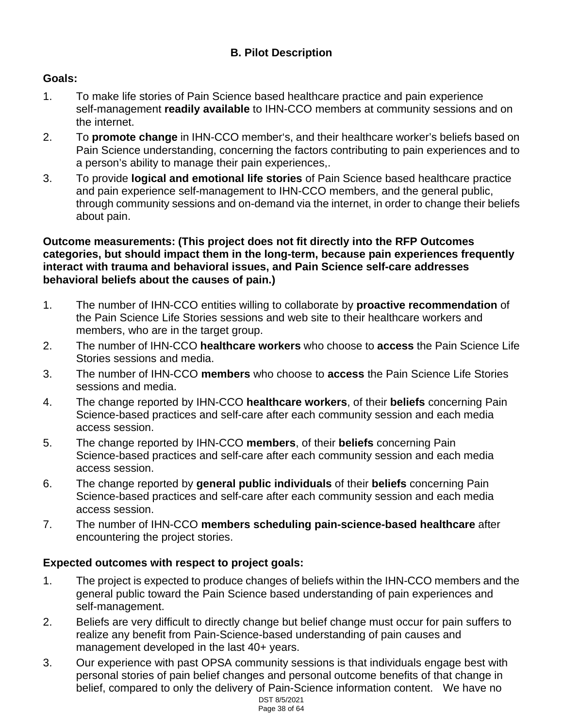# **B. Pilot Description**

# **Goals:**

- 1. To make life stories of Pain Science based healthcare practice and pain experience self-management **readily available** to IHN-CCO members at community sessions and on the internet.
- 2. To **promote change** in IHN-CCO member's, and their healthcare worker's beliefs based on Pain Science understanding, concerning the factors contributing to pain experiences and to a person's ability to manage their pain experiences,.
- 3. To provide **logical and emotional life stories** of Pain Science based healthcare practice and pain experience self-management to IHN-CCO members, and the general public, through community sessions and on-demand via the internet, in order to change their beliefs about pain.

#### **Outcome measurements: (This project does not fit directly into the RFP Outcomes categories, but should impact them in the long-term, because pain experiences frequently interact with trauma and behavioral issues, and Pain Science self-care addresses behavioral beliefs about the causes of pain.)**

- 1. The number of IHN-CCO entities willing to collaborate by **proactive recommendation** of the Pain Science Life Stories sessions and web site to their healthcare workers and members, who are in the target group.
- 2. The number of IHN-CCO **healthcare workers** who choose to **access** the Pain Science Life Stories sessions and media.
- 3. The number of IHN-CCO **members** who choose to **access** the Pain Science Life Stories sessions and media.
- 4. The change reported by IHN-CCO **healthcare workers**, of their **beliefs** concerning Pain Science-based practices and self-care after each community session and each media access session.
- 5. The change reported by IHN-CCO **members**, of their **beliefs** concerning Pain Science-based practices and self-care after each community session and each media access session.
- 6. The change reported by **general public individuals** of their **beliefs** concerning Pain Science-based practices and self-care after each community session and each media access session.
- 7. The number of IHN-CCO **members scheduling pain-science-based healthcare** after encountering the project stories.

## **Expected outcomes with respect to project goals:**

- 1. The project is expected to produce changes of beliefs within the IHN-CCO members and the general public toward the Pain Science based understanding of pain experiences and self-management.
- 2. Beliefs are very difficult to directly change but belief change must occur for pain suffers to realize any benefit from Pain-Science-based understanding of pain causes and management developed in the last 40+ years.
- 3. Our experience with past OPSA community sessions is that individuals engage best with personal stories of pain belief changes and personal outcome benefits of that change in belief, compared to only the delivery of Pain-Science information content. We have no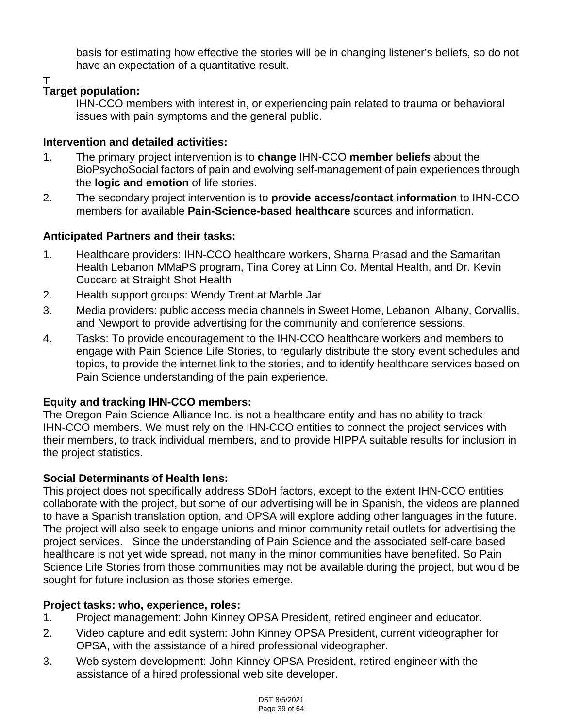basis for estimating how effective the stories will be in changing listener's beliefs, so do not have an expectation of a quantitative result.

T

# **Target population:**

IHN-CCO members with interest in, or experiencing pain related to trauma or behavioral issues with pain symptoms and the general public.

# **Intervention and detailed activities:**

- 1. The primary project intervention is to **change** IHN-CCO **member beliefs** about the BioPsychoSocial factors of pain and evolving self-management of pain experiences through the **logic and emotion** of life stories.
- 2. The secondary project intervention is to **provide access/contact information** to IHN-CCO members for available **Pain-Science-based healthcare** sources and information.

# **Anticipated Partners and their tasks:**

- 1. Healthcare providers: IHN-CCO healthcare workers, Sharna Prasad and the Samaritan Health Lebanon MMaPS program, Tina Corey at Linn Co. Mental Health, and Dr. Kevin Cuccaro at Straight Shot Health
- 2. Health support groups: Wendy Trent at Marble Jar
- 3. Media providers: public access media channels in Sweet Home, Lebanon, Albany, Corvallis, and Newport to provide advertising for the community and conference sessions.
- 4. Tasks: To provide encouragement to the IHN-CCO healthcare workers and members to engage with Pain Science Life Stories, to regularly distribute the story event schedules and topics, to provide the internet link to the stories, and to identify healthcare services based on Pain Science understanding of the pain experience.

# **Equity and tracking IHN-CCO members:**

The Oregon Pain Science Alliance Inc. is not a healthcare entity and has no ability to track IHN-CCO members. We must rely on the IHN-CCO entities to connect the project services with their members, to track individual members, and to provide HIPPA suitable results for inclusion in the project statistics.

# **Social Determinants of Health lens:**

This project does not specifically address SDoH factors, except to the extent IHN-CCO entities collaborate with the project, but some of our advertising will be in Spanish, the videos are planned to have a Spanish translation option, and OPSA will explore adding other languages in the future. The project will also seek to engage unions and minor community retail outlets for advertising the project services. Since the understanding of Pain Science and the associated self-care based healthcare is not yet wide spread, not many in the minor communities have benefited. So Pain Science Life Stories from those communities may not be available during the project, but would be sought for future inclusion as those stories emerge.

# **Project tasks: who, experience, roles:**

- 1. Project management: John Kinney OPSA President, retired engineer and educator.
- 2. Video capture and edit system: John Kinney OPSA President, current videographer for OPSA, with the assistance of a hired professional videographer.
- 3. Web system development: John Kinney OPSA President, retired engineer with the assistance of a hired professional web site developer.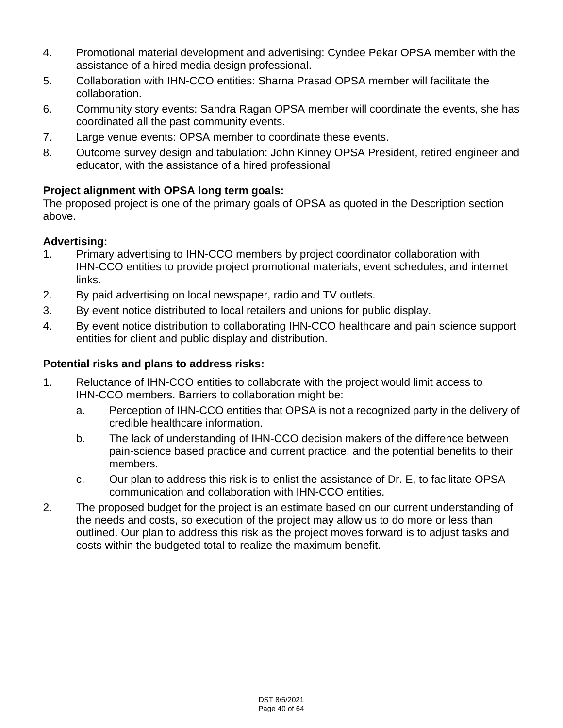- 4. Promotional material development and advertising: Cyndee Pekar OPSA member with the assistance of a hired media design professional.
- 5. Collaboration with IHN-CCO entities: Sharna Prasad OPSA member will facilitate the collaboration.
- 6. Community story events: Sandra Ragan OPSA member will coordinate the events, she has coordinated all the past community events.
- 7. Large venue events: OPSA member to coordinate these events.
- 8. Outcome survey design and tabulation: John Kinney OPSA President, retired engineer and educator, with the assistance of a hired professional

# **Project alignment with OPSA long term goals:**

The proposed project is one of the primary goals of OPSA as quoted in the Description section above.

# **Advertising:**

- 1. Primary advertising to IHN-CCO members by project coordinator collaboration with IHN-CCO entities to provide project promotional materials, event schedules, and internet links.
- 2. By paid advertising on local newspaper, radio and TV outlets.
- 3. By event notice distributed to local retailers and unions for public display.
- 4. By event notice distribution to collaborating IHN-CCO healthcare and pain science support entities for client and public display and distribution.

## **Potential risks and plans to address risks:**

- 1. Reluctance of IHN-CCO entities to collaborate with the project would limit access to IHN-CCO members. Barriers to collaboration might be:
	- a. Perception of IHN-CCO entities that OPSA is not a recognized party in the delivery of credible healthcare information.
	- b. The lack of understanding of IHN-CCO decision makers of the difference between pain-science based practice and current practice, and the potential benefits to their members.
	- c. Our plan to address this risk is to enlist the assistance of Dr. E, to facilitate OPSA communication and collaboration with IHN-CCO entities.
- 2. The proposed budget for the project is an estimate based on our current understanding of the needs and costs, so execution of the project may allow us to do more or less than outlined. Our plan to address this risk as the project moves forward is to adjust tasks and costs within the budgeted total to realize the maximum benefit.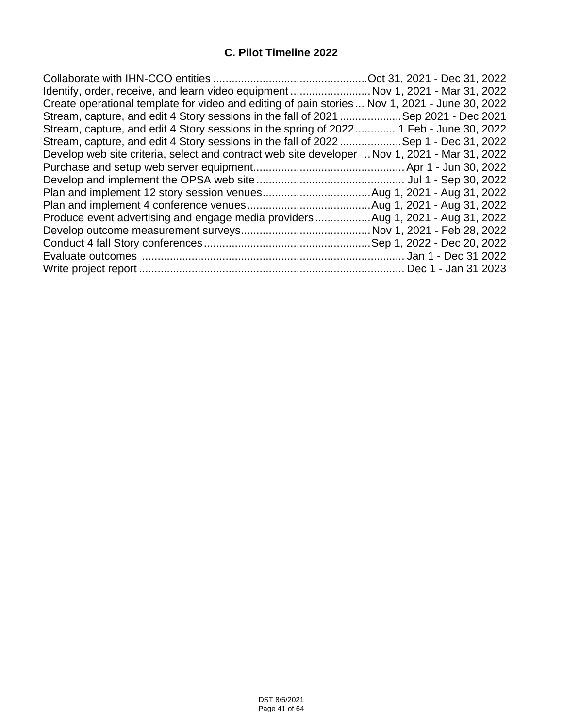# **C. Pilot Timeline 2022**

| Identify, order, receive, and learn video equipment  Nov 1, 2021 - Mar 31, 2022                |  |
|------------------------------------------------------------------------------------------------|--|
| Create operational template for video and editing of pain stories  Nov 1, 2021 - June 30, 2022 |  |
| Stream, capture, and edit 4 Story sessions in the fall of 2021 Sep 2021 - Dec 2021             |  |
| Stream, capture, and edit 4 Story sessions in the spring of 2022 1 Feb - June 30, 2022         |  |
| Stream, capture, and edit 4 Story sessions in the fall of 2022Sep 1 - Dec 31, 2022             |  |
| Develop web site criteria, select and contract web site developer  Nov 1, 2021 - Mar 31, 2022  |  |
|                                                                                                |  |
|                                                                                                |  |
|                                                                                                |  |
|                                                                                                |  |
| Produce event advertising and engage media providersAug 1, 2021 - Aug 31, 2022                 |  |
|                                                                                                |  |
|                                                                                                |  |
|                                                                                                |  |
|                                                                                                |  |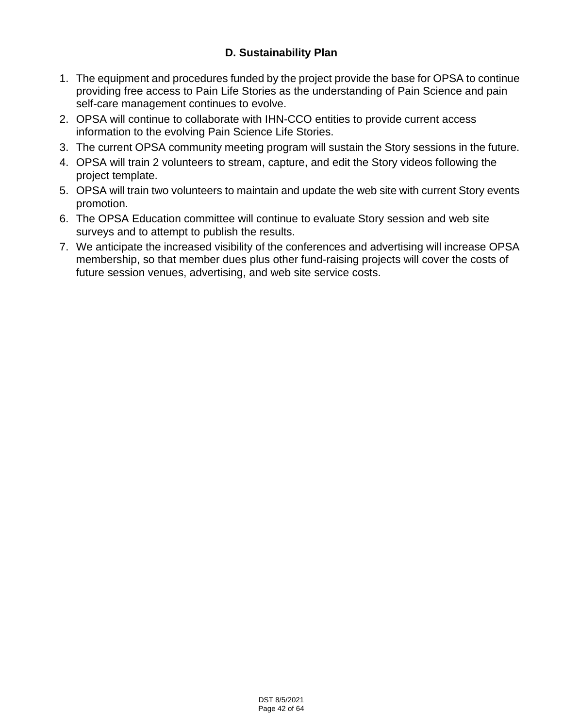# **D. Sustainability Plan**

- 1. The equipment and procedures funded by the project provide the base for OPSA to continue providing free access to Pain Life Stories as the understanding of Pain Science and pain self-care management continues to evolve.
- 2. OPSA will continue to collaborate with IHN-CCO entities to provide current access information to the evolving Pain Science Life Stories.
- 3. The current OPSA community meeting program will sustain the Story sessions in the future.
- 4. OPSA will train 2 volunteers to stream, capture, and edit the Story videos following the project template.
- 5. OPSA will train two volunteers to maintain and update the web site with current Story events promotion.
- 6. The OPSA Education committee will continue to evaluate Story session and web site surveys and to attempt to publish the results.
- 7. We anticipate the increased visibility of the conferences and advertising will increase OPSA membership, so that member dues plus other fund-raising projects will cover the costs of future session venues, advertising, and web site service costs.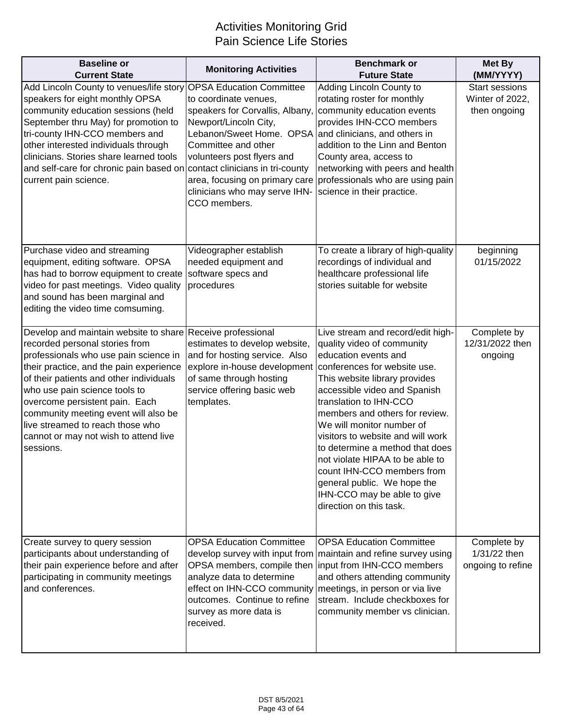# Activities Monitoring Grid Pain Science Life Stories

| <b>Baseline or</b><br><b>Current State</b>                                                                                                                                                                                                                                                                                                                                                                                       | <b>Monitoring Activities</b>                                                                                                                                                                                                                                                        | <b>Benchmark or</b><br><b>Future State</b>                                                                                                                                                                                                                                                                                                                                                                                                                                                                          | <b>Met By</b><br>(MM/YYYY)                               |
|----------------------------------------------------------------------------------------------------------------------------------------------------------------------------------------------------------------------------------------------------------------------------------------------------------------------------------------------------------------------------------------------------------------------------------|-------------------------------------------------------------------------------------------------------------------------------------------------------------------------------------------------------------------------------------------------------------------------------------|---------------------------------------------------------------------------------------------------------------------------------------------------------------------------------------------------------------------------------------------------------------------------------------------------------------------------------------------------------------------------------------------------------------------------------------------------------------------------------------------------------------------|----------------------------------------------------------|
| Add Lincoln County to venues/life story OPSA Education Committee<br>speakers for eight monthly OPSA<br>community education sessions (held<br>September thru May) for promotion to<br>tri-county IHN-CCO members and<br>other interested individuals through<br>clinicians. Stories share learned tools<br>and self-care for chronic pain based on contact clinicians in tri-county<br>current pain science.                      | to coordinate venues,<br>speakers for Corvallis, Albany,<br>Newport/Lincoln City,<br>Lebanon/Sweet Home. OPSA and clinicians, and others in<br>Committee and other<br>volunteers post flyers and<br>area, focusing on primary care<br>clinicians who may serve IHN-<br>CCO members. | Adding Lincoln County to<br>rotating roster for monthly<br>community education events<br>provides IHN-CCO members<br>addition to the Linn and Benton<br>County area, access to<br>networking with peers and health<br>professionals who are using pain<br>science in their practice.                                                                                                                                                                                                                                | <b>Start sessions</b><br>Winter of 2022,<br>then ongoing |
| Purchase video and streaming<br>equipment, editing software. OPSA<br>has had to borrow equipment to create<br>video for past meetings. Video quality<br>and sound has been marginal and<br>editing the video time comsuming.                                                                                                                                                                                                     | Videographer establish<br>needed equipment and<br>software specs and<br>procedures                                                                                                                                                                                                  | To create a library of high-quality<br>recordings of individual and<br>healthcare professional life<br>stories suitable for website                                                                                                                                                                                                                                                                                                                                                                                 | beginning<br>01/15/2022                                  |
| Develop and maintain website to share Receive professional<br>recorded personal stories from<br>professionals who use pain science in<br>their practice, and the pain experience<br>of their patients and other individuals<br>who use pain science tools to<br>overcome persistent pain. Each<br>community meeting event will also be<br>live streamed to reach those who<br>cannot or may not wish to attend live<br>sessions. | estimates to develop website,<br>and for hosting service. Also<br>explore in-house development<br>of same through hosting<br>service offering basic web<br>templates.                                                                                                               | Live stream and record/edit high-<br>quality video of community<br>education events and<br>conferences for website use.<br>This website library provides<br>accessible video and Spanish<br>translation to IHN-CCO<br>members and others for review.<br>We will monitor number of<br>visitors to website and will work<br>to determine a method that does<br>not violate HIPAA to be able to<br>count IHN-CCO members from<br>general public. We hope the<br>IHN-CCO may be able to give<br>direction on this task. | Complete by<br>12/31/2022 then<br>ongoing                |
| Create survey to query session<br>participants about understanding of<br>their pain experience before and after<br>participating in community meetings<br>and conferences.                                                                                                                                                                                                                                                       | <b>OPSA Education Committee</b><br>analyze data to determine<br>effect on IHN-CCO community<br>outcomes. Continue to refine<br>survey as more data is<br>received.                                                                                                                  | <b>OPSA Education Committee</b><br>develop survey with input from maintain and refine survey using<br>OPSA members, compile then input from IHN-CCO members<br>and others attending community<br>meetings, in person or via live<br>stream. Include checkboxes for<br>community member vs clinician.                                                                                                                                                                                                                | Complete by<br>1/31/22 then<br>ongoing to refine         |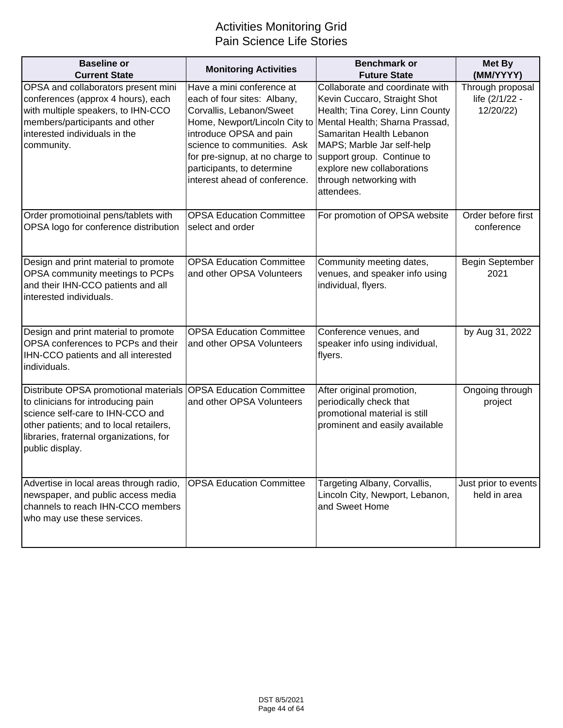# Activities Monitoring Grid Pain Science Life Stories

| <b>Baseline or</b><br><b>Current State</b>                                                                                                                                                                                                        | <b>Monitoring Activities</b>                                                                                                                                                                                                                                                      | <b>Benchmark or</b><br><b>Future State</b>                                                                                                                                                                                                                                                          | Met By<br>(MM/YYYY)                             |
|---------------------------------------------------------------------------------------------------------------------------------------------------------------------------------------------------------------------------------------------------|-----------------------------------------------------------------------------------------------------------------------------------------------------------------------------------------------------------------------------------------------------------------------------------|-----------------------------------------------------------------------------------------------------------------------------------------------------------------------------------------------------------------------------------------------------------------------------------------------------|-------------------------------------------------|
| OPSA and collaborators present mini<br>conferences (approx 4 hours), each<br>with multiple speakers, to IHN-CCO<br>members/participants and other<br>interested individuals in the<br>community.                                                  | Have a mini conference at<br>each of four sites: Albany,<br>Corvallis, Lebanon/Sweet<br>Home, Newport/Lincoln City to<br>introduce OPSA and pain<br>science to communities. Ask<br>for pre-signup, at no charge to<br>participants, to determine<br>interest ahead of conference. | Collaborate and coordinate with<br>Kevin Cuccaro, Straight Shot<br>Health; Tina Corey, Linn County<br>Mental Health; Sharna Prassad,<br>Samaritan Health Lebanon<br>MAPS; Marble Jar self-help<br>support group. Continue to<br>explore new collaborations<br>through networking with<br>attendees. | Through proposal<br>life (2/1/22 -<br>12/20/22) |
| Order promotioinal pens/tablets with<br>OPSA logo for conference distribution                                                                                                                                                                     | <b>OPSA Education Committee</b><br>select and order                                                                                                                                                                                                                               | For promotion of OPSA website                                                                                                                                                                                                                                                                       | Order before first<br>conference                |
| Design and print material to promote<br>OPSA community meetings to PCPs<br>and their IHN-CCO patients and all<br>interested individuals.                                                                                                          | <b>OPSA Education Committee</b><br>and other OPSA Volunteers                                                                                                                                                                                                                      | Community meeting dates,<br>venues, and speaker info using<br>individual, flyers.                                                                                                                                                                                                                   | <b>Begin September</b><br>2021                  |
| Design and print material to promote<br>OPSA conferences to PCPs and their<br>IHN-CCO patients and all interested<br>individuals.                                                                                                                 | <b>OPSA Education Committee</b><br>and other OPSA Volunteers                                                                                                                                                                                                                      | Conference venues, and<br>speaker info using individual,<br>flyers.                                                                                                                                                                                                                                 | by Aug 31, 2022                                 |
| Distribute OPSA promotional materials OPSA Education Committee<br>to clinicians for introducing pain<br>science self-care to IHN-CCO and<br>other patients; and to local retailers,<br>libraries, fraternal organizations, for<br>public display. | and other OPSA Volunteers                                                                                                                                                                                                                                                         | After original promotion,<br>periodically check that<br>promotional material is still<br>prominent and easily available                                                                                                                                                                             | Ongoing through<br>project                      |
| Advertise in local areas through radio,<br>newspaper, and public access media<br>channels to reach IHN-CCO members<br>who may use these services.                                                                                                 | <b>OPSA Education Committee</b>                                                                                                                                                                                                                                                   | Targeting Albany, Corvallis,<br>Lincoln City, Newport, Lebanon,<br>and Sweet Home                                                                                                                                                                                                                   | Just prior to events<br>held in area            |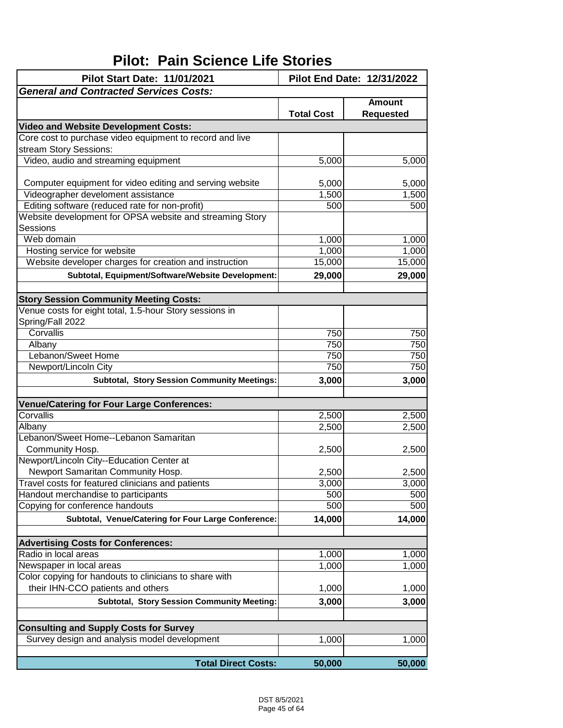# **Pilot: Pain Science Life Stories**

| Pilot Start Date: 11/01/2021                             | Pilot End Date: 12/31/2022 |                                   |
|----------------------------------------------------------|----------------------------|-----------------------------------|
| <b>General and Contracted Services Costs:</b>            |                            |                                   |
|                                                          | <b>Total Cost</b>          | <b>Amount</b><br><b>Requested</b> |
| <b>Video and Website Development Costs:</b>              |                            |                                   |
| Core cost to purchase video equipment to record and live |                            |                                   |
| stream Story Sessions:                                   |                            |                                   |
| Video, audio and streaming equipment                     | 5,000                      | 5,000                             |
|                                                          |                            |                                   |
| Computer equipment for video editing and serving website | 5,000                      | 5,000                             |
| Videographer develoment assistance                       | 1,500                      | 1,500                             |
| Editing software (reduced rate for non-profit)           | 500                        | 500                               |
| Website development for OPSA website and streaming Story |                            |                                   |
| Sessions                                                 |                            |                                   |
| Web domain                                               | 1,000                      | 1,000                             |
| Hosting service for website                              | 1,000                      | 1,000                             |
| Website developer charges for creation and instruction   | 15,000                     | 15,000                            |
| Subtotal, Equipment/Software/Website Development:        | 29,000                     | 29,000                            |
|                                                          |                            |                                   |
| <b>Story Session Community Meeting Costs:</b>            |                            |                                   |
| Venue costs for eight total, 1.5-hour Story sessions in  |                            |                                   |
| Spring/Fall 2022                                         |                            |                                   |
| Corvallis                                                | 750                        | 750                               |
| Albany                                                   | 750                        | 750                               |
| Lebanon/Sweet Home                                       | 750                        | 750                               |
| Newport/Lincoln City                                     | 750                        | 750                               |
| <b>Subtotal, Story Session Community Meetings:</b>       | 3,000                      | 3,000                             |
| <b>Venue/Catering for Four Large Conferences:</b>        |                            |                                   |
| Corvallis                                                | 2,500                      | 2,500                             |
| Albany                                                   | 2,500                      | 2,500                             |
| Lebanon/Sweet Home--Lebanon Samaritan                    |                            |                                   |
| Community Hosp.                                          | 2,500                      | 2,500                             |
| Newport/Lincoln City--Education Center at                |                            |                                   |
| Newport Samaritan Community Hosp.                        | 2,500                      | 2,500                             |
| Travel costs for featured clinicians and patients        | 3,000                      | 3,000                             |
| Handout merchandise to participants                      | 500                        | 500                               |
| Copying for conference handouts                          | 500                        | 500                               |
| Subtotal, Venue/Catering for Four Large Conference:      | 14,000                     | 14,000                            |
|                                                          |                            |                                   |
| <b>Advertising Costs for Conferences:</b>                |                            |                                   |
| Radio in local areas                                     | 1,000                      | 1,000                             |
| Newspaper in local areas                                 | 1,000                      | 1,000                             |
| Color copying for handouts to clinicians to share with   |                            |                                   |
| their IHN-CCO patients and others                        | 1,000                      | 1,000                             |
| Subtotal, Story Session Community Meeting:               | 3,000                      | 3,000                             |
|                                                          |                            |                                   |
| <b>Consulting and Supply Costs for Survey</b>            |                            |                                   |
| Survey design and analysis model development             | 1,000                      | 1,000                             |
| <b>Total Direct Costs:</b>                               | 50,000                     | 50,000                            |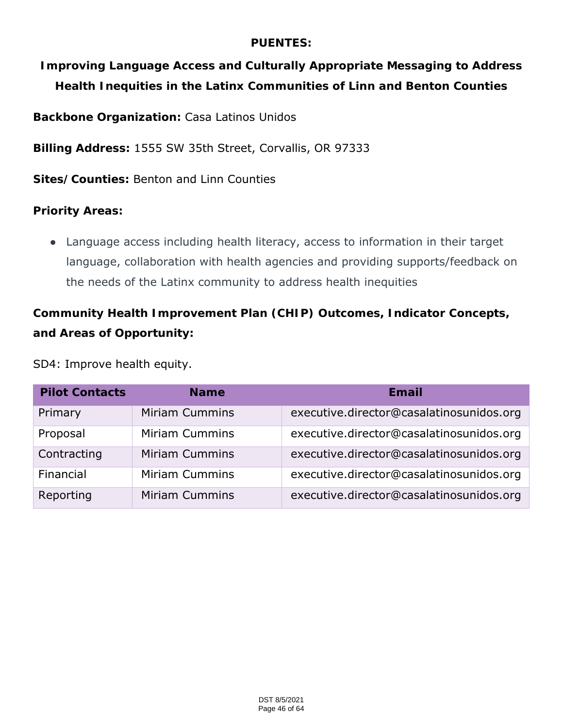# **PUENTES:**

**Improving Language Access and Culturally Appropriate Messaging to Address Health Inequities in the Latinx Communities of Linn and Benton Counties** 

**Backbone Organization:** Casa Latinos Unidos

**Billing Address:** 1555 SW 35th Street, Corvallis, OR 97333

**Sites/Counties:** Benton and Linn Counties

**Priority Areas:** 

● Language access including health literacy, access to information in their target language, collaboration with health agencies and providing supports/feedback on the needs of the Latinx community to address health inequities

**Community Health Improvement Plan (CHIP) Outcomes, Indicator Concepts, and Areas of Opportunity:**

# SD4: Improve health equity.

| <b>Pilot Contacts</b> | <b>Name</b>           | Email                                    |
|-----------------------|-----------------------|------------------------------------------|
| Primary               | Miriam Cummins        | executive.director@casalatinosunidos.org |
| Proposal              | <b>Miriam Cummins</b> | executive.director@casalatinosunidos.org |
| Contracting           | <b>Miriam Cummins</b> | executive.director@casalatinosunidos.org |
| Financial             | <b>Miriam Cummins</b> | executive.director@casalatinosunidos.org |
| Reporting             | <b>Miriam Cummins</b> | executive.director@casalatinosunidos.org |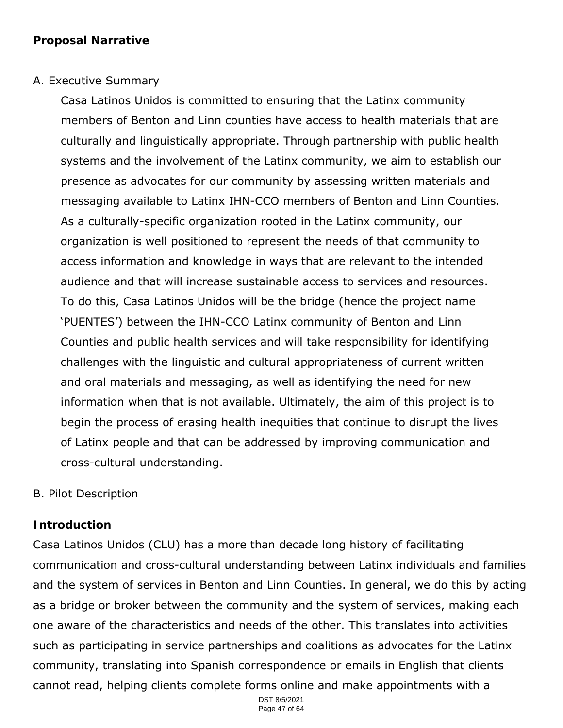# A. Executive Summary

Casa Latinos Unidos is committed to ensuring that the Latinx community members of Benton and Linn counties have access to health materials that are culturally and linguistically appropriate. Through partnership with public health systems and the involvement of the Latinx community, we aim to establish our presence as advocates for our community by assessing written materials and messaging available to Latinx IHN-CCO members of Benton and Linn Counties. As a culturally-specific organization rooted in the Latinx community, our organization is well positioned to represent the needs of that community to access information and knowledge in ways that are relevant to the intended audience and that will increase sustainable access to services and resources. To do this, Casa Latinos Unidos will be the bridge (hence the project name 'PUENTES') between the IHN-CCO Latinx community of Benton and Linn Counties and public health services and will take responsibility for identifying challenges with the linguistic and cultural appropriateness of current written and oral materials and messaging, as well as identifying the need for new information when that is not available. Ultimately, the aim of this project is to begin the process of erasing health inequities that continue to disrupt the lives of Latinx people and that can be addressed by improving communication and cross-cultural understanding.

# B. Pilot Description

## **Introduction**

Casa Latinos Unidos (CLU) has a more than decade long history of facilitating communication and cross-cultural understanding between Latinx individuals and families and the system of services in Benton and Linn Counties. In general, we do this by acting as a bridge or broker between the community and the system of services, making each one aware of the characteristics and needs of the other. This translates into activities such as participating in service partnerships and coalitions as advocates for the Latinx community, translating into Spanish correspondence or emails in English that clients cannot read, helping clients complete forms online and make appointments with a

> DST 8/5/2021 Page 47 of 64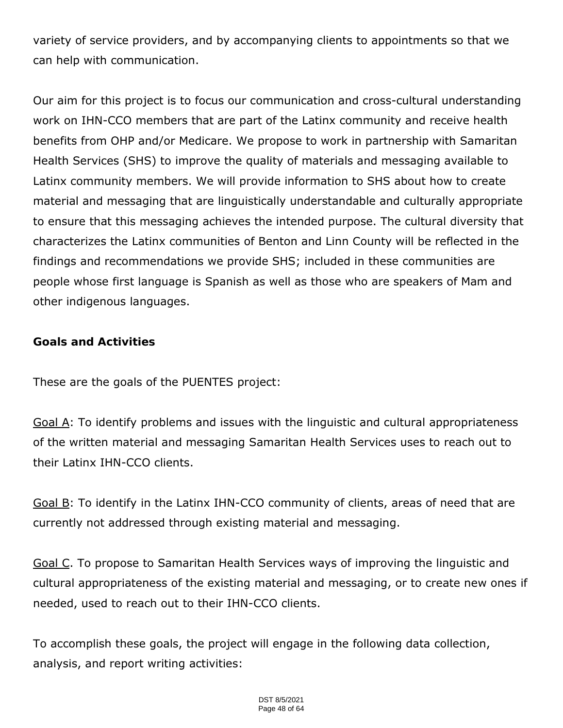variety of service providers, and by accompanying clients to appointments so that we can help with communication.

Our aim for this project is to focus our communication and cross-cultural understanding work on IHN-CCO members that are part of the Latinx community and receive health benefits from OHP and/or Medicare. We propose to work in partnership with Samaritan Health Services (SHS) to improve the quality of materials and messaging available to Latinx community members. We will provide information to SHS about how to create material and messaging that are linguistically understandable and culturally appropriate to ensure that this messaging achieves the intended purpose. The cultural diversity that characterizes the Latinx communities of Benton and Linn County will be reflected in the findings and recommendations we provide SHS; included in these communities are people whose first language is Spanish as well as those who are speakers of Mam and other indigenous languages.

**Goals and Activities**

These are the goals of the PUENTES project:

Goal A: To identify problems and issues with the linguistic and cultural appropriateness of the written material and messaging Samaritan Health Services uses to reach out to their Latinx IHN-CCO clients.

Goal B: To identify in the Latinx IHN-CCO community of clients, areas of need that are currently not addressed through existing material and messaging.

Goal C. To propose to Samaritan Health Services ways of improving the linguistic and cultural appropriateness of the existing material and messaging, or to create new ones if needed, used to reach out to their IHN-CCO clients.

To accomplish these goals, the project will engage in the following data collection, analysis, and report writing activities: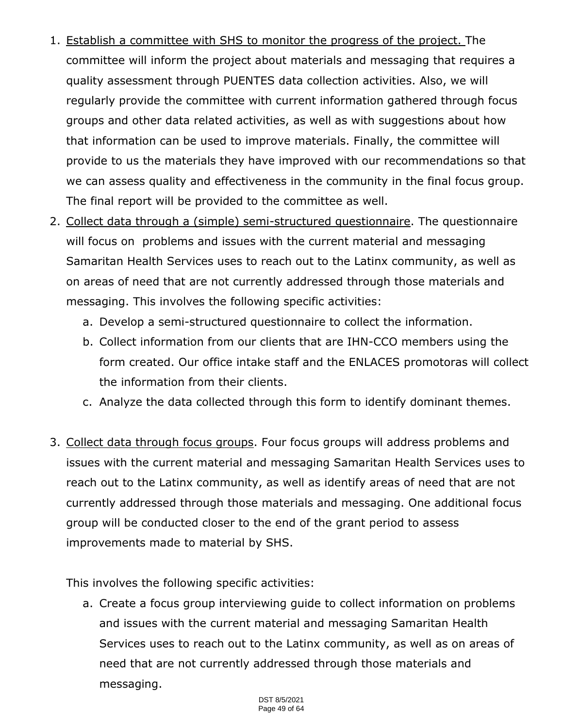- 1. Establish a committee with SHS to monitor the progress of the project. The committee will inform the project about materials and messaging that requires a quality assessment through PUENTES data collection activities. Also, we will regularly provide the committee with current information gathered through focus groups and other data related activities, as well as with suggestions about how that information can be used to improve materials. Finally, the committee will provide to us the materials they have improved with our recommendations so that we can assess quality and effectiveness in the community in the final focus group. The final report will be provided to the committee as well.
- 2. Collect data through a (simple) semi-structured questionnaire. The questionnaire will focus on problems and issues with the current material and messaging Samaritan Health Services uses to reach out to the Latinx community, as well as on areas of need that are not currently addressed through those materials and messaging. This involves the following specific activities:
	- a. Develop a semi-structured questionnaire to collect the information.
	- b. Collect information from our clients that are IHN-CCO members using the form created. Our office intake staff and the ENLACES promotoras will collect the information from their clients.
	- c. Analyze the data collected through this form to identify dominant themes.
- 3. Collect data through focus groups. Four focus groups will address problems and issues with the current material and messaging Samaritan Health Services uses to reach out to the Latinx community, as well as identify areas of need that are not currently addressed through those materials and messaging. One additional focus group will be conducted closer to the end of the grant period to assess improvements made to material by SHS.

This involves the following specific activities:

a. Create a focus group interviewing guide to collect information on problems and issues with the current material and messaging Samaritan Health Services uses to reach out to the Latinx community, as well as on areas of need that are not currently addressed through those materials and messaging.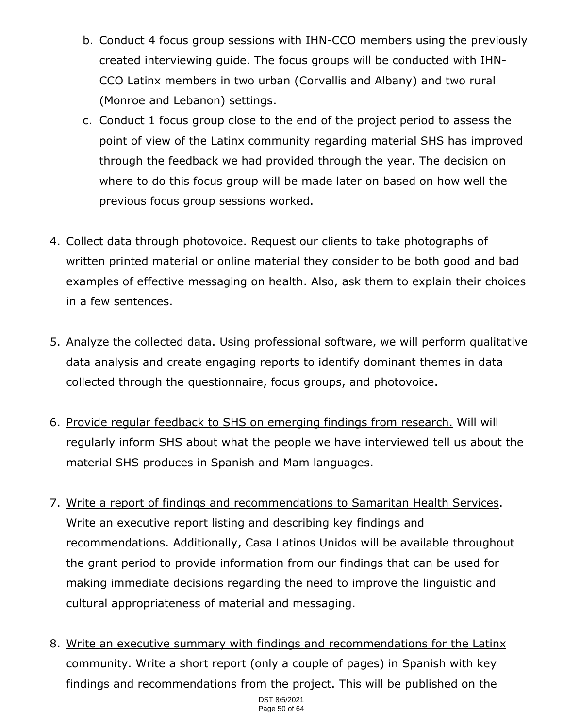- b. Conduct 4 focus group sessions with IHN-CCO members using the previously created interviewing guide. The focus groups will be conducted with IHN-CCO Latinx members in two urban (Corvallis and Albany) and two rural (Monroe and Lebanon) settings.
- c. Conduct 1 focus group close to the end of the project period to assess the point of view of the Latinx community regarding material SHS has improved through the feedback we had provided through the year. The decision on where to do this focus group will be made later on based on how well the previous focus group sessions worked.
- 4. Collect data through photovoice. Request our clients to take photographs of written printed material or online material they consider to be both good and bad examples of effective messaging on health. Also, ask them to explain their choices in a few sentences.
- 5. Analyze the collected data. Using professional software, we will perform qualitative data analysis and create engaging reports to identify dominant themes in data collected through the questionnaire, focus groups, and photovoice.
- 6. Provide regular feedback to SHS on emerging findings from research. Will will regularly inform SHS about what the people we have interviewed tell us about the material SHS produces in Spanish and Mam languages.
- 7. Write a report of findings and recommendations to Samaritan Health Services. Write an executive report listing and describing key findings and recommendations. Additionally, Casa Latinos Unidos will be available throughout the grant period to provide information from our findings that can be used for making immediate decisions regarding the need to improve the linguistic and cultural appropriateness of material and messaging.
- 8. Write an executive summary with findings and recommendations for the Latinx community. Write a short report (only a couple of pages) in Spanish with key findings and recommendations from the project. This will be published on the

DST 8/5/2021 Page 50 of 64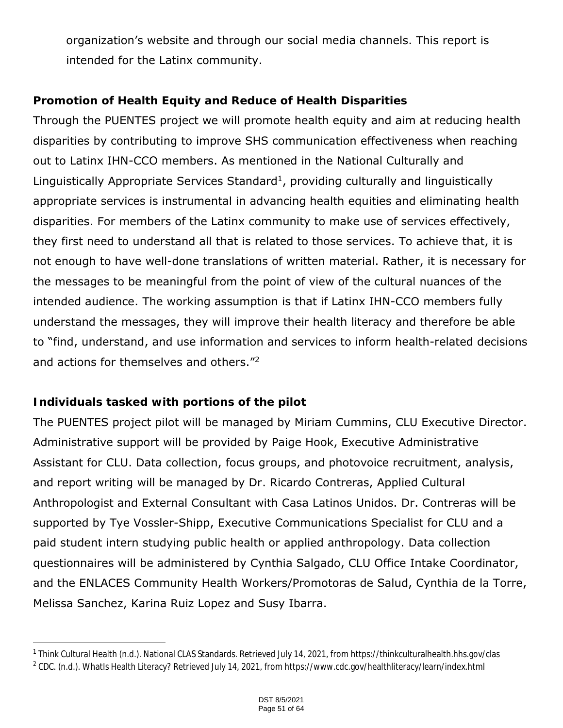organization's website and through our social media channels. This report is intended for the Latinx community.

# **Promotion of Health Equity and Reduce of Health Disparities**

Through the PUENTES project we will promote health equity and aim at reducing health disparities by contributing to improve SHS communication effectiveness when reaching out to Latinx IHN-CCO members. As mentioned in the National Culturally and Linguistically Appropriate Services Standard<sup>1</sup>, providing culturally and linguistically appropriate services is instrumental in advancing health equities and eliminating health disparities. For members of the Latinx community to make use of services effectively, they first need to understand all that is related to those services. To achieve that, it is not enough to have well-done translations of written material. Rather, it is necessary for the messages to be meaningful from the point of view of the cultural nuances of the intended audience. The working assumption is that if Latinx IHN-CCO members fully understand the messages, they will improve their health literacy and therefore be able to "find, understand, and use information and services to inform health-related decisions and actions for themselves and others.<sup>"2</sup>

# **Individuals tasked with portions of the pilot**

The PUENTES project pilot will be managed by Miriam Cummins, CLU Executive Director. Administrative support will be provided by Paige Hook, Executive Administrative Assistant for CLU. Data collection, focus groups, and photovoice recruitment, analysis, and report writing will be managed by Dr. Ricardo Contreras, Applied Cultural Anthropologist and External Consultant with Casa Latinos Unidos. Dr. Contreras will be supported by Tye Vossler-Shipp, Executive Communications Specialist for CLU and a paid student intern studying public health or applied anthropology. Data collection questionnaires will be administered by Cynthia Salgado, CLU Office Intake Coordinator, and the ENLACES Community Health Workers/Promotoras de Salud, Cynthia de la Torre, Melissa Sanchez, Karina Ruiz Lopez and Susy Ibarra.

<sup>1</sup> Think Cultural Health (n.d.). National CLAS Standards. Retrieved July 14, 2021, from https://thinkculturalhealth.hhs.gov/clas

<sup>&</sup>lt;sup>2</sup> CDC. (n.d.). WhatIs Health Literacy? Retrieved July 14, 2021, from https://www.cdc.gov/healthliteracy/learn/index.html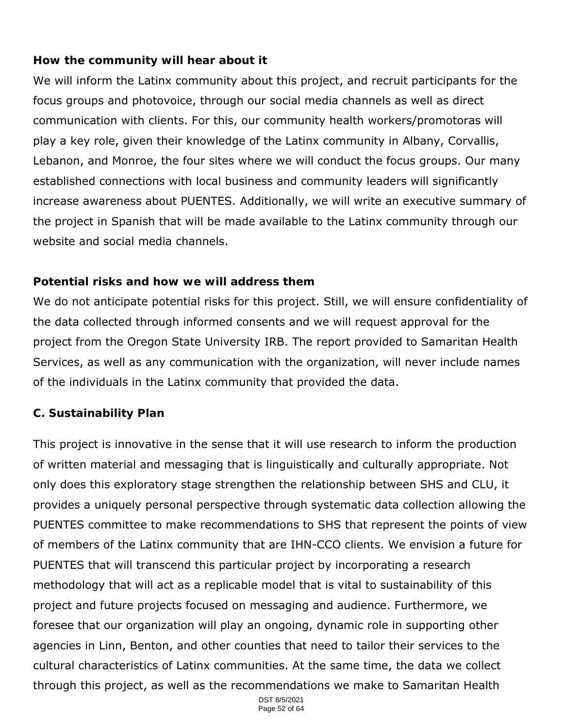# **How the community will hear about it**

We will inform the Latinx community about this project, and recruit participants for the focus groups and photovoice, through our social media channels as well as direct communication with clients. For this, our community health workers/promotoras will play a key role, given their knowledge of the Latinx community in Albany, Corvallis, Lebanon, and Monroe, the four sites where we will conduct the focus groups. Our many established connections with local business and community leaders will significantly increase awareness about PUENTES. Additionally, we will write an executive summary of the project in Spanish that will be made available to the Latinx community through our website and social media channels.

# **Potential risks and how we will address them**

We do not anticipate potential risks for this project. Still, we will ensure confidentiality of the data collected through informed consents and we will request approval for the project from the Oregon State University IRB. The report provided to Samaritan Health Services, as well as any communication with the organization, will never include names of the individuals in the Latinx community that provided the data.

# **C. Sustainability Plan**

This project is innovative in the sense that it will use research to inform the production of written material and messaging that is linguistically and culturally appropriate. Not only does this exploratory stage strengthen the relationship between SHS and CLU, it provides a uniquely personal perspective through systematic data collection allowing the PUENTES committee to make recommendations to SHS that represent the points of view of members of the Latinx community that are IHN-CCO clients. We envision a future for PUENTES that will transcend this particular project by incorporating a research methodology that will act as a replicable model that is vital to sustainability of this project and future projects focused on messaging and audience. Furthermore, we foresee that our organization will play an ongoing, dynamic role in supporting other agencies in Linn, Benton, and other counties that need to tailor their services to the cultural characteristics of Latinx communities. At the same time, the data we collect through this project, as well as the recommendations we make to Samaritan Health

> DST 8/5/2021 Page 52 of 64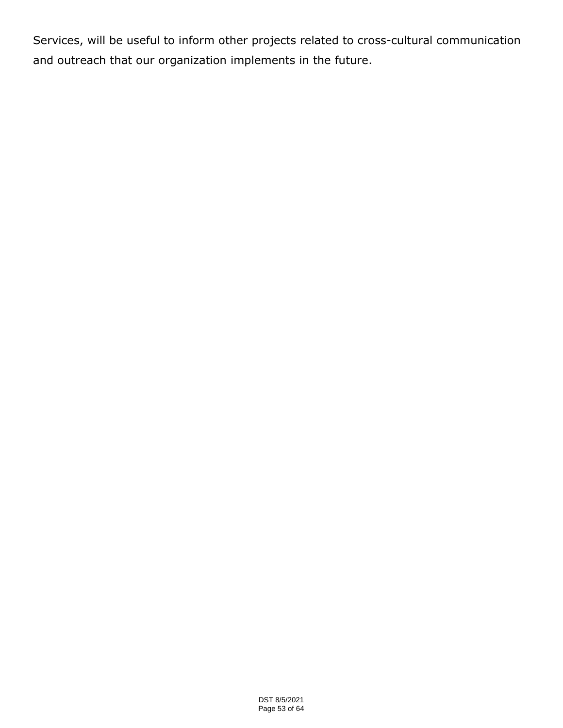Services, will be useful to inform other projects related to cross-cultural communication and outreach that our organization implements in the future.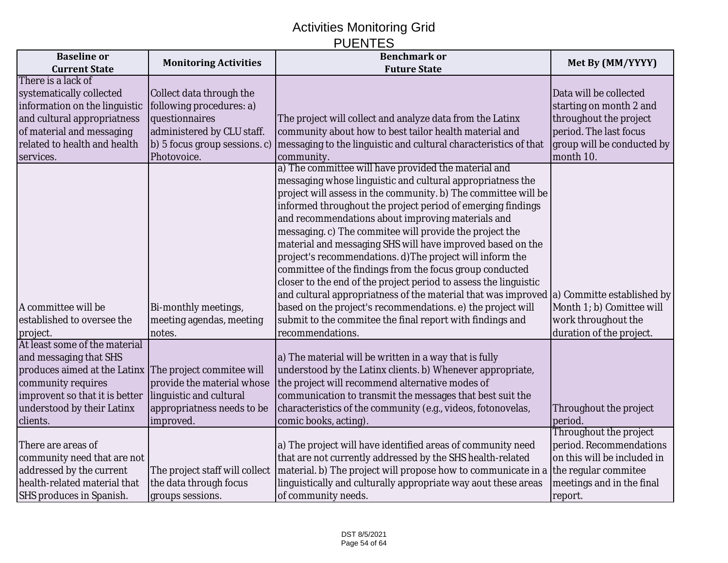# Activities Monitoring Grid PUENTES

| <b>Baseline</b> or                                     | <b>Monitoring Activities</b>   | <b>Benchmark or</b>                                                                               | Met By (MM/YYYY)            |
|--------------------------------------------------------|--------------------------------|---------------------------------------------------------------------------------------------------|-----------------------------|
| <b>Current State</b>                                   |                                | <b>Future State</b>                                                                               |                             |
| There is a lack of                                     |                                |                                                                                                   |                             |
| systematically collected                               | Collect data through the       |                                                                                                   | Data will be collected      |
| information on the linguistic                          | following procedures: a)       |                                                                                                   | starting on month 2 and     |
| and cultural appropriatness                            | questionnaires                 | The project will collect and analyze data from the Latinx                                         | throughout the project      |
| of material and messaging                              | administered by CLU staff.     | community about how to best tailor health material and                                            | period. The last focus      |
| related to health and health                           | (b) 5 focus group sessions. c) | messaging to the linguistic and cultural characteristics of that                                  | group will be conducted by  |
| services.                                              | Photovoice.                    | community.                                                                                        | month 10.                   |
|                                                        |                                | a) The committee will have provided the material and                                              |                             |
|                                                        |                                | messaging whose linguistic and cultural appropriatness the                                        |                             |
|                                                        |                                | project will assess in the community. b) The committee will be                                    |                             |
|                                                        |                                | informed throughout the project period of emerging findings                                       |                             |
|                                                        |                                | and recommendations about improving materials and                                                 |                             |
|                                                        |                                | messaging. c) The commitee will provide the project the                                           |                             |
|                                                        |                                | material and messaging SHS will have improved based on the                                        |                             |
|                                                        |                                | project's recommendations. d) The project will inform the                                         |                             |
|                                                        |                                | committee of the findings from the focus group conducted                                          |                             |
|                                                        |                                | closer to the end of the project period to assess the linguistic                                  |                             |
|                                                        |                                | and cultural appropriatness of the material that was improved $ a\rangle$ Committe established by |                             |
| A committee will be                                    | Bi-monthly meetings,           | based on the project's recommendations. e) the project will                                       | Month 1; b) Comittee will   |
| established to oversee the                             | meeting agendas, meeting       | submit to the commitee the final report with findings and                                         | work throughout the         |
| project.                                               | notes.                         | recommendations.                                                                                  | duration of the project.    |
| At least some of the material                          |                                |                                                                                                   |                             |
| and messaging that SHS                                 |                                | a) The material will be written in a way that is fully                                            |                             |
| produces aimed at the Latinx The project commitee will |                                | understood by the Latinx clients. b) Whenever appropriate,                                        |                             |
| community requires                                     | provide the material whose     | the project will recommend alternative modes of                                                   |                             |
| improvent so that it is better                         | linguistic and cultural        | communication to transmit the messages that best suit the                                         |                             |
| understood by their Latinx                             | appropriatness needs to be     | characteristics of the community (e.g., videos, fotonovelas,                                      | Throughout the project      |
| clients.                                               | improved.                      | comic books, acting).                                                                             | period.                     |
|                                                        |                                |                                                                                                   | Throughout the project      |
| There are areas of                                     |                                | a) The project will have identified areas of community need                                       | period. Recommendations     |
| community need that are not                            |                                | that are not currently addressed by the SHS health-related                                        | on this will be included in |
| addressed by the current                               | The project staff will collect | material. b) The project will propose how to communicate in a                                     | the regular commitee        |
| health-related material that                           | the data through focus         | linguistically and culturally appropriate way aout these areas                                    | meetings and in the final   |
| <b>SHS produces in Spanish.</b>                        | groups sessions.               | of community needs.                                                                               | report.                     |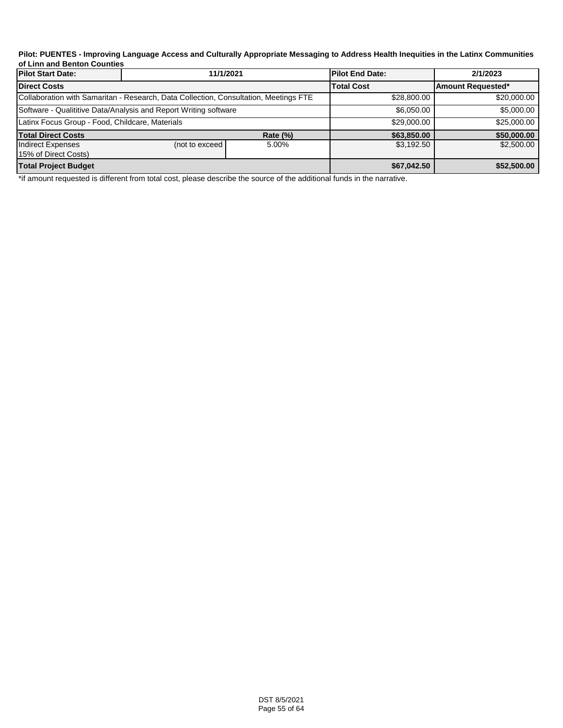#### **Pilot: PUENTES - Improving Language Access and Culturally Appropriate Messaging to Address Health Inequities in the Latinx Communities of Linn and Benton Counties**

| <b>Pilot Start Date:</b>                                         | 11/1/2021                                                                            |                 | <b>Pilot End Date:</b> | 2/1/2023          |
|------------------------------------------------------------------|--------------------------------------------------------------------------------------|-----------------|------------------------|-------------------|
| <b>Direct Costs</b>                                              |                                                                                      |                 | <b>Total Cost</b>      | Amount Requested* |
|                                                                  | Collaboration with Samaritan - Research, Data Collection, Consultation, Meetings FTE |                 | \$28,800,00            | \$20,000.00       |
| Software - Qualititive Data/Analysis and Report Writing software |                                                                                      |                 | \$6,050,00             | \$5,000.00        |
| Latinx Focus Group - Food, Childcare, Materials                  |                                                                                      |                 | \$29,000.00            | \$25,000.00       |
| <b>Total Direct Costs</b>                                        |                                                                                      | <b>Rate (%)</b> | \$63,850.00            | \$50,000.00       |
| Indirect Expenses<br>15% of Direct Costs)                        | (not to exceed)                                                                      | 5.00%           | \$3,192.50             | \$2,500.00        |
| <b>Total Project Budget</b>                                      |                                                                                      |                 | \$67,042.50            | \$52,500.00       |

\*if amount requested is different from total cost, please describe the source of the additional funds in the narrative.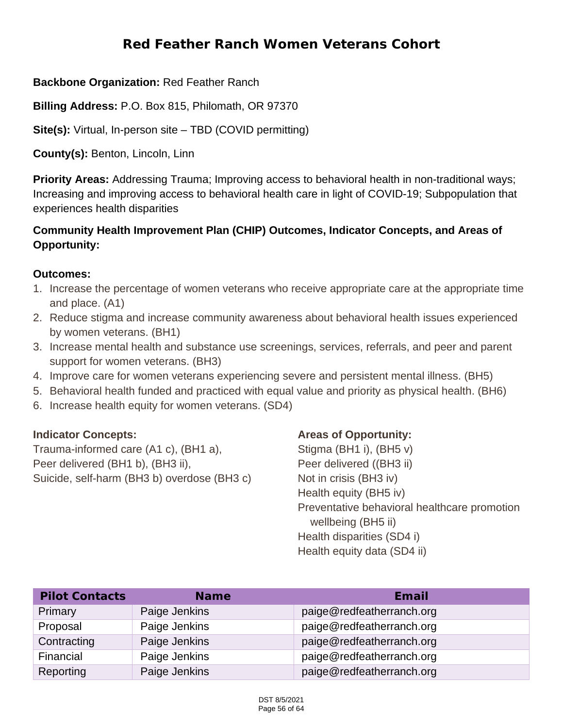# **Red Feather Ranch Women Veterans Cohort**

## **Backbone Organization:** Red Feather Ranch

**Billing Address:** P.O. Box 815, Philomath, OR 97370

**Site(s):** Virtual, In-person site – TBD (COVID permitting)

**County(s):** Benton, Lincoln, Linn

**Priority Areas:** Addressing Trauma; Improving access to behavioral health in non-traditional ways; Increasing and improving access to behavioral health care in light of COVID-19; Subpopulation that experiences health disparities

# **Community Health Improvement Plan (CHIP) Outcomes, Indicator Concepts, and Areas of Opportunity:**

#### **Outcomes:**

- 1. Increase the percentage of women veterans who receive appropriate care at the appropriate time and place. (A1)
- 2. Reduce stigma and increase community awareness about behavioral health issues experienced by women veterans. (BH1)
- 3. Increase mental health and substance use screenings, services, referrals, and peer and parent support for women veterans. (BH3)
- 4. Improve care for women veterans experiencing severe and persistent mental illness. (BH5)
- 5. Behavioral health funded and practiced with equal value and priority as physical health. (BH6)
- 6. Increase health equity for women veterans. (SD4)

#### **Indicator Concepts:**

Trauma-informed care (A1 c), (BH1 a), Peer delivered (BH1 b), (BH3 ii), Suicide, self-harm (BH3 b) overdose (BH3 c)

## **Areas of Opportunity:**

Stigma (BH1 i), (BH5 v) Peer delivered ((BH3 ii) Not in crisis (BH3 iv) Health equity (BH5 iv) Preventative behavioral healthcare promotion wellbeing (BH5 ii) Health disparities (SD4 i) Health equity data (SD4 ii)

| <b>Pilot Contacts</b> | <b>Name</b>   | Email                     |
|-----------------------|---------------|---------------------------|
| Primary               | Paige Jenkins | paige@redfeatherranch.org |
| Proposal              | Paige Jenkins | paige@redfeatherranch.org |
| Contracting           | Paige Jenkins | paige@redfeatherranch.org |
| Financial             | Paige Jenkins | paige@redfeatherranch.org |
| Reporting             | Paige Jenkins | paige@redfeatherranch.org |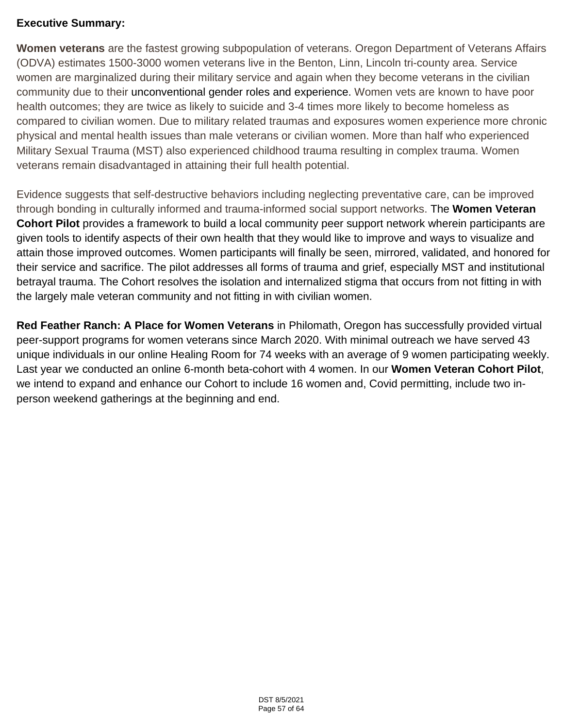## **Executive Summary:**

**Women veterans** are the fastest growing subpopulation of veterans. Oregon Department of Veterans Affairs (ODVA) estimates 1500-3000 women veterans live in the Benton, Linn, Lincoln tri-county area. Service women are marginalized during their military service and again when they become veterans in the civilian community due to their unconventional gender roles and experience. Women vets are known to have poor health outcomes; they are twice as likely to suicide and 3-4 times more likely to become homeless as compared to civilian women. Due to military related traumas and exposures women experience more chronic physical and mental health issues than male veterans or civilian women. More than half who experienced Military Sexual Trauma (MST) also experienced childhood trauma resulting in complex trauma. Women veterans remain disadvantaged in attaining their full health potential.

Evidence suggests that self-destructive behaviors including neglecting preventative care, can be improved through bonding in culturally informed and trauma-informed social support networks. The **Women Veteran Cohort Pilot** provides a framework to build a local community peer support network wherein participants are given tools to identify aspects of their own health that they would like to improve and ways to visualize and attain those improved outcomes. Women participants will finally be seen, mirrored, validated, and honored for their service and sacrifice. The pilot addresses all forms of trauma and grief, especially MST and institutional betrayal trauma. The Cohort resolves the isolation and internalized stigma that occurs from not fitting in with the largely male veteran community and not fitting in with civilian women.

**Red Feather Ranch: A Place for Women Veterans** in Philomath, Oregon has successfully provided virtual peer-support programs for women veterans since March 2020. With minimal outreach we have served 43 unique individuals in our online Healing Room for 74 weeks with an average of 9 women participating weekly. Last year we conducted an online 6-month beta-cohort with 4 women. In our **Women Veteran Cohort Pilot**, we intend to expand and enhance our Cohort to include 16 women and, Covid permitting, include two inperson weekend gatherings at the beginning and end.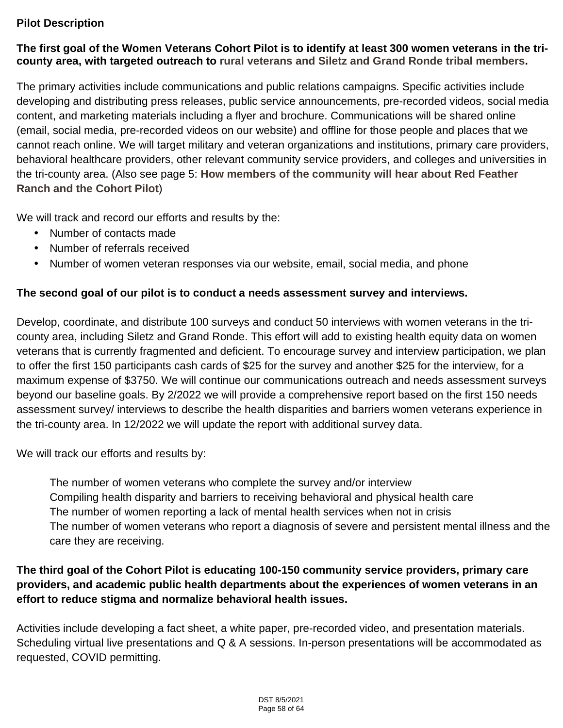#### **Pilot Description**

#### **The first goal of the Women Veterans Cohort Pilot is to identify at least 300 women veterans in the tricounty area, with targeted outreach to rural veterans and Siletz and Grand Ronde tribal members.**

The primary activities include communications and public relations campaigns. Specific activities include developing and distributing press releases, public service announcements, pre-recorded videos, social media content, and marketing materials including a flyer and brochure. Communications will be shared online (email, social media, pre-recorded videos on our website) and offline for those people and places that we cannot reach online. We will target military and veteran organizations and institutions, primary care providers, behavioral healthcare providers, other relevant community service providers, and colleges and universities in the tri-county area. (Also see page 5: **How members of the community will hear about Red Feather Ranch and the Cohort Pilot**)

We will track and record our efforts and results by the:

- Number of contacts made
- Number of referrals received ÷.
- Number of women veteran responses via our website, email, social media, and phone

#### **The second goal of our pilot is to conduct a needs assessment survey and interviews.**

Develop, coordinate, and distribute 100 surveys and conduct 50 interviews with women veterans in the tricounty area, including Siletz and Grand Ronde. This effort will add to existing health equity data on women veterans that is currently fragmented and deficient. To encourage survey and interview participation, we plan to offer the first 150 participants cash cards of \$25 for the survey and another \$25 for the interview, for a maximum expense of \$3750. We will continue our communications outreach and needs assessment surveys beyond our baseline goals. By 2/2022 we will provide a comprehensive report based on the first 150 needs assessment survey/ interviews to describe the health disparities and barriers women veterans experience in the tri-county area. In 12/2022 we will update the report with additional survey data.

We will track our efforts and results by:

The number of women veterans who complete the survey and/or interview Compiling health disparity and barriers to receiving behavioral and physical health care The number of women reporting a lack of mental health services when not in crisis The number of women veterans who report a diagnosis of severe and persistent mental illness and the care they are receiving.

# **The third goal of the Cohort Pilot is educating 100-150 community service providers, primary care providers, and academic public health departments about the experiences of women veterans in an effort to reduce stigma and normalize behavioral health issues.**

Activities include developing a fact sheet, a white paper, pre-recorded video, and presentation materials. Scheduling virtual live presentations and Q & A sessions. In-person presentations will be accommodated as requested, COVID permitting.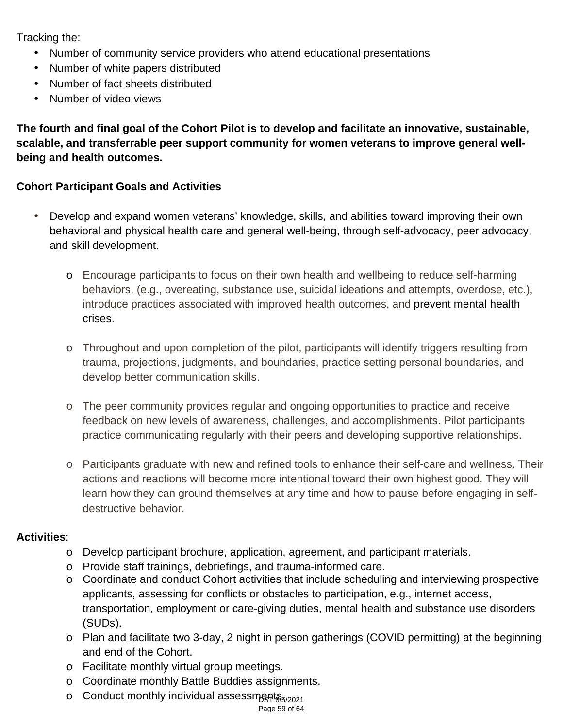Tracking the:

- Number of community service providers who attend educational presentations
- Number of white papers distributed
- Number of fact sheets distributed  $\mathbf{r}$
- Number of video views  $\mathbf{r}$

**The fourth and final goal of the Cohort Pilot is to develop and facilitate an innovative, sustainable, scalable, and transferrable peer support community for women veterans to improve general wellbeing and health outcomes.**

# **Cohort Participant Goals and Activities**

- Develop and expand women veterans' knowledge, skills, and abilities toward improving their own behavioral and physical health care and general well-being, through self-advocacy, peer advocacy, and skill development.
	- o Encourage participants to focus on their own health and wellbeing to reduce self-harming behaviors, (e.g., overeating, substance use, suicidal ideations and attempts, overdose, etc.), introduce practices associated with improved health outcomes, and prevent mental health crises.
	- o Throughout and upon completion of the pilot, participants will identify triggers resulting from trauma, projections, judgments, and boundaries, practice setting personal boundaries, and develop better communication skills.
	- o The peer community provides regular and ongoing opportunities to practice and receive feedback on new levels of awareness, challenges, and accomplishments. Pilot participants practice communicating regularly with their peers and developing supportive relationships.
	- o Participants graduate with new and refined tools to enhance their self-care and wellness. Their actions and reactions will become more intentional toward their own highest good. They will learn how they can ground themselves at any time and how to pause before engaging in selfdestructive behavior.

## **Activities**:

- o Develop participant brochure, application, agreement, and participant materials.
- o Provide staff trainings, debriefings, and trauma-informed care.
- $\circ$  Coordinate and conduct Cohort activities that include scheduling and interviewing prospective applicants, assessing for conflicts or obstacles to participation, e.g., internet access, transportation, employment or care-giving duties, mental health and substance use disorders (SUDs).
- o Plan and facilitate two 3-day, 2 night in person gatherings (COVID permitting) at the beginning and end of the Cohort.
- o Facilitate monthly virtual group meetings.
- o Coordinate monthly Battle Buddies assignments.
- o Conduct monthly individual assessments<sub>5/2021</sub>

Page 59 of 64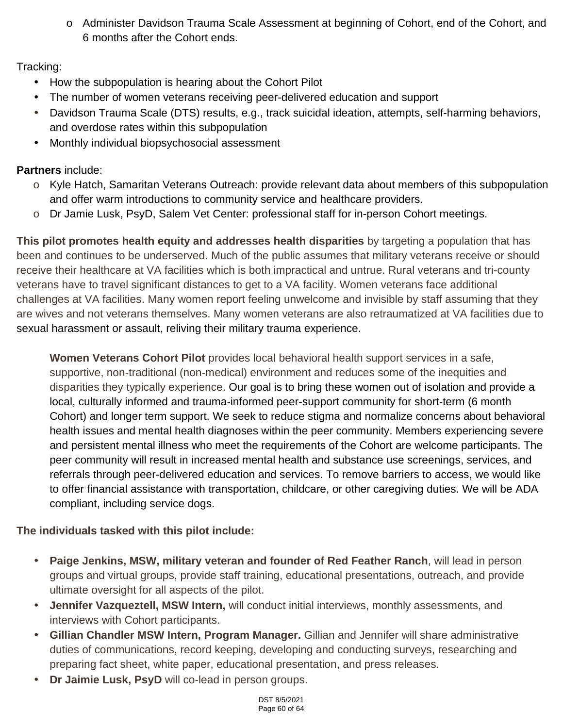o Administer Davidson Trauma Scale Assessment at beginning of Cohort, end of the Cohort, and 6 months after the Cohort ends.

# Tracking:

- How the subpopulation is hearing about the Cohort Pilot
- The number of women veterans receiving peer-delivered education and support
- Davidson Trauma Scale (DTS) results, e.g., track suicidal ideation, attempts, self-harming behaviors, and overdose rates within this subpopulation
- Monthly individual biopsychosocial assessment

# **Partners** include:

- o Kyle Hatch, Samaritan Veterans Outreach: provide relevant data about members of this subpopulation and offer warm introductions to community service and healthcare providers.
- o Dr Jamie Lusk, PsyD, Salem Vet Center: professional staff for in-person Cohort meetings.

**This pilot promotes health equity and addresses health disparities** by targeting a population that has been and continues to be underserved. Much of the public assumes that military veterans receive or should receive their healthcare at VA facilities which is both impractical and untrue. Rural veterans and tri-county veterans have to travel significant distances to get to a VA facility. Women veterans face additional challenges at VA facilities. Many women report feeling unwelcome and invisible by staff assuming that they are wives and not veterans themselves. Many women veterans are also retraumatized at VA facilities due to sexual harassment or assault, reliving their military trauma experience.

**Women Veterans Cohort Pilot** provides local behavioral health support services in a safe, supportive, non-traditional (non-medical) environment and reduces some of the inequities and disparities they typically experience. Our goal is to bring these women out of isolation and provide a local, culturally informed and trauma-informed peer-support community for short-term (6 month Cohort) and longer term support. We seek to reduce stigma and normalize concerns about behavioral health issues and mental health diagnoses within the peer community. Members experiencing severe and persistent mental illness who meet the requirements of the Cohort are welcome participants. The peer community will result in increased mental health and substance use screenings, services, and referrals through peer-delivered education and services. To remove barriers to access, we would like to offer financial assistance with transportation, childcare, or other caregiving duties. We will be ADA compliant, including service dogs.

# **The individuals tasked with this pilot include:**

- **Paige Jenkins, MSW, military veteran and founder of Red Feather Ranch**, will lead in person groups and virtual groups, provide staff training, educational presentations, outreach, and provide ultimate oversight for all aspects of the pilot.
- **Jennifer Vazqueztell, MSW Intern,** will conduct initial interviews, monthly assessments, and interviews with Cohort participants.
- **Gillian Chandler MSW Intern, Program Manager.** Gillian and Jennifer will share administrative duties of communications, record keeping, developing and conducting surveys, researching and preparing fact sheet, white paper, educational presentation, and press releases.
- **Dr Jaimie Lusk, PsyD** will co-lead in person groups.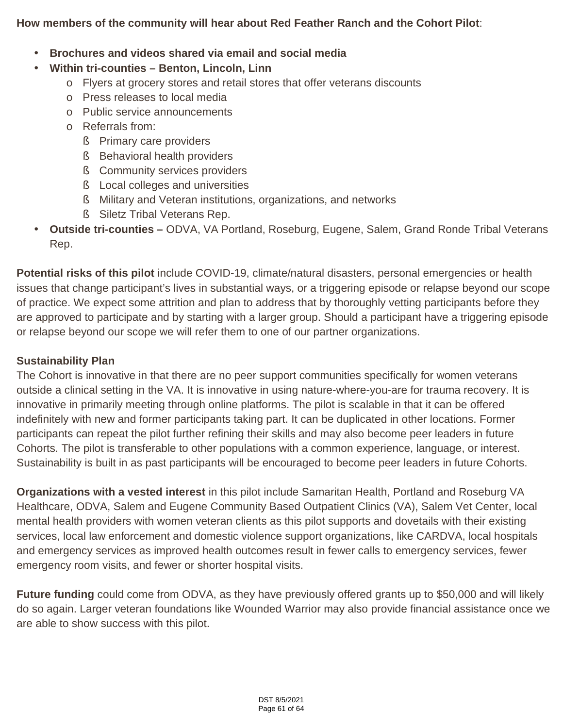## **How members of the community will hear about Red Feather Ranch and the Cohort Pilot**:

#### **Brochures and videos shared via email and social media**

#### **Within tri-counties – Benton, Lincoln, Linn**

- o Flyers at grocery stores and retail stores that offer veterans discounts
- o Press releases to local media
- o Public service announcements
- o Referrals from:
	- **§** Primary care providers
	- § Behavioral health providers
	- **§** Community services providers
	- § Local colleges and universities
	- § Military and Veteran institutions, organizations, and networks
	- § Siletz Tribal Veterans Rep.
- **Outside tri-counties** ODVA, VA Portland, Roseburg, Eugene, Salem, Grand Ronde Tribal Veterans Rep.

**Potential risks of this pilot** include COVID-19, climate/natural disasters, personal emergencies or health issues that change participant's lives in substantial ways, or a triggering episode or relapse beyond our scope of practice. We expect some attrition and plan to address that by thoroughly vetting participants before they are approved to participate and by starting with a larger group. Should a participant have a triggering episode or relapse beyond our scope we will refer them to one of our partner organizations.

#### **Sustainability Plan**

The Cohort is innovative in that there are no peer support communities specifically for women veterans outside a clinical setting in the VA. It is innovative in using nature-where-you-are for trauma recovery. It is innovative in primarily meeting through online platforms. The pilot is scalable in that it can be offered indefinitely with new and former participants taking part. It can be duplicated in other locations. Former participants can repeat the pilot further refining their skills and may also become peer leaders in future Cohorts. The pilot is transferable to other populations with a common experience, language, or interest. Sustainability is built in as past participants will be encouraged to become peer leaders in future Cohorts.

**Organizations with a vested interest** in this pilot include Samaritan Health, Portland and Roseburg VA Healthcare, ODVA, Salem and Eugene Community Based Outpatient Clinics (VA), Salem Vet Center, local mental health providers with women veteran clients as this pilot supports and dovetails with their existing services, local law enforcement and domestic violence support organizations, like CARDVA, local hospitals and emergency services as improved health outcomes result in fewer calls to emergency services, fewer emergency room visits, and fewer or shorter hospital visits.

**Future funding** could come from ODVA, as they have previously offered grants up to \$50,000 and will likely do so again. Larger veteran foundations like Wounded Warrior may also provide financial assistance once we are able to show success with this pilot.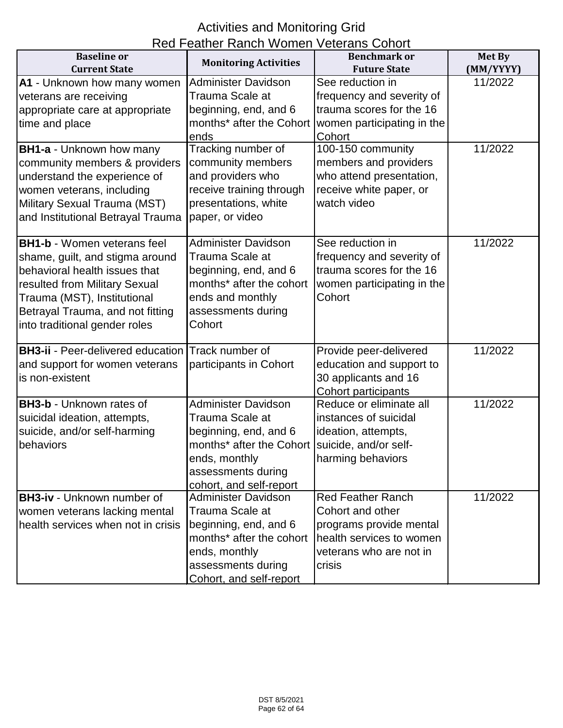# Activities and Monitoring Grid

| Red Feather Ranch Women Veterans Cohort  |                              |                            |           |
|------------------------------------------|------------------------------|----------------------------|-----------|
| <b>Baseline</b> or                       | <b>Monitoring Activities</b> | <b>Benchmark or</b>        | Met By    |
| <b>Current State</b>                     |                              | <b>Future State</b>        | (MM/YYYY) |
| A1 - Unknown how many women              | <b>Administer Davidson</b>   | See reduction in           | 11/2022   |
| veterans are receiving                   | Trauma Scale at              | frequency and severity of  |           |
| appropriate care at appropriate          | beginning, end, and 6        | trauma scores for the 16   |           |
| time and place                           | months* after the Cohort     | women participating in the |           |
|                                          | ends                         | Cohort                     |           |
| <b>BH1-a - Unknown how many</b>          | Tracking number of           | 100-150 community          | 11/2022   |
| community members & providers            | community members            | members and providers      |           |
| understand the experience of             | and providers who            | who attend presentation,   |           |
| women veterans, including                | receive training through     | receive white paper, or    |           |
| Military Sexual Trauma (MST)             | presentations, white         | watch video                |           |
| and Institutional Betrayal Trauma        | paper, or video              |                            |           |
|                                          |                              |                            |           |
| <b>BH1-b - Women veterans feel</b>       | <b>Administer Davidson</b>   | See reduction in           | 11/2022   |
| shame, guilt, and stigma around          | Trauma Scale at              | frequency and severity of  |           |
| behavioral health issues that            | beginning, end, and 6        | trauma scores for the 16   |           |
| resulted from Military Sexual            | months* after the cohort     | women participating in the |           |
| Trauma (MST), Institutional              | ends and monthly             | Cohort                     |           |
| Betrayal Trauma, and not fitting         | assessments during           |                            |           |
| into traditional gender roles            | Cohort                       |                            |           |
| <b>BH3-ii - Peer-delivered education</b> | Track number of              | Provide peer-delivered     | 11/2022   |
| and support for women veterans           | participants in Cohort       | education and support to   |           |
| is non-existent                          |                              | 30 applicants and 16       |           |
|                                          |                              | Cohort participants        |           |
| <b>BH3-b - Unknown rates of</b>          | <b>Administer Davidson</b>   | Reduce or eliminate all    | 11/2022   |
| suicidal ideation, attempts,             | Trauma Scale at              | instances of suicidal      |           |
| suicide, and/or self-harming             | beginning, end, and 6        | ideation, attempts,        |           |
| behaviors                                | months* after the Cohort     | suicide, and/or self-      |           |
|                                          | ends, monthly                | harming behaviors          |           |
|                                          | assessments during           |                            |           |
|                                          | cohort, and self-report      |                            |           |
| <b>BH3-iv - Unknown number of</b>        | <b>Administer Davidson</b>   | <b>Red Feather Ranch</b>   | 11/2022   |
| women veterans lacking mental            | Trauma Scale at              | Cohort and other           |           |
| health services when not in crisis       | beginning, end, and 6        | programs provide mental    |           |
|                                          | months* after the cohort     | health services to women   |           |
|                                          | ends, monthly                | veterans who are not in    |           |
|                                          | assessments during           | crisis                     |           |
|                                          | Cohort, and self-report      |                            |           |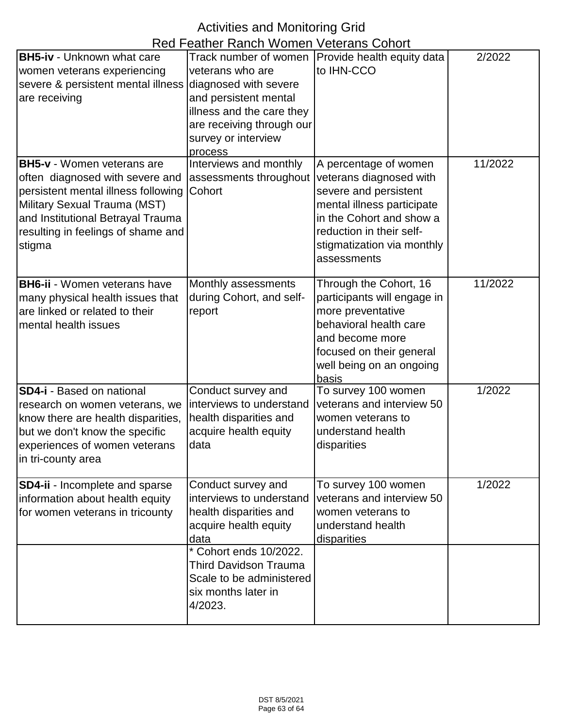# Activities and Monitoring Grid

| Red Feather Ranch Women Veterans Cohort |                              |                              |         |
|-----------------------------------------|------------------------------|------------------------------|---------|
| <b>BH5-iv - Unknown what care</b>       | Track number of women        | Provide health equity data   | 2/2022  |
| women veterans experiencing             | veterans who are             | to IHN-CCO                   |         |
| severe & persistent mental illness      | diagnosed with severe        |                              |         |
| are receiving                           | and persistent mental        |                              |         |
|                                         | illness and the care they    |                              |         |
|                                         | are receiving through our    |                              |         |
|                                         | survey or interview          |                              |         |
|                                         | process                      |                              |         |
| <b>BH5-v</b> - Women veterans are       | Interviews and monthly       | A percentage of women        | 11/2022 |
| often diagnosed with severe and         | assessments throughout       | veterans diagnosed with      |         |
| persistent mental illness following     | Cohort                       | severe and persistent        |         |
| Military Sexual Trauma (MST)            |                              | mental illness participate   |         |
| and Institutional Betrayal Trauma       |                              | in the Cohort and show a     |         |
| resulting in feelings of shame and      |                              | reduction in their self-     |         |
| stigma                                  |                              | stigmatization via monthly   |         |
|                                         |                              | assessments                  |         |
|                                         |                              |                              |         |
| <b>BH6-ii</b> - Women veterans have     | Monthly assessments          | Through the Cohort, 16       | 11/2022 |
| many physical health issues that        | during Cohort, and self-     | participants will engage in  |         |
| are linked or related to their          | report                       | more preventative            |         |
| mental health issues                    |                              | behavioral health care       |         |
|                                         |                              | and become more              |         |
|                                         |                              | focused on their general     |         |
|                                         |                              | well being on an ongoing     |         |
| <b>SD4-i</b> - Based on national        | Conduct survey and           | basis<br>To survey 100 women | 1/2022  |
| research on women veterans, we          | interviews to understand     | veterans and interview 50    |         |
| know there are health disparities,      | health disparities and       | women veterans to            |         |
| but we don't know the specific          | acquire health equity        | understand health            |         |
| experiences of women veterans           | data                         | disparities                  |         |
| in tri-county area                      |                              |                              |         |
|                                         |                              |                              |         |
| SD4-ii - Incomplete and sparse          | Conduct survey and           | To survey 100 women          | 1/2022  |
| information about health equity         | interviews to understand     | veterans and interview 50    |         |
| for women veterans in tricounty         | health disparities and       | women veterans to            |         |
|                                         | acquire health equity        | understand health            |         |
|                                         | data                         | disparities                  |         |
|                                         | * Cohort ends 10/2022.       |                              |         |
|                                         | <b>Third Davidson Trauma</b> |                              |         |
|                                         | Scale to be administered     |                              |         |
|                                         | six months later in          |                              |         |
|                                         | 4/2023.                      |                              |         |
|                                         |                              |                              |         |